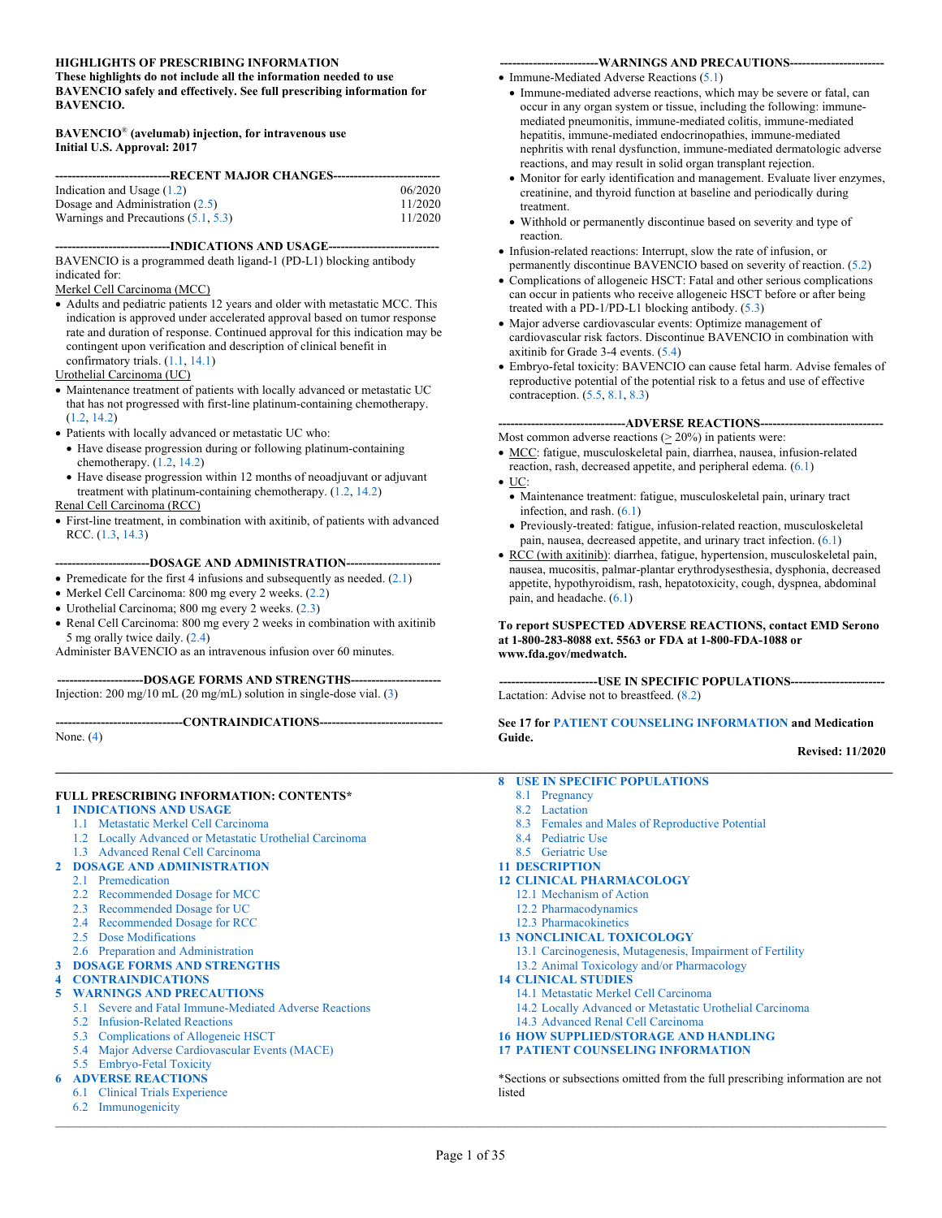#### **HIGHLIGHTS OF PRESCRIBING INFORMATION**

**These highlights do not include all the information needed to use BAVENCIO safely and effectively. See full prescribing information for BAVENCIO.**

#### **BAVENCIO**® **(avelumab) injection, for intravenous use Initial U.S. Approval: 2017**

| Indication and Usage $(1.2)$          | 06/2020 |  |  |
|---------------------------------------|---------|--|--|
| Dosage and Administration $(2.5)$     | 11/2020 |  |  |
| Warnings and Precautions $(5.1, 5.3)$ | 11/2020 |  |  |
|                                       |         |  |  |

**----------------------------INDICATIONS AND USAGE---------------------------** BAVENCIO is a programmed death ligand-1 (PD-L1) blocking antibody indicated for:

#### Merkel Cell Carcinoma (MCC)

• Adults and pediatric patients 12 years and older with metastatic MCC. This indication is approved under accelerated approval based on tumor response rate and duration of response. Continued approval for this indication may be contingent upon verification and description of clinical benefit in confirmatory trials. [\(1.1,](#page-1-1) [14.1\)](#page-26-0)

#### Urothelial Carcinoma (UC)

- Maintenance treatment of patients with locally advanced or metastatic UC that has not progressed with first-line platinum-containing chemotherapy. [\(1.2,](#page-1-0) [14.2\)](#page-27-0)
- Patients with locally advanced or metastatic UC who:
- Have disease progression during or following platinum-containing chemotherapy. [\(1.2,](#page-1-0) [14.2\)](#page-27-0)
- Have disease progression within 12 months of neoadjuvant or adjuvant treatment with platinum-containing chemotherapy. [\(1.2,](#page-1-0) [14.2\)](#page-27-0)

#### Renal Cell Carcinoma (RCC)

• First-line treatment, in combination with axitinib, of patients with advanced RCC. [\(1.3,](#page-1-2) [14.3\)](#page-30-0)

#### **-----------------------DOSAGE AND ADMINISTRATION-----------------------**

- Premedicate for the first 4 infusions and subsequently as needed. [\(2.1\)](#page-1-3)
- Merkel Cell Carcinoma: 800 mg every 2 weeks. [\(2.2\)](#page-1-4)
- Urothelial Carcinoma; 800 mg every 2 weeks. [\(2.3\)](#page-1-5)
- Renal Cell Carcinoma: 800 mg every 2 weeks in combination with axitinib 5 mg orally twice daily. [\(2.4\)](#page-2-1)
- Administer BAVENCIO as an intravenous infusion over 60 minutes.

#### **---------------------DOSAGE FORMS AND STRENGTHS----------------------**

Injection: 200 mg/10 mL (20 mg/mL) solution in single-dose vial. [\(3\)](#page-5-1)

**-------------------------------CONTRAINDICATIONS------------------------------**

None. [\(4\)](#page-5-2)

#### **FULL PRESCRIBING INFORMATION: CONTENTS\***

- **1 [INDICATIONS AND USAGE](#page-1-6)**
	- 1.1 [Metastatic Merkel Cell Carcinoma](#page-1-1)
	- 1.2 [Locally Advanced or Metastatic Urothelial Carcinoma](#page-1-0)
	- 1.3 Advanced [Renal Cell Carcinoma](#page-1-2)

#### **2 [DOSAGE AND ADMINISTRATION](#page-1-7)**

- 2.1 [Premedication](#page-1-3)
- 2.2 [Recommended Dosage](#page-1-4) for MCC
- 2.3 [Recommended Dosage for UC](#page-1-5)
- 2.4 [Recommended Dosage for RCC](#page-2-1)
- 2.5 [Dose Modifications](#page-2-0)
- 2.6 [Preparation and Administration](#page-4-0)
- **3 [DOSAGE FORMS AND STRENGTHS](#page-5-1)**
- **4 [CONTRAINDICATIONS](#page-5-2)**

#### **5 [WARNINGS AND PRECAUTIONS](#page-5-3)**

- 5.1 [Severe and Fatal Immune-Mediated Adverse Reactions](#page-5-0)
	- 5.2 [Infusion-Related Reactions](#page-10-1)
	- 5.3 [Complications of Allogeneic HSCT](#page-10-0)
	- 5.4 [Major Adverse Cardiovascular Events \(MACE\)](#page-11-0)

#### 5.5 [Embryo-Fetal Toxicity](#page-11-1)

#### **6 [ADVERSE REACTIONS](#page-11-3)**

- 6.1 [Clinical Trials Experience](#page-11-2)
- 6.2 [Immunogenicity](#page-21-0)  $\mathcal{L}_\mathcal{L} = \mathcal{L}_\mathcal{L} = \mathcal{L}_\mathcal{L} = \mathcal{L}_\mathcal{L} = \mathcal{L}_\mathcal{L} = \mathcal{L}_\mathcal{L} = \mathcal{L}_\mathcal{L} = \mathcal{L}_\mathcal{L} = \mathcal{L}_\mathcal{L} = \mathcal{L}_\mathcal{L} = \mathcal{L}_\mathcal{L} = \mathcal{L}_\mathcal{L} = \mathcal{L}_\mathcal{L} = \mathcal{L}_\mathcal{L} = \mathcal{L}_\mathcal{L} = \mathcal{L}_\mathcal{L} = \mathcal{L}_\mathcal{L}$

#### **------------------------WARNINGS AND PRECAUTIONS-----------------------**

- Immune-Mediated Adverse Reactions [\(5.1\)](#page-5-0)
- Immune-mediated adverse reactions, which may be severe or fatal, can occur in any organ system or tissue, including the following: immunemediated pneumonitis, immune-mediated colitis, immune-mediated hepatitis, immune-mediated endocrinopathies, immune-mediated nephritis with renal dysfunction, immune-mediated dermatologic adverse reactions, and may result in solid organ transplant rejection.
- Monitor for early identification and management. Evaluate liver enzymes, creatinine, and thyroid function at baseline and periodically during treatment.
- Withhold or permanently discontinue based on severity and type of reaction.
- Infusion-related reactions: Interrupt, slow the rate of infusion, or permanently discontinue BAVENCIO based on severity of reaction. [\(5.2\)](#page-10-1)
- Complications of allogeneic HSCT: Fatal and other serious complications can occur in patients who receive allogeneic HSCT before or after being treated with a PD-1/PD-L1 blocking antibody. [\(5.3\)](#page-10-0)
- Major adverse cardiovascular events: Optimize management of cardiovascular risk factors. Discontinue BAVENCIO in combination with axitinib for Grade 3-4 events. [\(5.4\)](#page-11-0)
- Embryo-fetal toxicity: BAVENCIO can cause fetal harm. Advise females of reproductive potential of the potential risk to a fetus and use of effective contraception. [\(5.5,](#page-11-1) [8.1,](#page-22-0) [8.3\)](#page-23-0)

#### **-------------------------------ADVERSE REACTIONS------------------------------**

Most common adverse reactions ( $\geq 20\%$ ) in patients were:

- MCC: fatigue, musculoskeletal pain, diarrhea, nausea, infusion-related reaction, rash, decreased appetite, and peripheral edema. [\(6.1\)](#page-11-2)
- UC:
- Maintenance treatment: fatigue, musculoskeletal pain, urinary tract infection, and rash. [\(6.1\)](#page-11-2)
- Previously-treated: fatigue, infusion-related reaction, musculoskeletal pain, nausea, decreased appetite, and urinary tract infection. [\(6.1\)](#page-11-2)
- RCC (with axitinib): diarrhea, fatigue, hypertension, musculoskeletal pain, nausea, mucositis, palmar-plantar erythrodysesthesia, dysphonia, decreased appetite, hypothyroidism, rash, hepatotoxicity, cough, dyspnea, abdominal pain, and headache. [\(6.1\)](#page-11-2)

#### **To report SUSPECTED ADVERSE REACTIONS, contact EMD Serono at 1-800-283-8088 ext. 5563 or FDA at 1-800-FDA-1088 or www.fda.gov/medwatch.**

**------------------------USE IN SPECIFIC POPULATIONS-----------------------** Lactation: Advise not to breastfeed. [\(8.2\)](#page-23-1)

#### **See 17 for [PATIENT COUNSELING INFORMATION](#page-33-0) and Medication Guide.**

#### **Revised: 11/2020**

- **8 [USE IN SPECIFIC POPULATIONS](#page-22-1)**
	- 8.1 [Pregnancy](#page-22-0)
	- 8.2 [Lactation](#page-23-1)
	- 8.3 [Females and Males of Reproductive Potential](#page-23-0)
	- 8.4 [Pediatric Use](#page-23-2)
	- 8.5 [Geriatric Use](#page-23-3)
- **11 [DESCRIPTION](#page-24-0)**
- **12 [CLINICAL PHARMACOLOGY](#page-24-1)** 12.1 [Mechanism of Action](#page-24-2)
	- 12.2 [Pharmacodynamics](#page-24-3)
	- 12.3 [Pharmacokinetics](#page-24-4)
- **13 [NONCLINICAL TOXICOLOGY](#page-25-0)**
- 13.1 [Carcinogenesis, Mutagenesis, Impairment of Fertility](#page-25-1)
	- 13.2 [Animal Toxicology and/or Pharmacology](#page-25-2)
- **14 [CLINICAL STUDIES](#page-26-1)**
	- 14.1 [Metastatic Merkel Cell Carcinoma](#page-26-0)
	- 14.2 [Locally Advanced or Metastatic Urothelial Carcinoma](#page-27-0)
	- 14.3 [Advanced Renal Cell Carcinoma](#page-30-0)
- **16 [HOW SUPPLIED/STORAGE AND HANDLING](#page-33-1)**
- **17 [PATIENT COUNSELING INFORMATION](#page-33-0)**

\*Sections or subsections omitted from the full prescribing information are not listed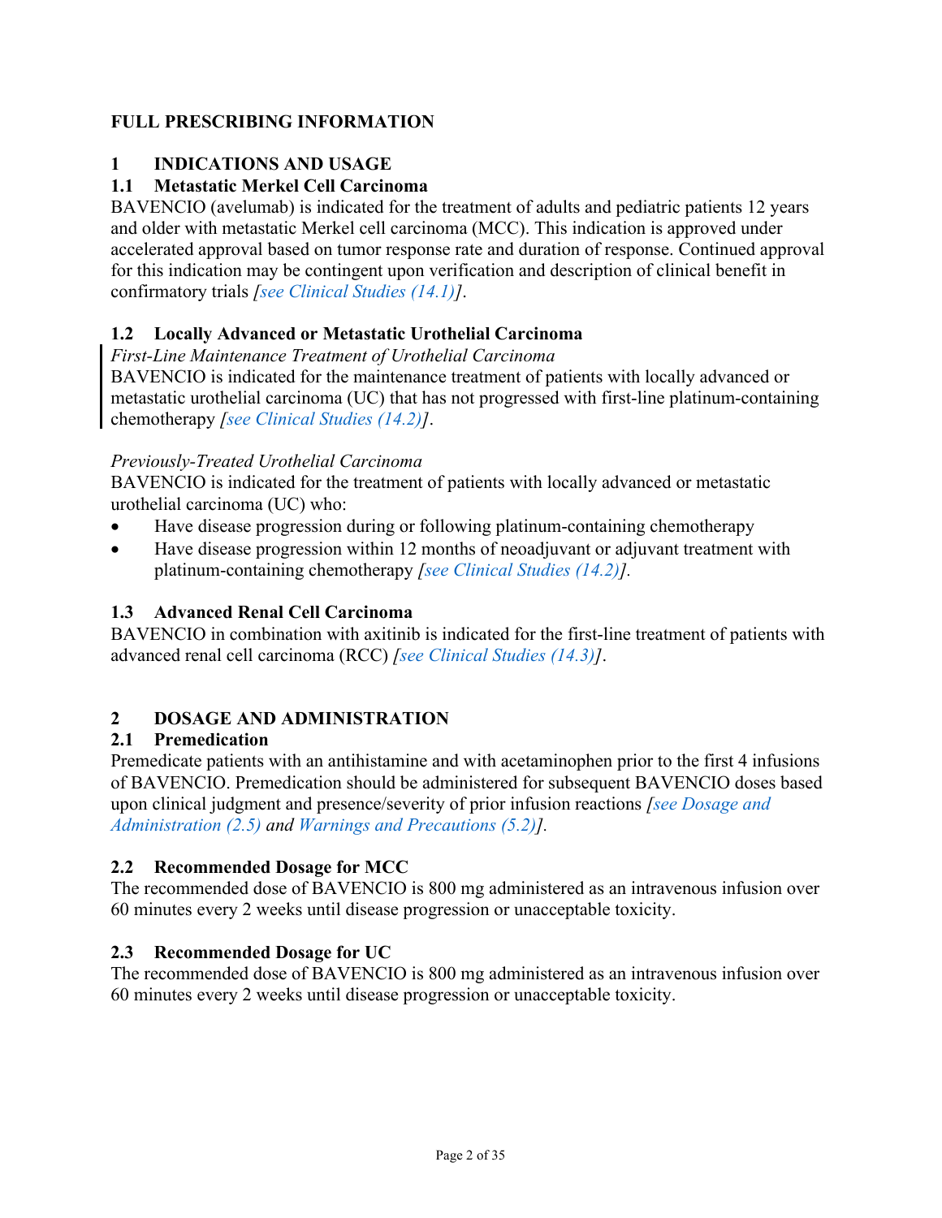## **FULL PRESCRIBING INFORMATION**

## <span id="page-1-6"></span>**1 INDICATIONS AND USAGE**

## <span id="page-1-1"></span>**1.1 Metastatic Merkel Cell Carcinoma**

BAVENCIO (avelumab) is indicated for the treatment of adults and pediatric patients 12 years and older with metastatic Merkel cell carcinoma (MCC). This indication is approved under accelerated approval based on tumor response rate and duration of response. Continued approval for this indication may be contingent upon verification and description of clinical benefit in confirmatory trials *[\[see Clinical Studies](#page-26-0) (14.1)]*.

## <span id="page-1-0"></span>**1.2 Locally Advanced or Metastatic Urothelial Carcinoma**

*First-Line Maintenance Treatment of Urothelial Carcinoma*

BAVENCIO is indicated for the maintenance treatment of patients with locally advanced or metastatic urothelial carcinoma (UC) that has not progressed with first-line platinum-containing chemotherapy *[\[see Clinical Studies \(14.2\)\]](#page-27-0)*.

### *Previously-Treated Urothelial Carcinoma*

BAVENCIO is indicated for the treatment of patients with locally advanced or metastatic urothelial carcinoma (UC) who:

- Have disease progression during or following platinum-containing chemotherapy
- Have disease progression within 12 months of neoadjuvant or adjuvant treatment with platinum-containing chemotherapy *[\[see Clinical Studies \(14.2\)\]](#page-27-0).*

## <span id="page-1-2"></span>**1.3 Advanced Renal Cell Carcinoma**

BAVENCIO in combination with axitinib is indicated for the first-line treatment of patients with advanced renal cell carcinoma (RCC) *[\[see Clinical Studies](#page-30-0) (14.3)]*.

## <span id="page-1-7"></span>**2 DOSAGE AND ADMINISTRATION**

### <span id="page-1-3"></span>**2.1 Premedication**

Premedicate patients with an antihistamine and with acetaminophen prior to the first 4 infusions of BAVENCIO. Premedication should be administered for subsequent BAVENCIO doses based upon clinical judgment and presence/severity of prior infusion reactions *[\[see Dosage and](#page-2-0)  [Administration](#page-2-0) (2.5) and [Warnings and Precautions](#page-10-1) (5.2)].*

### <span id="page-1-4"></span>**2.2 Recommended Dosage for MCC**

The recommended dose of BAVENCIO is 800 mg administered as an intravenous infusion over 60 minutes every 2 weeks until disease progression or unacceptable toxicity.

### <span id="page-1-5"></span>**2.3 Recommended Dosage for UC**

The recommended dose of BAVENCIO is 800 mg administered as an intravenous infusion over 60 minutes every 2 weeks until disease progression or unacceptable toxicity.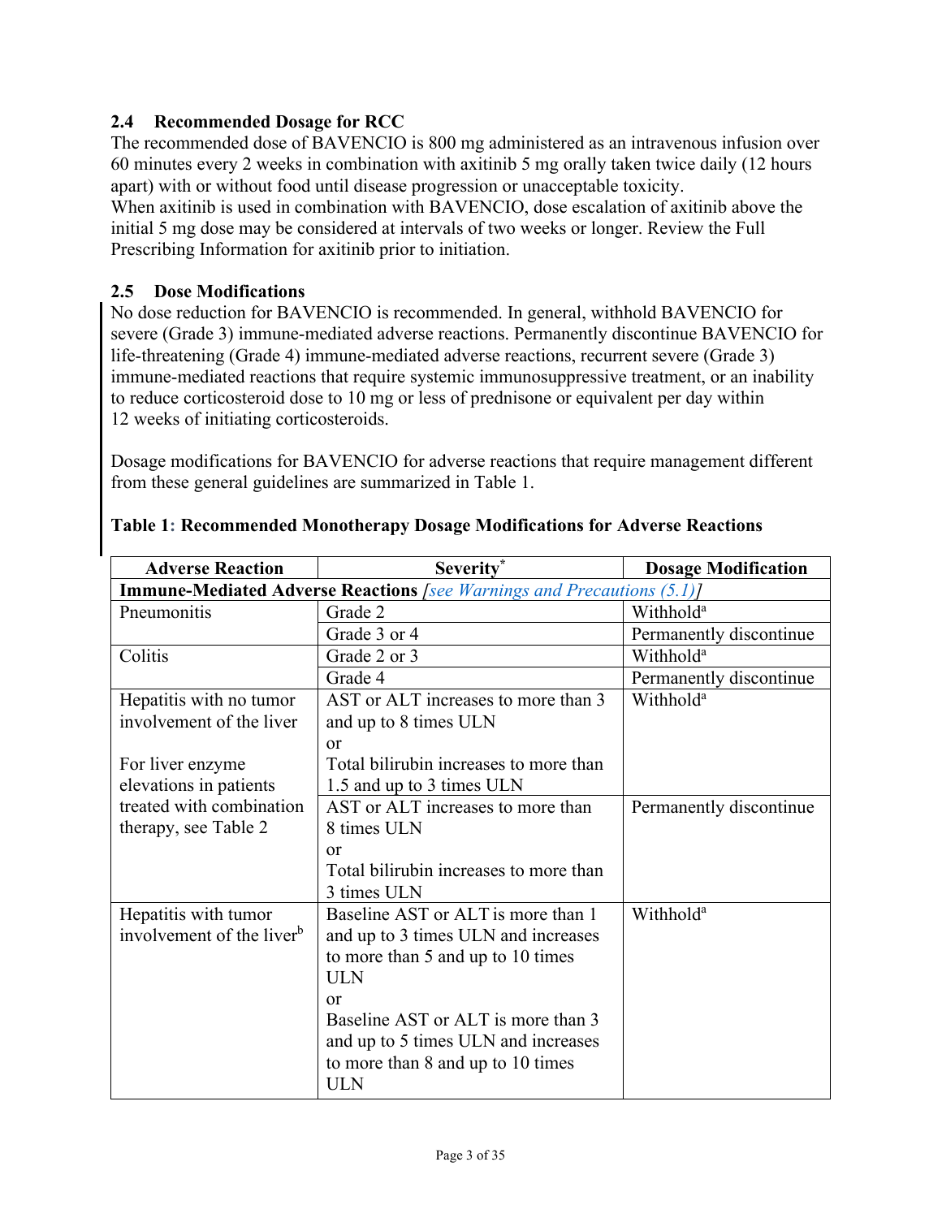## <span id="page-2-1"></span>**2.4 Recommended Dosage for RCC**

The recommended dose of BAVENCIO is 800 mg administered as an intravenous infusion over 60 minutes every 2 weeks in combination with axitinib 5 mg orally taken twice daily (12 hours apart) with or without food until disease progression or unacceptable toxicity.

When axitinib is used in combination with BAVENCIO, dose escalation of axitinib above the initial 5 mg dose may be considered at intervals of two weeks or longer. Review the Full Prescribing Information for axitinib prior to initiation.

### <span id="page-2-0"></span>**2.5 Dose Modifications**

No dose reduction for BAVENCIO is recommended. In general, withhold BAVENCIO for severe (Grade 3) immune-mediated adverse reactions. Permanently discontinue BAVENCIO for life-threatening (Grade 4) immune-mediated adverse reactions, recurrent severe (Grade 3) immune-mediated reactions that require systemic immunosuppressive treatment, or an inability to reduce corticosteroid dose to 10 mg or less of prednisone or equivalent per day within 12 weeks of initiating corticosteroids.

Dosage modifications for BAVENCIO for adverse reactions that require management different from these general guidelines are summarized in [Table](#page-2-2) 1.

| <b>Adverse Reaction</b>                                                       | Severity*                                                    | <b>Dosage Modification</b> |  |  |  |
|-------------------------------------------------------------------------------|--------------------------------------------------------------|----------------------------|--|--|--|
| <b>Immune-Mediated Adverse Reactions</b> [see Warnings and Precautions (5.1)] |                                                              |                            |  |  |  |
| Pneumonitis                                                                   | Grade 2                                                      | Withhold <sup>a</sup>      |  |  |  |
|                                                                               | Grade 3 or 4                                                 | Permanently discontinue    |  |  |  |
| Colitis                                                                       | Grade 2 or 3                                                 | Withhold <sup>a</sup>      |  |  |  |
|                                                                               | Grade 4                                                      | Permanently discontinue    |  |  |  |
| Hepatitis with no tumor<br>involvement of the liver                           | AST or ALT increases to more than 3<br>and up to 8 times ULN | Withhold <sup>a</sup>      |  |  |  |
|                                                                               | <b>or</b>                                                    |                            |  |  |  |
| For liver enzyme                                                              | Total bilirubin increases to more than                       |                            |  |  |  |
| elevations in patients                                                        | 1.5 and up to 3 times ULN                                    |                            |  |  |  |
| treated with combination                                                      | AST or ALT increases to more than                            | Permanently discontinue    |  |  |  |
| therapy, see Table 2                                                          | 8 times ULN                                                  |                            |  |  |  |
|                                                                               | or                                                           |                            |  |  |  |
|                                                                               | Total bilirubin increases to more than                       |                            |  |  |  |
|                                                                               | 3 times ULN                                                  |                            |  |  |  |
| Hepatitis with tumor                                                          | Baseline AST or ALT is more than 1                           | Withhold <sup>a</sup>      |  |  |  |
| involvement of the liver <sup>b</sup>                                         | and up to 3 times ULN and increases                          |                            |  |  |  |
|                                                                               | to more than 5 and up to 10 times                            |                            |  |  |  |
|                                                                               | <b>ULN</b>                                                   |                            |  |  |  |
|                                                                               | or                                                           |                            |  |  |  |
|                                                                               | Baseline AST or ALT is more than 3                           |                            |  |  |  |
|                                                                               | and up to 5 times ULN and increases                          |                            |  |  |  |
|                                                                               | to more than 8 and up to 10 times<br><b>ULN</b>              |                            |  |  |  |

#### <span id="page-2-2"></span>**Table 1: Recommended Monotherapy Dosage Modifications for Adverse Reactions**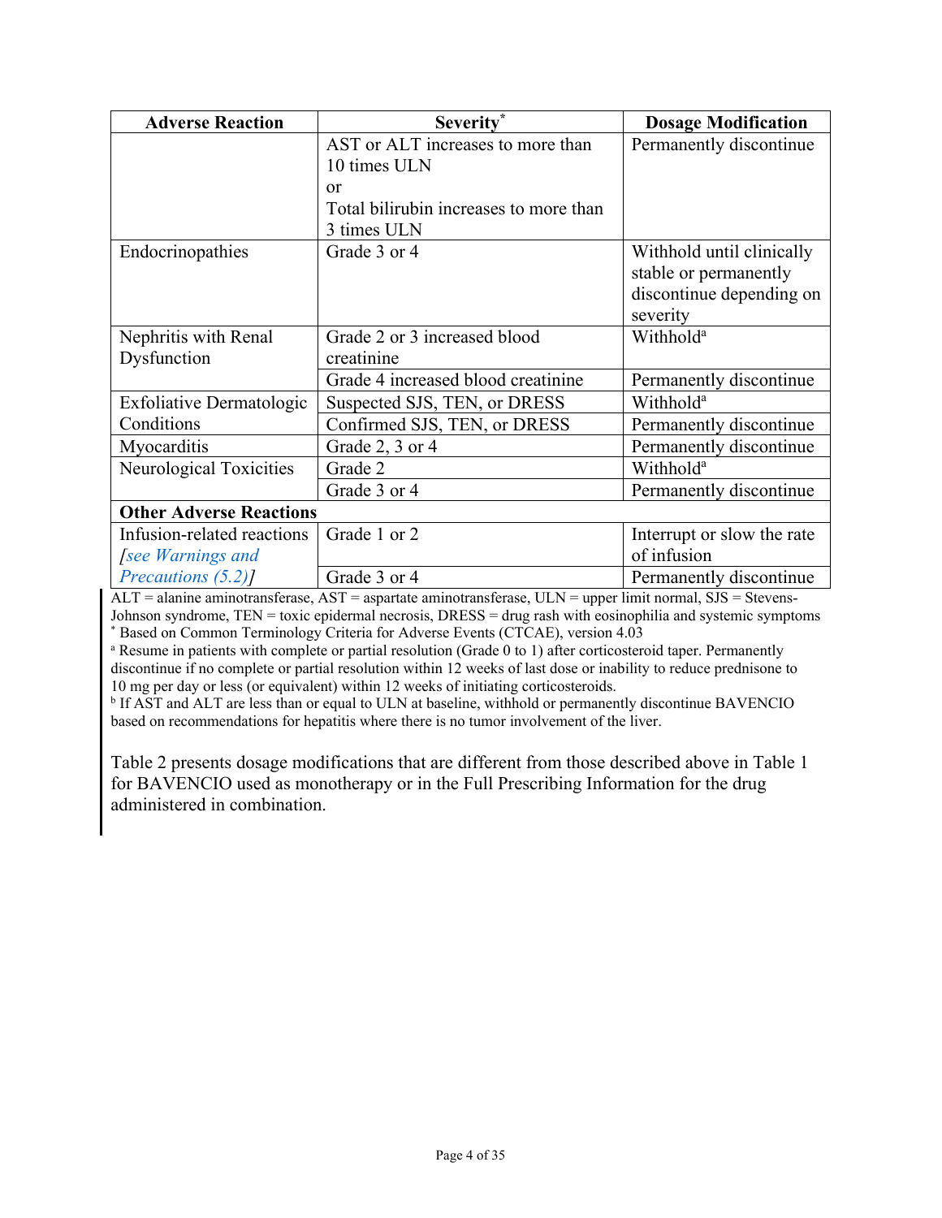| <b>Adverse Reaction</b>        | Severity*                              | <b>Dosage Modification</b> |
|--------------------------------|----------------------------------------|----------------------------|
|                                | AST or ALT increases to more than      | Permanently discontinue    |
|                                | 10 times ULN                           |                            |
|                                | or                                     |                            |
|                                | Total bilirubin increases to more than |                            |
|                                | 3 times ULN                            |                            |
| Endocrinopathies               | Grade 3 or 4                           | Withhold until clinically  |
|                                |                                        | stable or permanently      |
|                                |                                        | discontinue depending on   |
|                                |                                        | severity                   |
| Nephritis with Renal           | Grade 2 or 3 increased blood           | Withhold <sup>a</sup>      |
| Dysfunction                    | creatinine                             |                            |
|                                | Grade 4 increased blood creatinine     | Permanently discontinue    |
| Exfoliative Dermatologic       | Suspected SJS, TEN, or DRESS           | Withhold <sup>a</sup>      |
| Conditions                     | Confirmed SJS, TEN, or DRESS           | Permanently discontinue    |
| Myocarditis                    | Grade 2, 3 or 4                        | Permanently discontinue    |
| Neurological Toxicities        | Grade 2                                | Withhold <sup>a</sup>      |
|                                | Grade 3 or 4                           | Permanently discontinue    |
| <b>Other Adverse Reactions</b> |                                        |                            |
| Infusion-related reactions     | Grade 1 or 2                           | Interrupt or slow the rate |
| see Warnings and               |                                        | of infusion                |
| Precautions (5.2)              | Grade 3 or 4                           | Permanently discontinue    |

ALT = alanine aminotransferase, AST = aspartate aminotransferase, ULN = upper limit normal, SJS = Stevens-Johnson syndrome, TEN = toxic epidermal necrosis, DRESS = drug rash with eosinophilia and systemic symptoms \* Based on Common Terminology Criteria for Adverse Events (CTCAE), version 4.03

<sup>a</sup> Resume in patients with complete or partial resolution (Grade 0 to 1) after corticosteroid taper. Permanently discontinue if no complete or partial resolution within 12 weeks of last dose or inability to reduce prednisone to 10 mg per day or less (or equivalent) within 12 weeks of initiating corticosteroids.

<sup>b</sup> If AST and ALT are less than or equal to ULN at baseline, withhold or permanently discontinue BAVENCIO based on recommendations for hepatitis where there is no tumor involvement of the liver.

[Table](#page-4-1) 2 presents dosage modifications that are different from those described above in [Table](#page-2-2) 1 for BAVENCIO used as monotherapy or in the Full Prescribing Information for the drug administered in combination.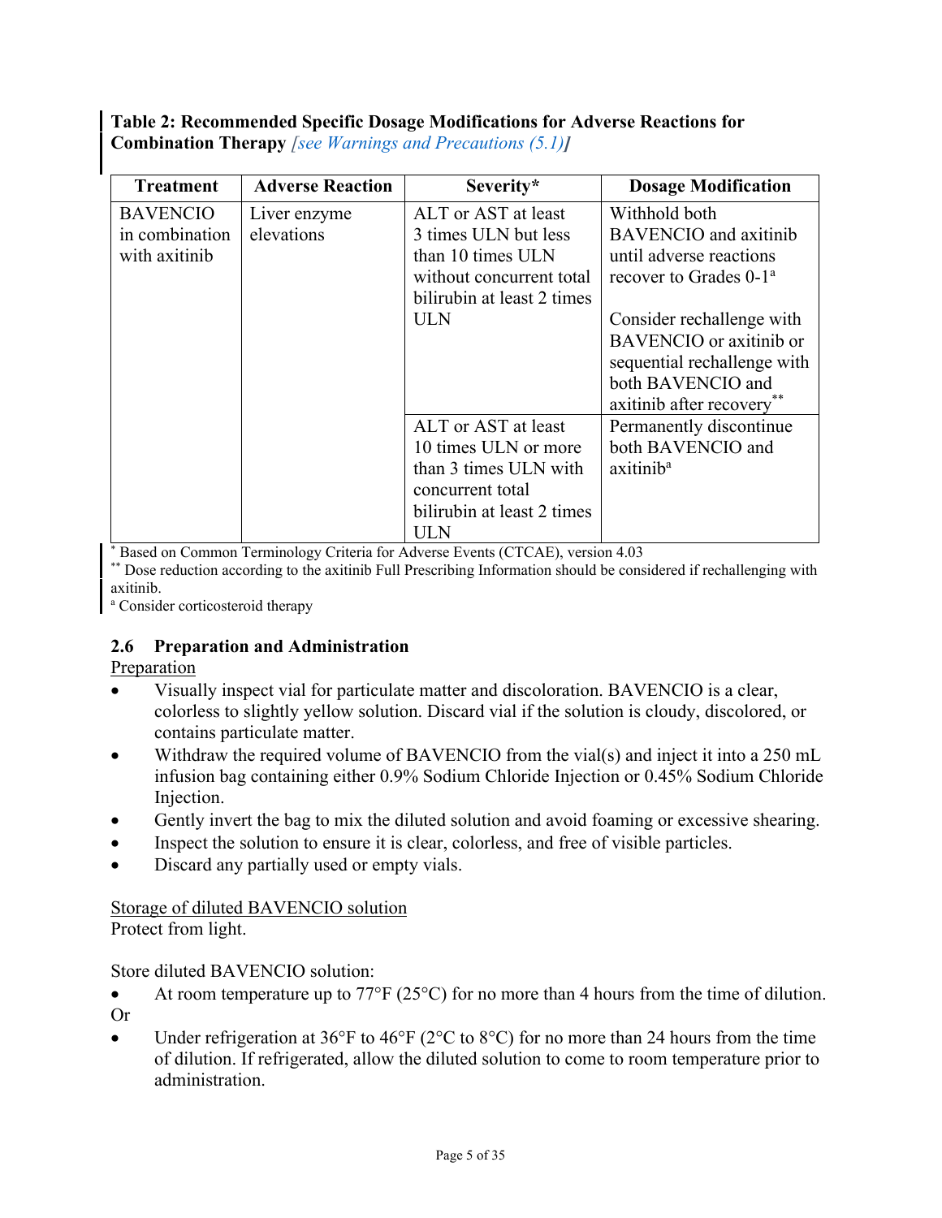<span id="page-4-1"></span>**Table 2: Recommended Specific Dosage Modifications for Adverse Reactions for Combination Therapy** *[\[see Warnings and Precautions \(5.1\)](#page-5-0)]*

| <b>Treatment</b> | <b>Adverse Reaction</b> | Severity*                  | <b>Dosage Modification</b>         |
|------------------|-------------------------|----------------------------|------------------------------------|
| <b>BAVENCIO</b>  | Liver enzyme            | ALT or AST at least        | Withhold both                      |
| in combination   | elevations              | 3 times ULN but less       | <b>BAVENCIO</b> and axitinib       |
| with axitinib    |                         | than 10 times ULN          | until adverse reactions            |
|                  |                         | without concurrent total   | recover to Grades 0-1 <sup>a</sup> |
|                  |                         | bilirubin at least 2 times |                                    |
|                  |                         | ULN                        | Consider rechallenge with          |
|                  |                         |                            | BAVENCIO or axitinib or            |
|                  |                         |                            | sequential rechallenge with        |
|                  |                         |                            | both BAVENCIO and                  |
|                  |                         |                            | axitinib after recovery            |
|                  |                         | ALT or AST at least        | Permanently discontinue            |
|                  |                         | 10 times ULN or more       | both BAVENCIO and                  |
|                  |                         | than 3 times ULN with      | axitinib <sup>a</sup>              |
|                  |                         | concurrent total           |                                    |
|                  |                         | bilirubin at least 2 times |                                    |
|                  |                         | ULN                        |                                    |

\* Based on Common Terminology Criteria for Adverse Events (CTCAE), version 4.03

\*\* Dose reduction according to the axitinib Full Prescribing Information should be considered if rechallenging with axitinib.

<sup>a</sup> Consider corticosteroid therapy

### <span id="page-4-0"></span>**2.6 Preparation and Administration**

Preparation

- Visually inspect vial for particulate matter and discoloration. BAVENCIO is a clear, colorless to slightly yellow solution. Discard vial if the solution is cloudy, discolored, or contains particulate matter.
- Withdraw the required volume of BAVENCIO from the vial(s) and inject it into a 250 mL infusion bag containing either 0.9% Sodium Chloride Injection or 0.45% Sodium Chloride Injection.
- Gently invert the bag to mix the diluted solution and avoid foaming or excessive shearing.
- Inspect the solution to ensure it is clear, colorless, and free of visible particles.
- Discard any partially used or empty vials.

# Storage of diluted BAVENCIO solution

Protect from light.

#### Store diluted BAVENCIO solution:

- At room temperature up to  $77^{\circ}F(25^{\circ}C)$  for no more than 4 hours from the time of dilution. Or
- Under refrigeration at 36°F to 46°F (2°C to 8°C) for no more than 24 hours from the time of dilution. If refrigerated, allow the diluted solution to come to room temperature prior to administration.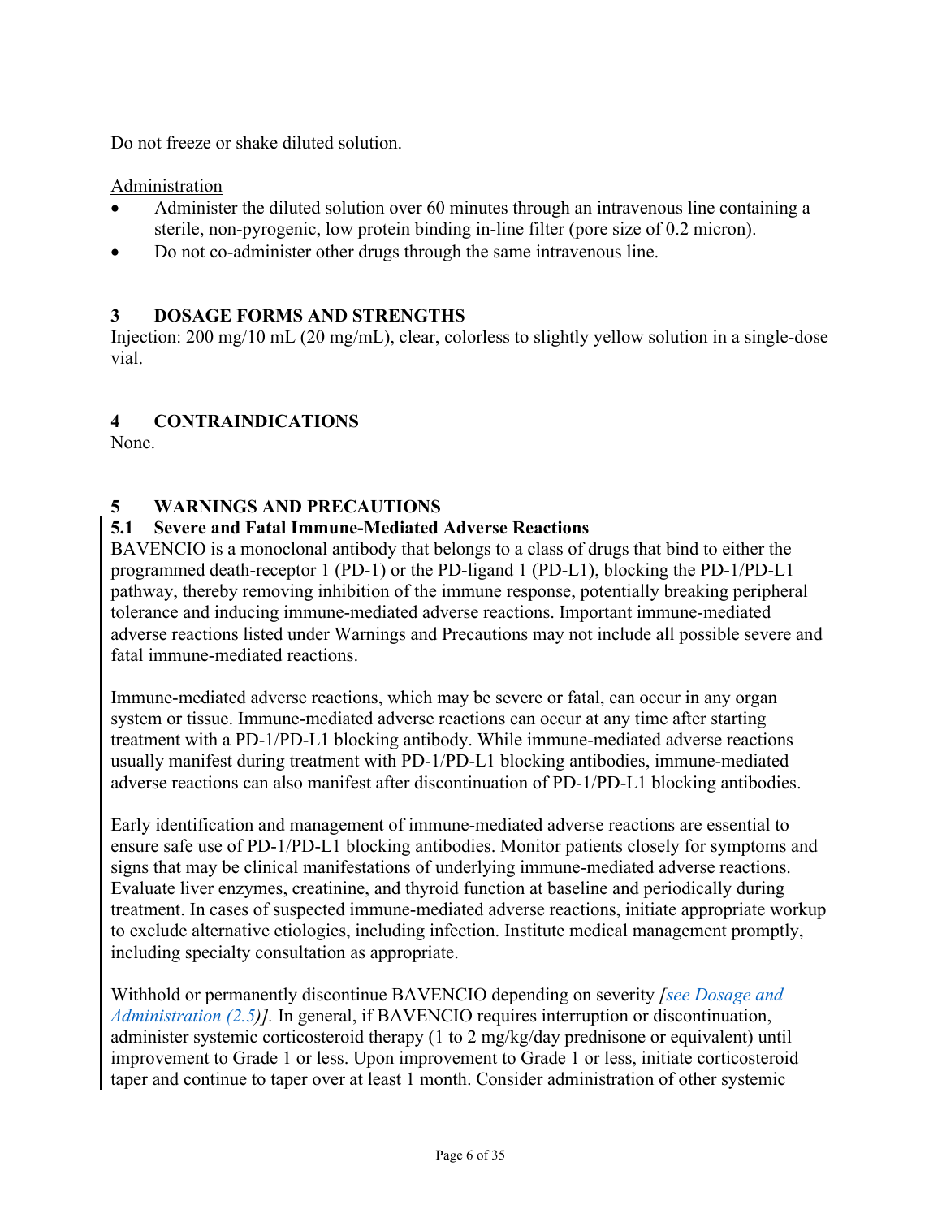Do not freeze or shake diluted solution.

## Administration

- Administer the diluted solution over 60 minutes through an intravenous line containing a sterile, non-pyrogenic, low protein binding in-line filter (pore size of 0.2 micron).
- Do not co-administer other drugs through the same intravenous line.

## <span id="page-5-1"></span>**3 DOSAGE FORMS AND STRENGTHS**

Injection: 200 mg/10 mL (20 mg/mL), clear, colorless to slightly yellow solution in a single-dose vial.

## <span id="page-5-2"></span>**4 CONTRAINDICATIONS**

None.

## <span id="page-5-3"></span>**5 WARNINGS AND PRECAUTIONS**

## <span id="page-5-0"></span>**5.1 Severe and Fatal Immune-Mediated Adverse Reactions**

BAVENCIO is a monoclonal antibody that belongs to a class of drugs that bind to either the programmed death-receptor 1 (PD-1) or the PD-ligand 1 (PD-L1), blocking the PD-1/PD-L1 pathway, thereby removing inhibition of the immune response, potentially breaking peripheral tolerance and inducing immune-mediated adverse reactions. Important immune-mediated adverse reactions listed under Warnings and Precautions may not include all possible severe and fatal immune-mediated reactions.

Immune-mediated adverse reactions, which may be severe or fatal, can occur in any organ system or tissue. Immune-mediated adverse reactions can occur at any time after starting treatment with a PD-1/PD-L1 blocking antibody. While immune-mediated adverse reactions usually manifest during treatment with PD-1/PD-L1 blocking antibodies, immune-mediated adverse reactions can also manifest after discontinuation of PD-1/PD-L1 blocking antibodies.

Early identification and management of immune-mediated adverse reactions are essential to ensure safe use of PD-1/PD-L1 blocking antibodies. Monitor patients closely for symptoms and signs that may be clinical manifestations of underlying immune-mediated adverse reactions. Evaluate liver enzymes, creatinine, and thyroid function at baseline and periodically during treatment. In cases of suspected immune-mediated adverse reactions, initiate appropriate workup to exclude alternative etiologies, including infection. Institute medical management promptly, including specialty consultation as appropriate.

Withhold or permanently discontinue BAVENCIO depending on severity *[\[see Dosage and](#page-2-0)  [Administration \(2.5\)](#page-2-0)].* In general, if BAVENCIO requires interruption or discontinuation, administer systemic corticosteroid therapy (1 to 2 mg/kg/day prednisone or equivalent) until improvement to Grade 1 or less. Upon improvement to Grade 1 or less, initiate corticosteroid taper and continue to taper over at least 1 month. Consider administration of other systemic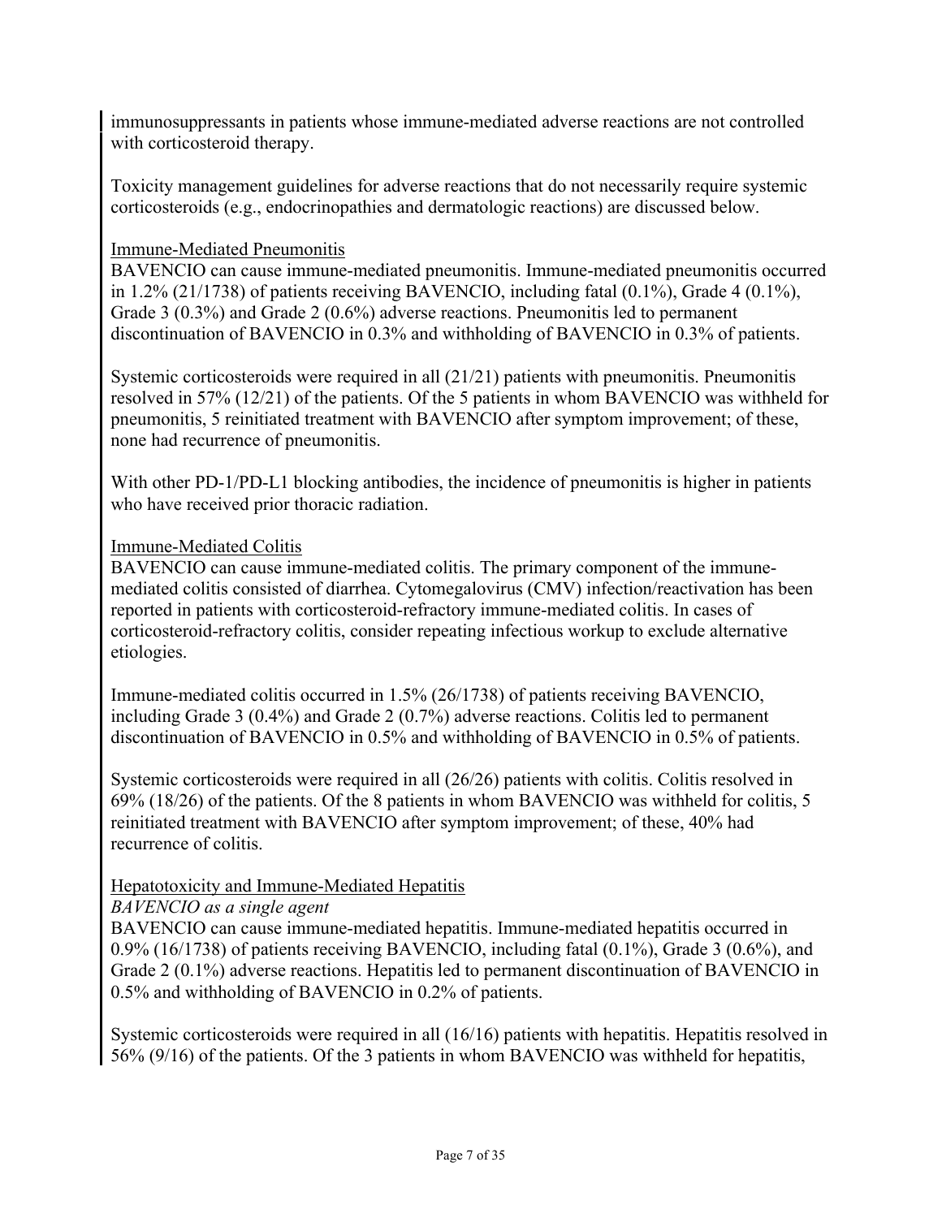immunosuppressants in patients whose immune-mediated adverse reactions are not controlled with corticosteroid therapy.

Toxicity management guidelines for adverse reactions that do not necessarily require systemic corticosteroids (e.g., endocrinopathies and dermatologic reactions) are discussed below.

#### Immune-Mediated Pneumonitis

BAVENCIO can cause immune-mediated pneumonitis. Immune-mediated pneumonitis occurred in 1.2% (21/1738) of patients receiving BAVENCIO, including fatal (0.1%), Grade 4 (0.1%), Grade 3 (0.3%) and Grade 2 (0.6%) adverse reactions. Pneumonitis led to permanent discontinuation of BAVENCIO in 0.3% and withholding of BAVENCIO in 0.3% of patients.

Systemic corticosteroids were required in all (21/21) patients with pneumonitis. Pneumonitis resolved in 57% (12/21) of the patients. Of the 5 patients in whom BAVENCIO was withheld for pneumonitis, 5 reinitiated treatment with BAVENCIO after symptom improvement; of these, none had recurrence of pneumonitis.

With other PD-1/PD-L1 blocking antibodies, the incidence of pneumonitis is higher in patients who have received prior thoracic radiation.

#### Immune-Mediated Colitis

BAVENCIO can cause immune-mediated colitis. The primary component of the immunemediated colitis consisted of diarrhea. Cytomegalovirus (CMV) infection/reactivation has been reported in patients with corticosteroid-refractory immune-mediated colitis. In cases of corticosteroid-refractory colitis, consider repeating infectious workup to exclude alternative etiologies.

Immune-mediated colitis occurred in 1.5% (26/1738) of patients receiving BAVENCIO, including Grade 3 (0.4%) and Grade 2 (0.7%) adverse reactions. Colitis led to permanent discontinuation of BAVENCIO in 0.5% and withholding of BAVENCIO in 0.5% of patients.

Systemic corticosteroids were required in all (26/26) patients with colitis. Colitis resolved in 69% (18/26) of the patients. Of the 8 patients in whom BAVENCIO was withheld for colitis, 5 reinitiated treatment with BAVENCIO after symptom improvement; of these, 40% had recurrence of colitis.

### Hepatotoxicity and Immune-Mediated Hepatitis

#### *BAVENCIO as a single agent*

BAVENCIO can cause immune-mediated hepatitis. Immune-mediated hepatitis occurred in 0.9% (16/1738) of patients receiving BAVENCIO, including fatal (0.1%), Grade 3 (0.6%), and Grade 2 (0.1%) adverse reactions. Hepatitis led to permanent discontinuation of BAVENCIO in 0.5% and withholding of BAVENCIO in 0.2% of patients.

Systemic corticosteroids were required in all (16/16) patients with hepatitis. Hepatitis resolved in 56% (9/16) of the patients. Of the 3 patients in whom BAVENCIO was withheld for hepatitis,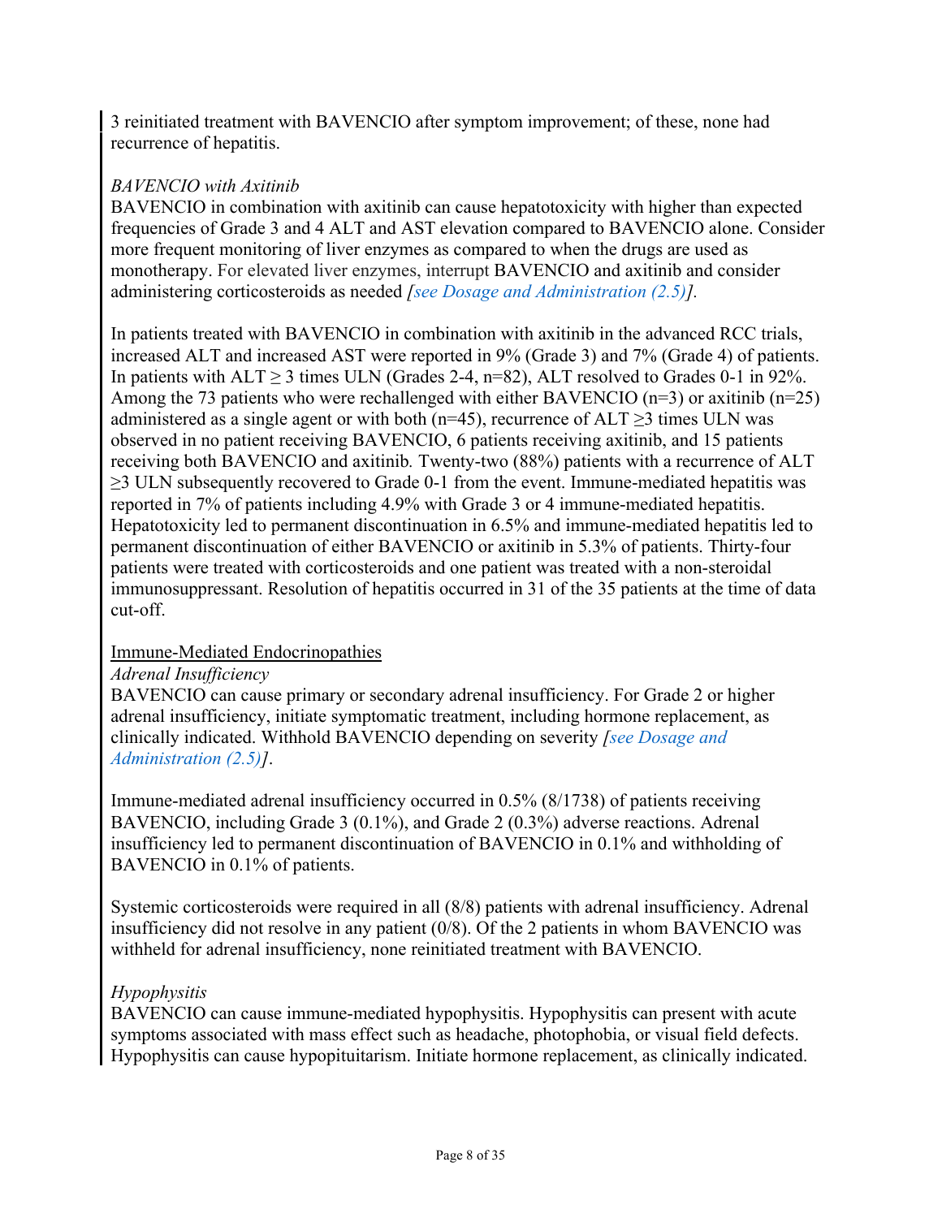3 reinitiated treatment with BAVENCIO after symptom improvement; of these, none had recurrence of hepatitis.

### *BAVENCIO with Axitinib*

BAVENCIO in combination with axitinib can cause hepatotoxicity with higher than expected frequencies of Grade 3 and 4 ALT and AST elevation compared to BAVENCIO alone. Consider more frequent monitoring of liver enzymes as compared to when the drugs are used as monotherapy. For elevated liver enzymes, interrupt BAVENCIO and axitinib and consider administering corticosteroids as needed *[\[see Dosage and Administration \(2.5\)\]](#page-2-0).*

In patients treated with BAVENCIO in combination with axitinib in the advanced RCC trials, increased ALT and increased AST were reported in 9% (Grade 3) and 7% (Grade 4) of patients. In patients with  $ALT \ge 3$  times ULN (Grades 2-4, n=82), ALT resolved to Grades 0-1 in 92%. Among the 73 patients who were rechallenged with either BAVENCIO ( $n=3$ ) or axitinib ( $n=25$ ) administered as a single agent or with both (n=45), recurrence of  $ALT \geq 3$  times ULN was observed in no patient receiving BAVENCIO, 6 patients receiving axitinib, and 15 patients receiving both BAVENCIO and axitinib*.* Twenty-two (88%) patients with a recurrence of ALT ≥3 ULN subsequently recovered to Grade 0-1 from the event. Immune-mediated hepatitis was reported in 7% of patients including 4.9% with Grade 3 or 4 immune-mediated hepatitis. Hepatotoxicity led to permanent discontinuation in 6.5% and immune-mediated hepatitis led to permanent discontinuation of either BAVENCIO or axitinib in 5.3% of patients. Thirty-four patients were treated with corticosteroids and one patient was treated with a non-steroidal immunosuppressant. Resolution of hepatitis occurred in 31 of the 35 patients at the time of data cut-off.

### Immune-Mediated Endocrinopathies

### *Adrenal Insufficiency*

BAVENCIO can cause primary or secondary adrenal insufficiency. For Grade 2 or higher adrenal insufficiency, initiate symptomatic treatment, including hormone replacement, as clinically indicated. Withhold BAVENCIO depending on severity *[\[see Dosage and](#page-2-0)  [Administration \(2.5\)\]](#page-2-0)*.

Immune-mediated adrenal insufficiency occurred in 0.5% (8/1738) of patients receiving BAVENCIO, including Grade 3 (0.1%), and Grade 2 (0.3%) adverse reactions. Adrenal insufficiency led to permanent discontinuation of BAVENCIO in 0.1% and withholding of BAVENCIO in 0.1% of patients.

Systemic corticosteroids were required in all (8/8) patients with adrenal insufficiency. Adrenal insufficiency did not resolve in any patient (0/8). Of the 2 patients in whom BAVENCIO was withheld for adrenal insufficiency, none reinitiated treatment with BAVENCIO.

### *Hypophysitis*

BAVENCIO can cause immune-mediated hypophysitis. Hypophysitis can present with acute symptoms associated with mass effect such as headache, photophobia, or visual field defects. Hypophysitis can cause hypopituitarism. Initiate hormone replacement, as clinically indicated.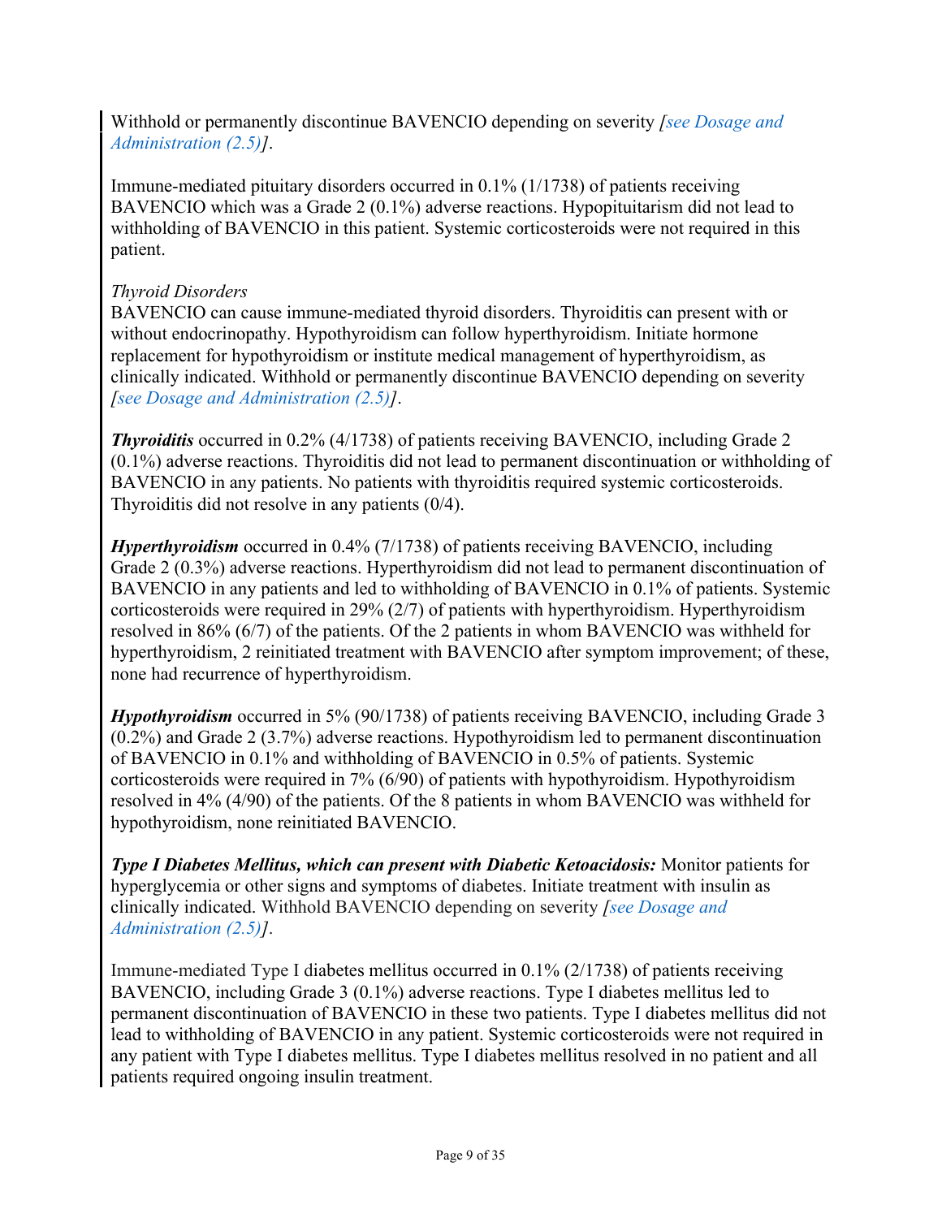Withhold or permanently discontinue BAVENCIO depending on severity *[\[see Dosage and](#page-2-0)  [Administration \(2.5\)\]](#page-2-0)*.

Immune-mediated pituitary disorders occurred in 0.1% (1/1738) of patients receiving BAVENCIO which was a Grade 2 (0.1%) adverse reactions. Hypopituitarism did not lead to withholding of BAVENCIO in this patient. Systemic corticosteroids were not required in this patient.

#### *Thyroid Disorders*

BAVENCIO can cause immune-mediated thyroid disorders. Thyroiditis can present with or without endocrinopathy. Hypothyroidism can follow hyperthyroidism. Initiate hormone replacement for hypothyroidism or institute medical management of hyperthyroidism, as clinically indicated. Withhold or permanently discontinue BAVENCIO depending on severity *[\[see Dosage and Administration \(2.5\)\]](#page-2-0)*.

*Thyroiditis* occurred in 0.2% (4/1738) of patients receiving BAVENCIO, including Grade 2 (0.1%) adverse reactions. Thyroiditis did not lead to permanent discontinuation or withholding of BAVENCIO in any patients. No patients with thyroiditis required systemic corticosteroids. Thyroiditis did not resolve in any patients (0/4).

*Hyperthyroidism* occurred in 0.4% (7/1738) of patients receiving BAVENCIO, including Grade 2 (0.3%) adverse reactions. Hyperthyroidism did not lead to permanent discontinuation of BAVENCIO in any patients and led to withholding of BAVENCIO in 0.1% of patients. Systemic corticosteroids were required in 29% (2/7) of patients with hyperthyroidism. Hyperthyroidism resolved in 86% (6/7) of the patients. Of the 2 patients in whom BAVENCIO was withheld for hyperthyroidism, 2 reinitiated treatment with BAVENCIO after symptom improvement; of these, none had recurrence of hyperthyroidism.

*Hypothyroidism* occurred in 5% (90/1738) of patients receiving BAVENCIO, including Grade 3 (0.2%) and Grade 2 (3.7%) adverse reactions. Hypothyroidism led to permanent discontinuation of BAVENCIO in 0.1% and withholding of BAVENCIO in 0.5% of patients. Systemic corticosteroids were required in 7% (6/90) of patients with hypothyroidism. Hypothyroidism resolved in 4% (4/90) of the patients. Of the 8 patients in whom BAVENCIO was withheld for hypothyroidism, none reinitiated BAVENCIO.

*Type I Diabetes Mellitus, which can present with Diabetic Ketoacidosis:* Monitor patients for hyperglycemia or other signs and symptoms of diabetes. Initiate treatment with insulin as clinically indicated. Withhold BAVENCIO depending on severity *[\[see Dosage and](#page-2-0)  [Administration \(2.5\)\]](#page-2-0)*.

Immune-mediated Type I diabetes mellitus occurred in 0.1% (2/1738) of patients receiving BAVENCIO, including Grade 3 (0.1%) adverse reactions. Type I diabetes mellitus led to permanent discontinuation of BAVENCIO in these two patients. Type I diabetes mellitus did not lead to withholding of BAVENCIO in any patient. Systemic corticosteroids were not required in any patient with Type I diabetes mellitus. Type I diabetes mellitus resolved in no patient and all patients required ongoing insulin treatment.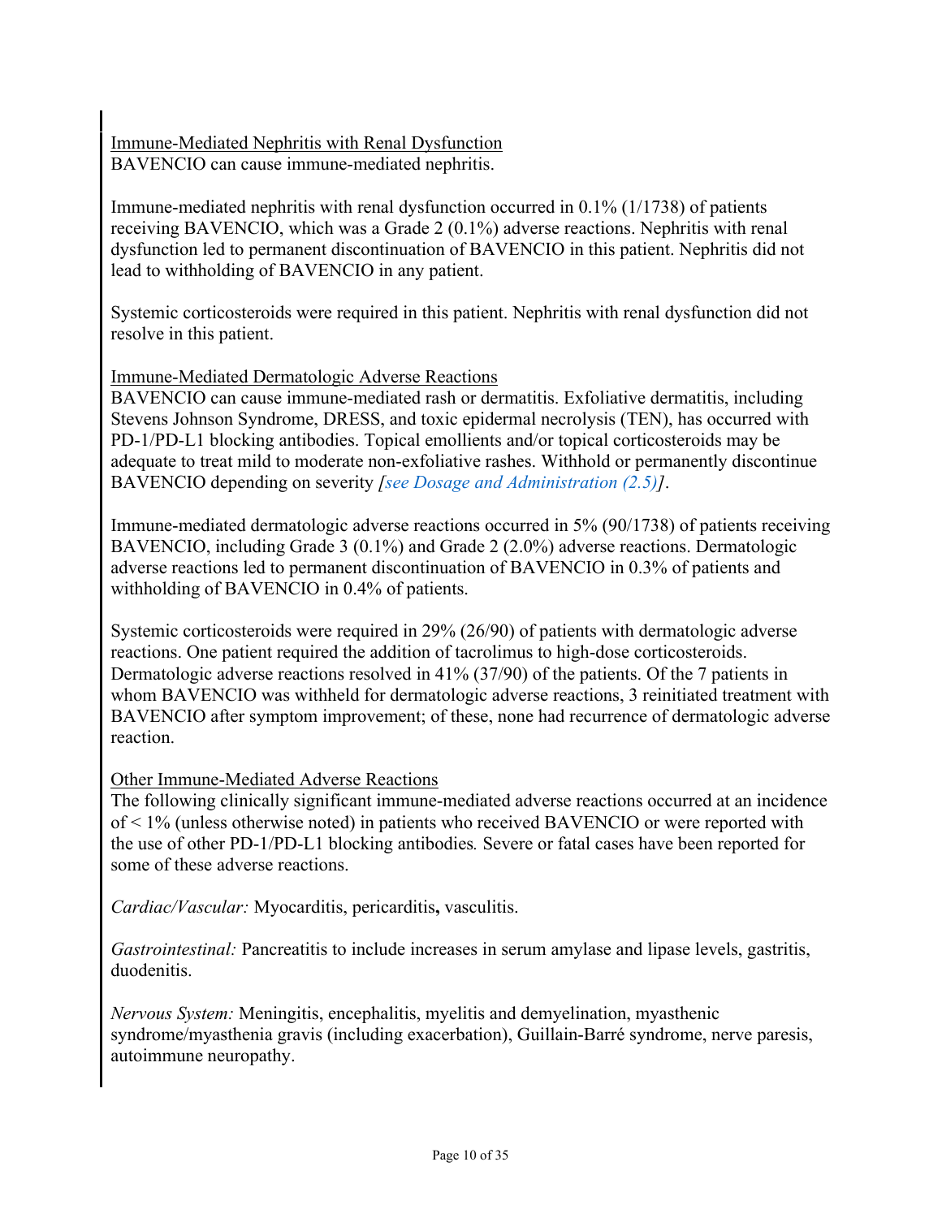Immune-Mediated Nephritis with Renal Dysfunction BAVENCIO can cause immune-mediated nephritis.

Immune-mediated nephritis with renal dysfunction occurred in 0.1% (1/1738) of patients receiving BAVENCIO, which was a Grade 2 (0.1%) adverse reactions. Nephritis with renal dysfunction led to permanent discontinuation of BAVENCIO in this patient. Nephritis did not lead to withholding of BAVENCIO in any patient.

Systemic corticosteroids were required in this patient. Nephritis with renal dysfunction did not resolve in this patient.

### Immune-Mediated Dermatologic Adverse Reactions

BAVENCIO can cause immune-mediated rash or dermatitis. Exfoliative dermatitis, including Stevens Johnson Syndrome, DRESS, and toxic epidermal necrolysis (TEN), has occurred with PD-1/PD-L1 blocking antibodies. Topical emollients and/or topical corticosteroids may be adequate to treat mild to moderate non-exfoliative rashes. Withhold or permanently discontinue BAVENCIO depending on severity *[\[see Dosage and Administration \(2.5\)\]](#page-2-0)*.

Immune-mediated dermatologic adverse reactions occurred in 5% (90/1738) of patients receiving BAVENCIO, including Grade 3 (0.1%) and Grade 2 (2.0%) adverse reactions. Dermatologic adverse reactions led to permanent discontinuation of BAVENCIO in 0.3% of patients and withholding of BAVENCIO in 0.4% of patients.

Systemic corticosteroids were required in 29% (26/90) of patients with dermatologic adverse reactions. One patient required the addition of tacrolimus to high-dose corticosteroids. Dermatologic adverse reactions resolved in 41% (37/90) of the patients. Of the 7 patients in whom BAVENCIO was withheld for dermatologic adverse reactions, 3 reinitiated treatment with BAVENCIO after symptom improvement; of these, none had recurrence of dermatologic adverse reaction.

### Other Immune-Mediated Adverse Reactions

The following clinically significant immune-mediated adverse reactions occurred at an incidence of < 1% (unless otherwise noted) in patients who received BAVENCIO or were reported with the use of other PD-1/PD-L1 blocking antibodies*.* Severe or fatal cases have been reported for some of these adverse reactions.

*Cardiac/Vascular:* Myocarditis, pericarditis**,** vasculitis.

*Gastrointestinal:* Pancreatitis to include increases in serum amylase and lipase levels, gastritis, duodenitis.

*Nervous System:* Meningitis, encephalitis, myelitis and demyelination, myasthenic syndrome/myasthenia gravis (including exacerbation), Guillain-Barré syndrome, nerve paresis, autoimmune neuropathy.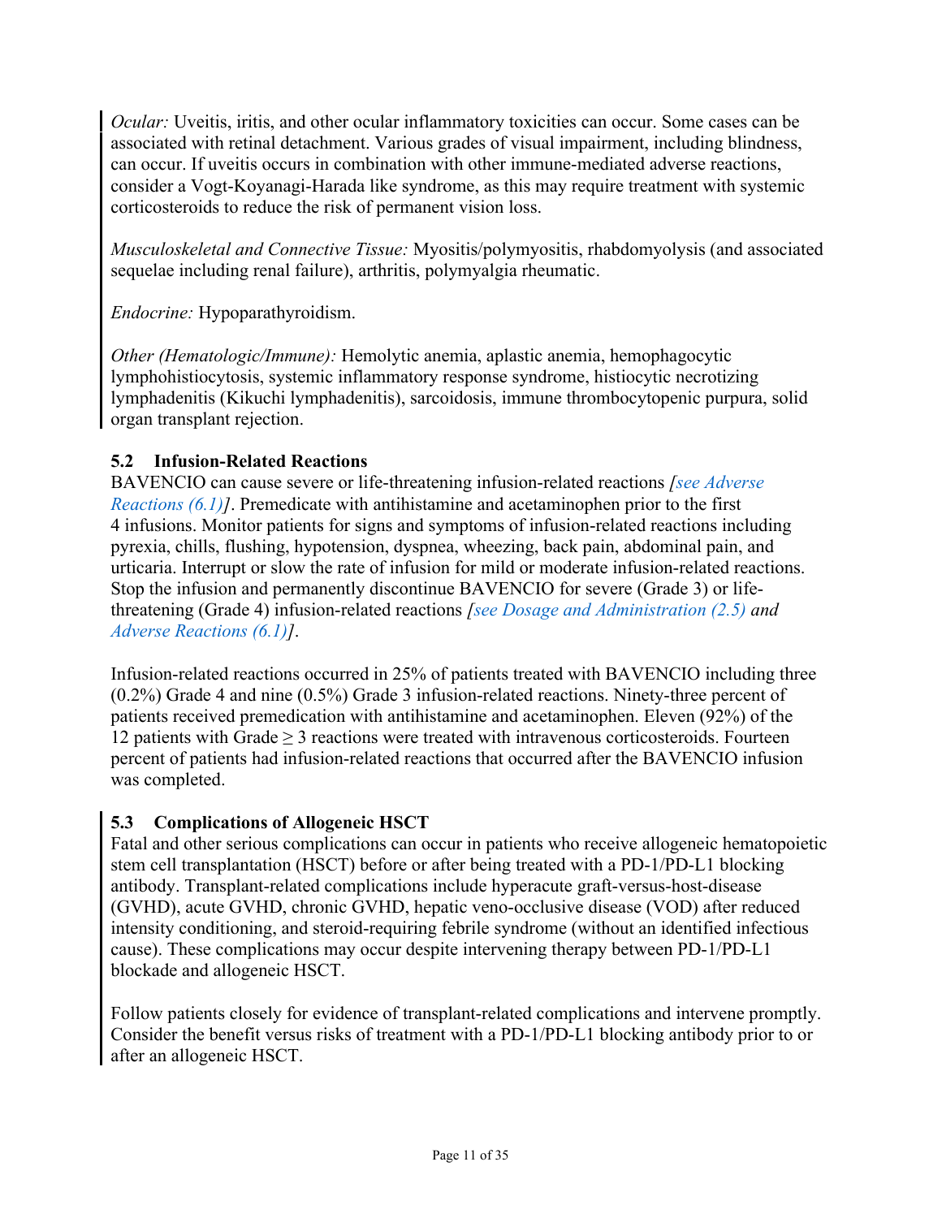*Ocular:* Uveitis, iritis, and other ocular inflammatory toxicities can occur. Some cases can be associated with retinal detachment. Various grades of visual impairment, including blindness, can occur. If uveitis occurs in combination with other immune-mediated adverse reactions, consider a Vogt-Koyanagi-Harada like syndrome, as this may require treatment with systemic corticosteroids to reduce the risk of permanent vision loss.

*Musculoskeletal and Connective Tissue:* Myositis/polymyositis, rhabdomyolysis (and associated sequelae including renal failure), arthritis, polymyalgia rheumatic.

*Endocrine:* Hypoparathyroidism.

*Other (Hematologic/Immune):* Hemolytic anemia, aplastic anemia, hemophagocytic lymphohistiocytosis, systemic inflammatory response syndrome, histiocytic necrotizing lymphadenitis (Kikuchi lymphadenitis), sarcoidosis, immune thrombocytopenic purpura, solid organ transplant rejection.

## <span id="page-10-1"></span>**5.2 Infusion-Related Reactions**

BAVENCIO can cause severe or life-threatening infusion-related reactions *[\[see Adverse](#page-11-2)  [Reactions \(6.1\)\]](#page-11-2)*. Premedicate with antihistamine and acetaminophen prior to the first 4 infusions. Monitor patients for signs and symptoms of infusion-related reactions including pyrexia, chills, flushing, hypotension, dyspnea, wheezing, back pain, abdominal pain, and urticaria. Interrupt or slow the rate of infusion for mild or moderate infusion-related reactions. Stop the infusion and permanently discontinue BAVENCIO for severe (Grade 3) or lifethreatening (Grade 4) infusion-related reactions *[\[see Dosage and Administration \(2.5\)](#page-2-0) and [Adverse Reactions \(6.1\)\]](#page-11-2)*.

Infusion-related reactions occurred in 25% of patients treated with BAVENCIO including three (0.2%) Grade 4 and nine (0.5%) Grade 3 infusion-related reactions. Ninety-three percent of patients received premedication with antihistamine and acetaminophen. Eleven (92%) of the 12 patients with Grade ≥ 3 reactions were treated with intravenous corticosteroids. Fourteen percent of patients had infusion-related reactions that occurred after the BAVENCIO infusion was completed.

### <span id="page-10-0"></span>**5.3 Complications of Allogeneic HSCT**

Fatal and other serious complications can occur in patients who receive allogeneic hematopoietic stem cell transplantation (HSCT) before or after being treated with a PD-1/PD-L1 blocking antibody. Transplant-related complications include hyperacute graft-versus-host-disease (GVHD), acute GVHD, chronic GVHD, hepatic veno-occlusive disease (VOD) after reduced intensity conditioning, and steroid-requiring febrile syndrome (without an identified infectious cause). These complications may occur despite intervening therapy between PD-1/PD-L1 blockade and allogeneic HSCT.

Follow patients closely for evidence of transplant-related complications and intervene promptly. Consider the benefit versus risks of treatment with a PD-1/PD-L1 blocking antibody prior to or after an allogeneic HSCT.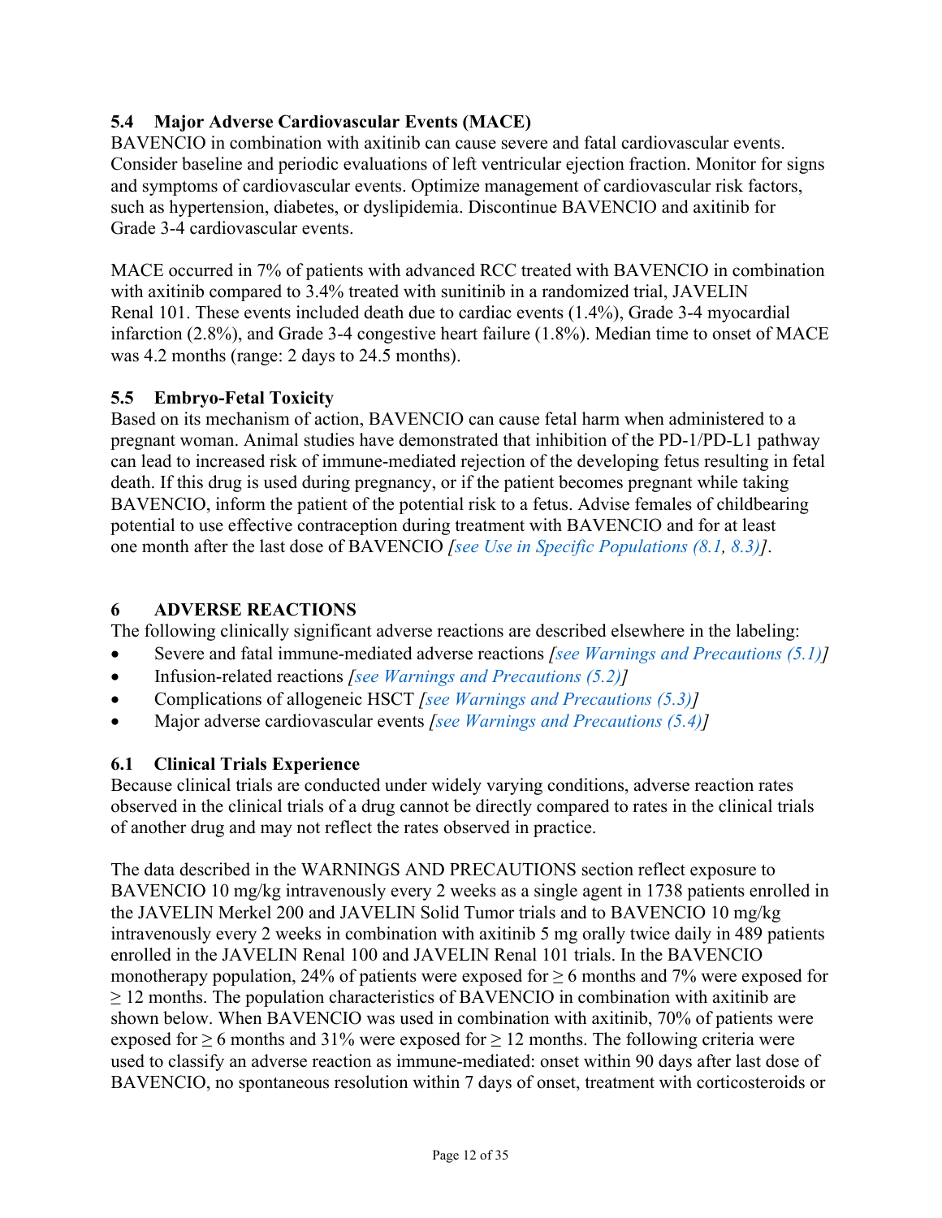## <span id="page-11-0"></span>**5.4 Major Adverse Cardiovascular Events (MACE)**

BAVENCIO in combination with axitinib can cause severe and fatal cardiovascular events. Consider baseline and periodic evaluations of left ventricular ejection fraction. Monitor for signs and symptoms of cardiovascular events. Optimize management of cardiovascular risk factors, such as hypertension, diabetes, or dyslipidemia. Discontinue BAVENCIO and axitinib for Grade 3-4 cardiovascular events.

MACE occurred in 7% of patients with advanced RCC treated with BAVENCIO in combination with axitinib compared to 3.4% treated with sunitinib in a randomized trial, JAVELIN Renal 101. These events included death due to cardiac events (1.4%), Grade 3-4 myocardial infarction (2.8%), and Grade 3-4 congestive heart failure (1.8%). Median time to onset of MACE was 4.2 months (range: 2 days to 24.5 months).

### <span id="page-11-1"></span>**5.5 Embryo-Fetal Toxicity**

Based on its mechanism of action, BAVENCIO can cause fetal harm when administered to a pregnant woman. Animal studies have demonstrated that inhibition of the PD-1/PD-L1 pathway can lead to increased risk of immune-mediated rejection of the developing fetus resulting in fetal death. If this drug is used during pregnancy, or if the patient becomes pregnant while taking BAVENCIO, inform the patient of the potential risk to a fetus. Advise females of childbearing potential to use effective contraception during treatment with BAVENCIO and for at least one month after the last dose of BAVENCIO *[\[see Use in Specific Populations \(8.1,](#page-22-0) [8.3\)\]](#page-23-0)*.

## <span id="page-11-3"></span>**6 ADVERSE REACTIONS**

The following clinically significant adverse reactions are described elsewhere in the labeling:

- Severe and fatal immune-mediated adverse reactions *[\[see Warnings and Precautions \(5.1\)\]](#page-5-0)*
- Infusion-related reactions *[\[see Warnings and Precautions \(5.2\)\]](#page-10-1)*
- Complications of allogeneic HSCT *[\[see Warnings and Precautions \(5.3\)\]](#page-10-0)*
- Major adverse cardiovascular events *[\[see Warnings and Precautions \(5.4\)\]](#page-11-0)*

## <span id="page-11-2"></span>**6.1 Clinical Trials Experience**

Because clinical trials are conducted under widely varying conditions, adverse reaction rates observed in the clinical trials of a drug cannot be directly compared to rates in the clinical trials of another drug and may not reflect the rates observed in practice.

The data described in the WARNINGS AND PRECAUTIONS section reflect exposure to BAVENCIO 10 mg/kg intravenously every 2 weeks as a single agent in 1738 patients enrolled in the JAVELIN Merkel 200 and JAVELIN Solid Tumor trials and to BAVENCIO 10 mg/kg intravenously every 2 weeks in combination with axitinib 5 mg orally twice daily in 489 patients enrolled in the JAVELIN Renal 100 and JAVELIN Renal 101 trials. In the BAVENCIO monotherapy population, 24% of patients were exposed for  $\geq 6$  months and 7% were exposed for  $\geq$  12 months. The population characteristics of BAVENCIO in combination with axitinib are shown below. When BAVENCIO was used in combination with axitinib, 70% of patients were exposed for  $\geq 6$  months and 31% were exposed for  $\geq 12$  months. The following criteria were used to classify an adverse reaction as immune-mediated: onset within 90 days after last dose of BAVENCIO, no spontaneous resolution within 7 days of onset, treatment with corticosteroids or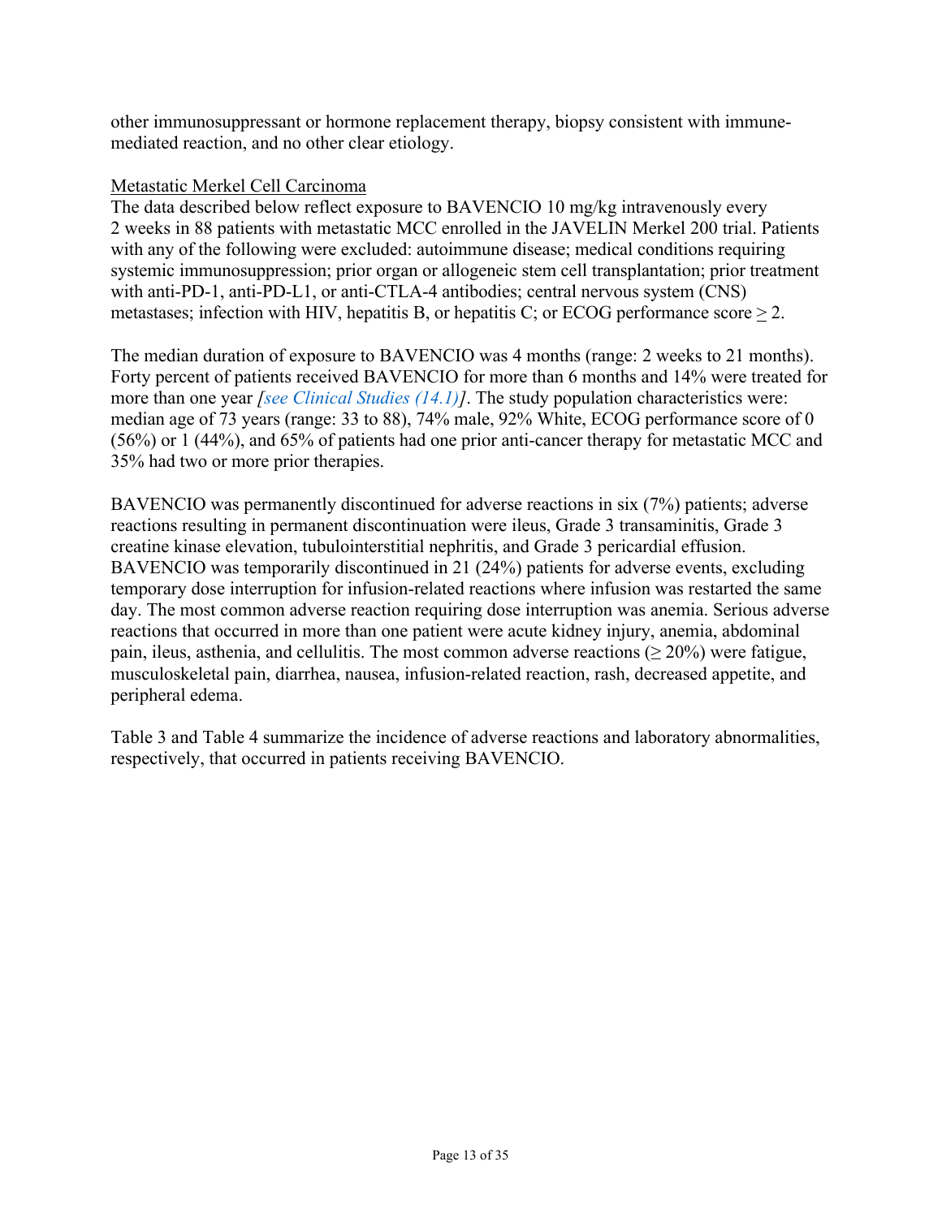other immunosuppressant or hormone replacement therapy, biopsy consistent with immunemediated reaction, and no other clear etiology.

#### Metastatic Merkel Cell Carcinoma

The data described below reflect exposure to BAVENCIO 10 mg/kg intravenously every 2 weeks in 88 patients with metastatic MCC enrolled in the JAVELIN Merkel 200 trial. Patients with any of the following were excluded: autoimmune disease; medical conditions requiring systemic immunosuppression; prior organ or allogeneic stem cell transplantation; prior treatment with anti-PD-1, anti-PD-L1, or anti-CTLA-4 antibodies; central nervous system (CNS) metastases; infection with HIV, hepatitis B, or hepatitis C; or ECOG performance score  $> 2$ .

The median duration of exposure to BAVENCIO was 4 months (range: 2 weeks to 21 months). Forty percent of patients received BAVENCIO for more than 6 months and 14% were treated for more than one year *[\[see Clinical Studies \(14.1\)\]](#page-26-0)*. The study population characteristics were: median age of 73 years (range: 33 to 88), 74% male, 92% White, ECOG performance score of 0 (56%) or 1 (44%), and 65% of patients had one prior anti-cancer therapy for metastatic MCC and 35% had two or more prior therapies.

BAVENCIO was permanently discontinued for adverse reactions in six (7%) patients; adverse reactions resulting in permanent discontinuation were ileus, Grade 3 transaminitis, Grade 3 creatine kinase elevation, tubulointerstitial nephritis, and Grade 3 pericardial effusion. BAVENCIO was temporarily discontinued in 21 (24%) patients for adverse events, excluding temporary dose interruption for infusion-related reactions where infusion was restarted the same day. The most common adverse reaction requiring dose interruption was anemia. Serious adverse reactions that occurred in more than one patient were acute kidney injury, anemia, abdominal pain, ileus, asthenia, and cellulitis. The most common adverse reactions ( $\geq 20\%$ ) were fatigue, musculoskeletal pain, diarrhea, nausea, infusion-related reaction, rash, decreased appetite, and peripheral edema.

[Table](#page-13-0) 3 and [Table](#page-14-0) 4 summarize the incidence of adverse reactions and laboratory abnormalities, respectively, that occurred in patients receiving BAVENCIO.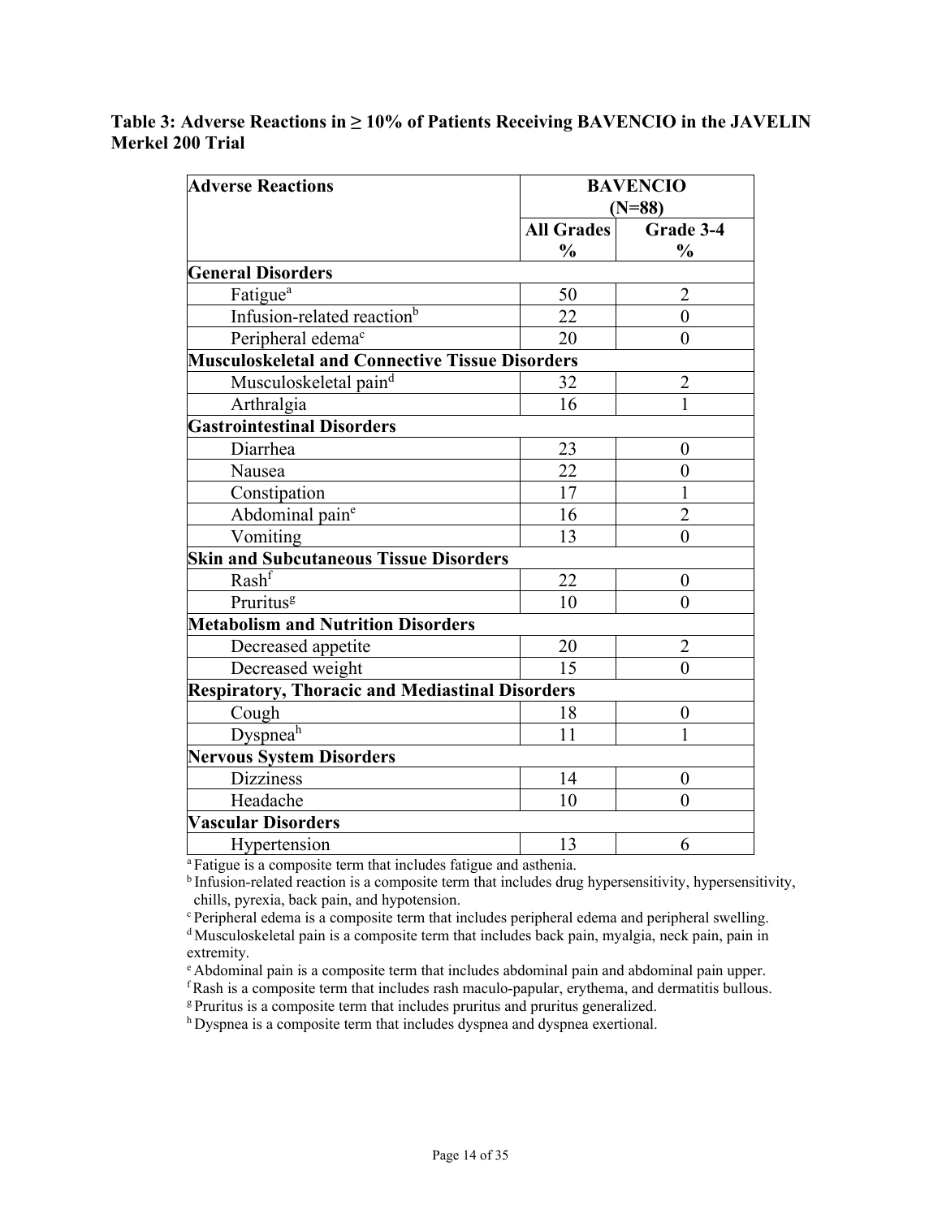## <span id="page-13-0"></span>**Table 3: Adverse Reactions in ≥ 10% of Patients Receiving BAVENCIO in the JAVELIN Merkel 200 Trial**

| <b>Adverse Reactions</b>                               | <b>BAVENCIO</b>   |                  |  |
|--------------------------------------------------------|-------------------|------------------|--|
|                                                        |                   | $(N=88)$         |  |
|                                                        | <b>All Grades</b> | Grade 3-4        |  |
|                                                        | $\frac{0}{0}$     | $\frac{0}{0}$    |  |
| <b>General Disorders</b>                               |                   |                  |  |
| Fatigue <sup>a</sup>                                   | 50                | $\overline{2}$   |  |
| Infusion-related reaction <sup>b</sup>                 | 22                | $\theta$         |  |
| Peripheral edema <sup>c</sup>                          | 20                | $\overline{0}$   |  |
| <b>Musculoskeletal and Connective Tissue Disorders</b> |                   |                  |  |
| Musculoskeletal paind                                  | 32                | $\overline{2}$   |  |
| Arthralgia                                             | 16                |                  |  |
| <b>Gastrointestinal Disorders</b>                      |                   |                  |  |
| Diarrhea                                               | 23                | $\theta$         |  |
| Nausea                                                 | 22                | $\overline{0}$   |  |
| Constipation                                           | 17                | 1                |  |
| Abdominal pain <sup>e</sup>                            | 16                | $\overline{2}$   |  |
| Vomiting                                               | 13                | $\theta$         |  |
| <b>Skin and Subcutaneous Tissue Disorders</b>          |                   |                  |  |
| Rash <sup>f</sup>                                      | 22                | $\theta$         |  |
| Pruritus <sup>g</sup>                                  | 10                | $\theta$         |  |
| <b>Metabolism and Nutrition Disorders</b>              |                   |                  |  |
| Decreased appetite                                     | 20                | $\overline{2}$   |  |
| Decreased weight                                       | 15                | $\theta$         |  |
| <b>Respiratory, Thoracic and Mediastinal Disorders</b> |                   |                  |  |
| Cough                                                  | 18                | $\boldsymbol{0}$ |  |
| Dyspneah                                               | 11                | 1                |  |
| <b>Nervous System Disorders</b>                        |                   |                  |  |
| <b>Dizziness</b>                                       | 14                | $\boldsymbol{0}$ |  |
| Headache                                               | 10                | $\theta$         |  |
| <b>Vascular Disorders</b>                              |                   |                  |  |
| Hypertension                                           | 13                | 6                |  |

<sup>a</sup> Fatigue is a composite term that includes fatigue and asthenia.

<sup>b</sup> Infusion-related reaction is a composite term that includes drug hypersensitivity, hypersensitivity, chills, pyrexia, back pain, and hypotension.

<sup>c</sup> Peripheral edema is a composite term that includes peripheral edema and peripheral swelling.

<sup>d</sup> Musculoskeletal pain is a composite term that includes back pain, myalgia, neck pain, pain in extremity.

e Abdominal pain is a composite term that includes abdominal pain and abdominal pain upper.

 $f$ Rash is a composite term that includes rash maculo-papular, erythema, and dermatitis bullous.

g Pruritus is a composite term that includes pruritus and pruritus generalized.

h Dyspnea is a composite term that includes dyspnea and dyspnea exertional.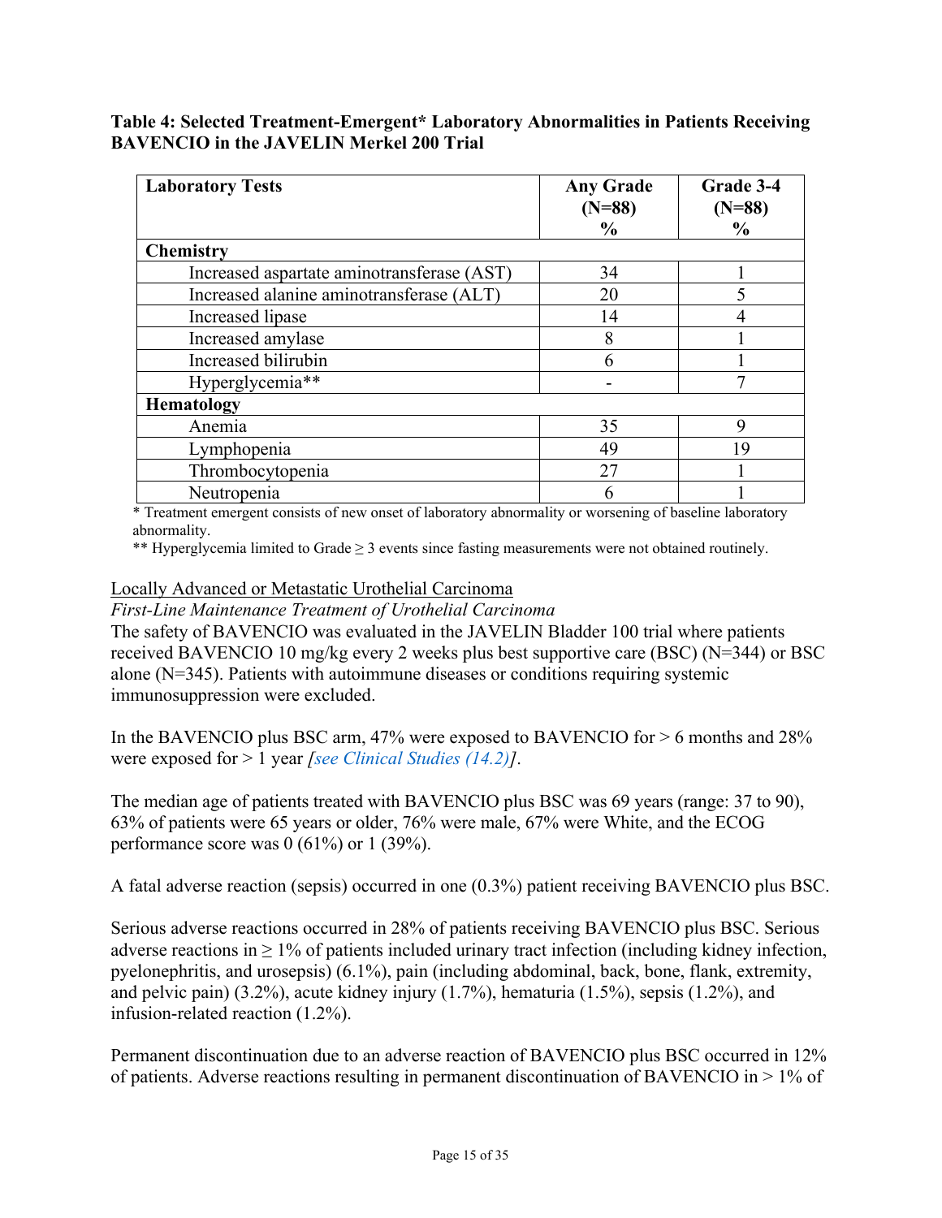#### <span id="page-14-0"></span>**Table 4: Selected Treatment-Emergent\* Laboratory Abnormalities in Patients Receiving BAVENCIO in the JAVELIN Merkel 200 Trial**

| <b>Laboratory Tests</b>                    | <b>Any Grade</b><br>$(N=88)$ | Grade 3-4<br>$(N=88)$ |
|--------------------------------------------|------------------------------|-----------------------|
|                                            | $\frac{0}{0}$                | $\frac{6}{9}$         |
| <b>Chemistry</b>                           |                              |                       |
| Increased aspartate aminotransferase (AST) | 34                           |                       |
| Increased alanine aminotransferase (ALT)   | 20                           |                       |
| Increased lipase                           | 14                           |                       |
| Increased amylase                          | 8                            |                       |
| Increased bilirubin                        | h                            |                       |
| Hyperglycemia**                            |                              | ⇁                     |
| <b>Hematology</b>                          |                              |                       |
| Anemia                                     | 35                           | 9                     |
| Lymphopenia                                | 49                           | 19                    |
| Thrombocytopenia                           | 27                           |                       |
| Neutropenia                                |                              |                       |

\* Treatment emergent consists of new onset of laboratory abnormality or worsening of baseline laboratory abnormality.

\*\* Hyperglycemia limited to Grade ≥ 3 events since fasting measurements were not obtained routinely.

#### Locally Advanced or Metastatic Urothelial Carcinoma

#### *First-Line Maintenance Treatment of Urothelial Carcinoma*

The safety of BAVENCIO was evaluated in the JAVELIN Bladder 100 trial where patients received BAVENCIO 10 mg/kg every 2 weeks plus best supportive care (BSC) (N=344) or BSC alone (N=345). Patients with autoimmune diseases or conditions requiring systemic immunosuppression were excluded.

In the BAVENCIO plus BSC arm, 47% were exposed to BAVENCIO for > 6 months and 28% were exposed for > 1 year *[\[see Clinical Studies \(14.2\)\]](#page-27-0)*.

The median age of patients treated with BAVENCIO plus BSC was 69 years (range: 37 to 90), 63% of patients were 65 years or older, 76% were male, 67% were White, and the ECOG performance score was 0 (61%) or 1 (39%).

A fatal adverse reaction (sepsis) occurred in one (0.3%) patient receiving BAVENCIO plus BSC.

Serious adverse reactions occurred in 28% of patients receiving BAVENCIO plus BSC. Serious adverse reactions in  $\geq 1\%$  of patients included urinary tract infection (including kidney infection, pyelonephritis, and urosepsis) (6.1%), pain (including abdominal, back, bone, flank, extremity, and pelvic pain) (3.2%), acute kidney injury (1.7%), hematuria (1.5%), sepsis (1.2%), and infusion-related reaction (1.2%).

Permanent discontinuation due to an adverse reaction of BAVENCIO plus BSC occurred in 12% of patients. Adverse reactions resulting in permanent discontinuation of BAVENCIO in > 1% of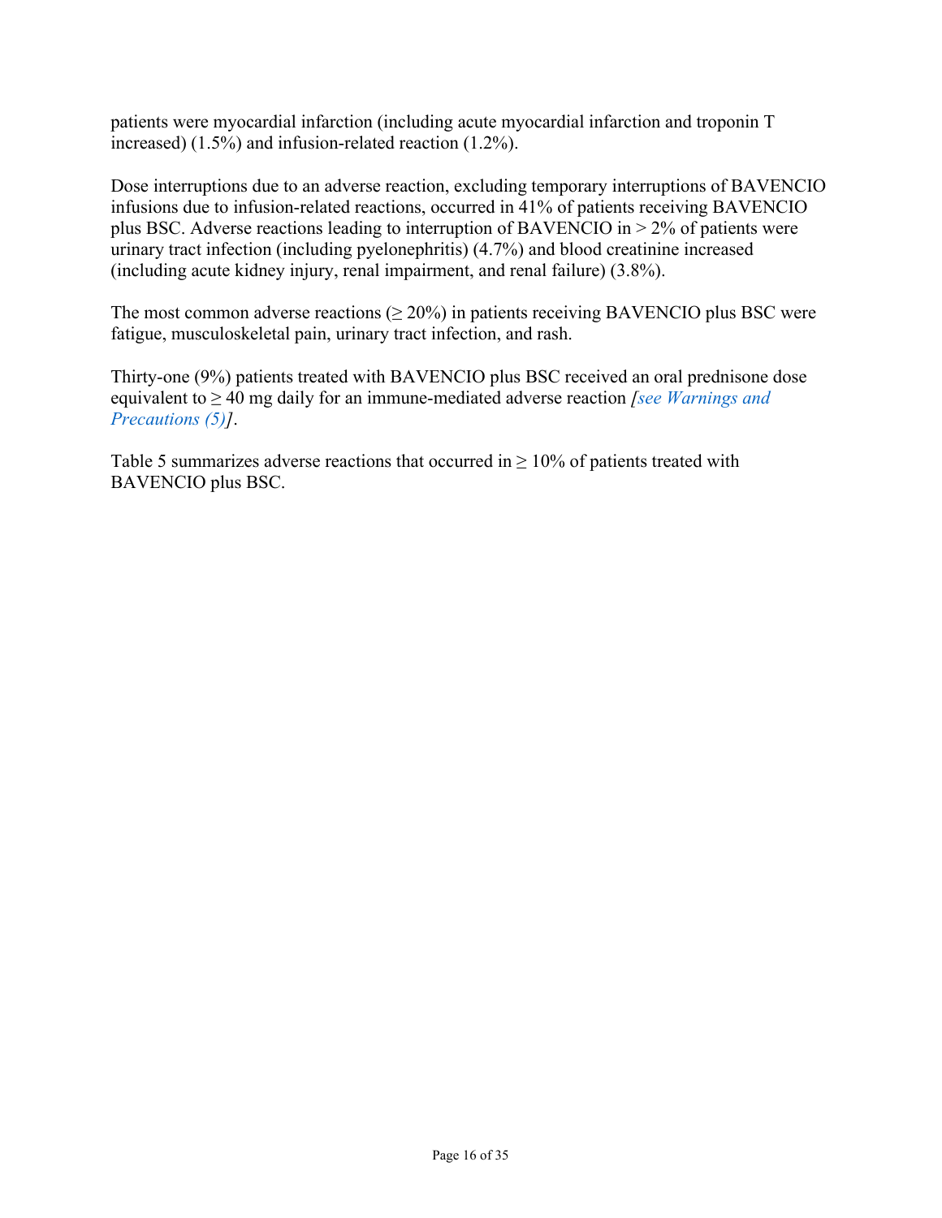patients were myocardial infarction (including acute myocardial infarction and troponin T increased) (1.5%) and infusion-related reaction (1.2%).

Dose interruptions due to an adverse reaction, excluding temporary interruptions of BAVENCIO infusions due to infusion-related reactions, occurred in 41% of patients receiving BAVENCIO plus BSC. Adverse reactions leading to interruption of BAVENCIO in > 2% of patients were urinary tract infection (including pyelonephritis) (4.7%) and blood creatinine increased (including acute kidney injury, renal impairment, and renal failure) (3.8%).

The most common adverse reactions  $(\geq 20\%)$  in patients receiving BAVENCIO plus BSC were fatigue, musculoskeletal pain, urinary tract infection, and rash.

Thirty-one (9%) patients treated with BAVENCIO plus BSC received an oral prednisone dose equivalent to ≥ 40 mg daily for an immune-mediated adverse reaction *[\[see Warnings and](#page-5-3)  [Precautions \(5\)\]](#page-5-3)*.

[Table](#page-16-0) 5 summarizes adverse reactions that occurred in  $\geq 10\%$  of patients treated with BAVENCIO plus BSC.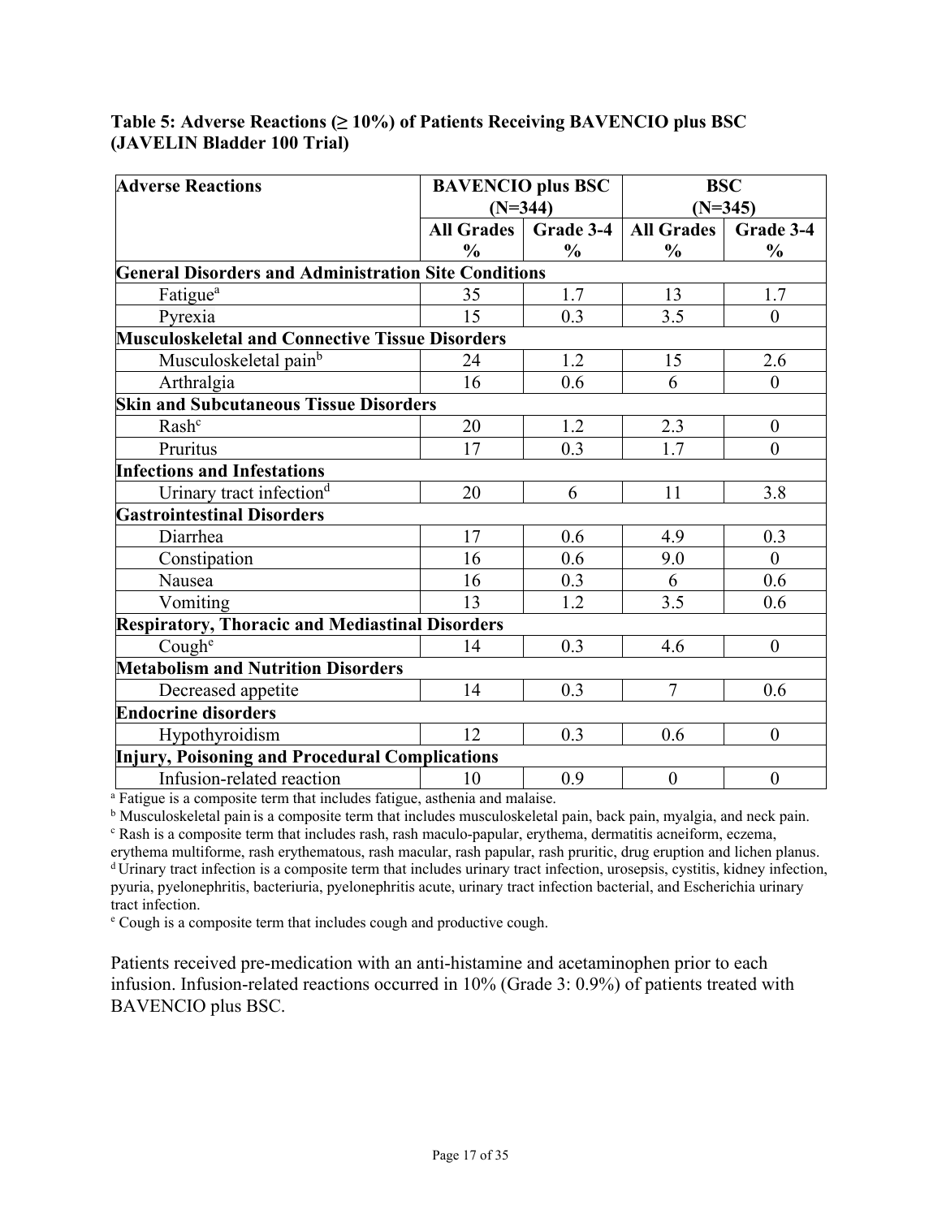#### <span id="page-16-0"></span>**Table 5: Adverse Reactions (≥ 10%) of Patients Receiving BAVENCIO plus BSC (JAVELIN Bladder 100 Trial)**

| <b>Adverse Reactions</b>                                    | <b>BAVENCIO</b> plus BSC<br>$(N=344)$ |               | <b>BSC</b><br>$(N=345)$ |                  |
|-------------------------------------------------------------|---------------------------------------|---------------|-------------------------|------------------|
|                                                             |                                       |               |                         |                  |
|                                                             | <b>All Grades</b>                     | Grade 3-4     | <b>All Grades</b>       | Grade 3-4        |
|                                                             | $\frac{0}{0}$                         | $\frac{0}{0}$ | $\frac{0}{0}$           | $\frac{0}{0}$    |
| <b>General Disorders and Administration Site Conditions</b> |                                       |               |                         |                  |
| Fatigue <sup>a</sup>                                        | 35                                    | 1.7           | 13                      | 1.7              |
| Pyrexia                                                     | 15                                    | 0.3           | 3.5                     | $\theta$         |
| <b>Musculoskeletal and Connective Tissue Disorders</b>      |                                       |               |                         |                  |
| Musculoskeletal pain <sup>b</sup>                           | 24                                    | 1.2           | 15                      | 2.6              |
| Arthralgia                                                  | 16                                    | 0.6           | 6                       | $\theta$         |
| <b>Skin and Subcutaneous Tissue Disorders</b>               |                                       |               |                         |                  |
| Rash <sup>c</sup>                                           | 20                                    | 1.2           | 2.3                     | $\boldsymbol{0}$ |
| Pruritus                                                    | 17                                    | 0.3           | 1.7                     | $\theta$         |
| <b>Infections and Infestations</b>                          |                                       |               |                         |                  |
| Urinary tract infection <sup>d</sup>                        | 20                                    | 6             | 11                      | 3.8              |
| <b>Gastrointestinal Disorders</b>                           |                                       |               |                         |                  |
| Diarrhea                                                    | 17                                    | 0.6           | 4.9                     | 0.3              |
| Constipation                                                | 16                                    | 0.6           | 9.0                     | $\overline{0}$   |
| Nausea                                                      | 16                                    | 0.3           | 6                       | 0.6              |
| Vomiting                                                    | 13                                    | 1.2           | 3.5                     | 0.6              |
| <b>Respiratory, Thoracic and Mediastinal Disorders</b>      |                                       |               |                         |                  |
| Cough <sup>e</sup>                                          | 14                                    | 0.3           | 4.6                     | $\theta$         |
| <b>Metabolism and Nutrition Disorders</b>                   |                                       |               |                         |                  |
| Decreased appetite                                          | 14                                    | 0.3           | $\overline{7}$          | 0.6              |
| <b>Endocrine disorders</b>                                  |                                       |               |                         |                  |
| Hypothyroidism                                              | 12                                    | 0.3           | 0.6                     | $\mathbf{0}$     |
| Injury, Poisoning and Procedural Complications              |                                       |               |                         |                  |
| Infusion-related reaction                                   | 10                                    | 0.9           | $\boldsymbol{0}$        | $\boldsymbol{0}$ |

<sup>a</sup> Fatigue is a composite term that includes fatigue, asthenia and malaise.

<sup>b</sup> Musculoskeletal pain is a composite term that includes musculoskeletal pain, back pain, myalgia, and neck pain. <sup>c</sup> Rash is a composite term that includes rash, rash maculo-papular, erythema, dermatitis acneiform, eczema, erythema multiforme, rash erythematous, rash macular, rash papular, rash pruritic, drug eruption and lichen planus. d Urinary tract infection is a composite term that includes urinary tract infection, urosepsis, cystitis, kidney infection, pyuria, pyelonephritis, bacteriuria, pyelonephritis acute, urinary tract infection bacterial, and Escherichia urinary

tract infection. <sup>e</sup> Cough is a composite term that includes cough and productive cough.

Patients received pre-medication with an anti-histamine and acetaminophen prior to each infusion. Infusion-related reactions occurred in 10% (Grade 3: 0.9%) of patients treated with BAVENCIO plus BSC.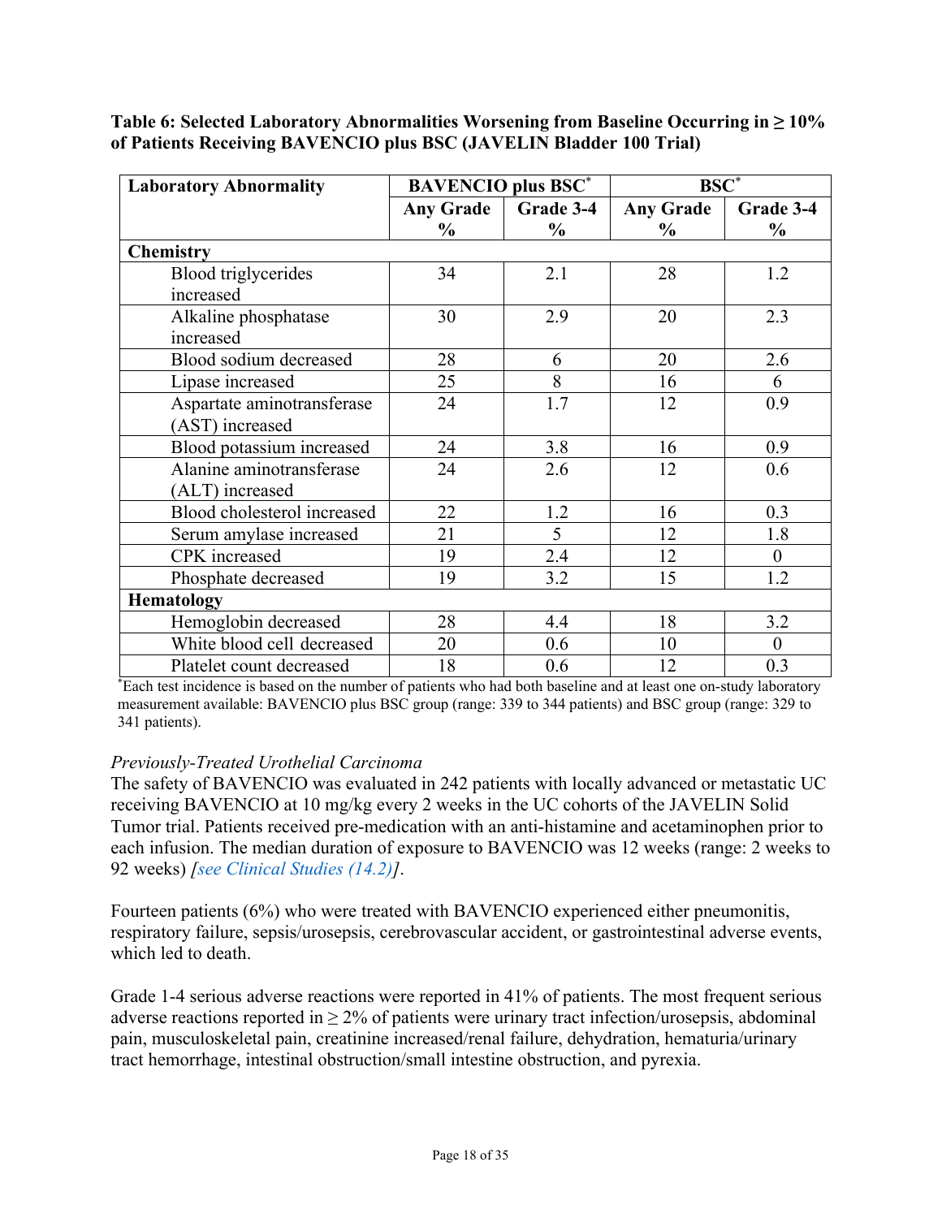| <b>Laboratory Abnormality</b> | <b>BAVENCIO</b> plus BSC* |               | $BSC^*$          |                |
|-------------------------------|---------------------------|---------------|------------------|----------------|
|                               | <b>Any Grade</b>          | Grade 3-4     | <b>Any Grade</b> | Grade 3-4      |
|                               | $\frac{0}{0}$             | $\frac{0}{0}$ | $\frac{6}{9}$    | $\frac{6}{9}$  |
| <b>Chemistry</b>              |                           |               |                  |                |
| Blood triglycerides           | 34                        | 2.1           | 28               | 1.2            |
| increased                     |                           |               |                  |                |
| Alkaline phosphatase          | 30                        | 2.9           | 20               | 2.3            |
| increased                     |                           |               |                  |                |
| Blood sodium decreased        | 28                        | 6             | 20               | 2.6            |
| Lipase increased              | 25                        | 8             | 16               | 6              |
| Aspartate aminotransferase    | 24                        | 1.7           | 12               | 0.9            |
| (AST) increased               |                           |               |                  |                |
| Blood potassium increased     | 24                        | 3.8           | 16               | 0.9            |
| Alanine aminotransferase      | 24                        | 2.6           | 12               | 0.6            |
| (ALT) increased               |                           |               |                  |                |
| Blood cholesterol increased   | 22                        | 1.2           | 16               | 0.3            |
| Serum amylase increased       | 21                        | 5             | 12               | 1.8            |
| CPK increased                 | 19                        | 2.4           | 12               | $\theta$       |
| Phosphate decreased           | 19                        | 3.2           | 15               | 1.2            |
| <b>Hematology</b>             |                           |               |                  |                |
| Hemoglobin decreased          | 28                        | 4.4           | 18               | 3.2            |
| White blood cell decreased    | 20                        | 0.6           | 10               | $\overline{0}$ |
| Platelet count decreased      | 18                        | 0.6           | 12               | 0.3            |

**Table 6: Selected Laboratory Abnormalities Worsening from Baseline Occurring in ≥ 10% of Patients Receiving BAVENCIO plus BSC (JAVELIN Bladder 100 Trial)**

\* Each test incidence is based on the number of patients who had both baseline and at least one on-study laboratory measurement available: BAVENCIO plus BSC group (range: 339 to 344 patients) and BSC group (range: 329 to 341 patients).

### *Previously-Treated Urothelial Carcinoma*

The safety of BAVENCIO was evaluated in 242 patients with locally advanced or metastatic UC receiving BAVENCIO at 10 mg/kg every 2 weeks in the UC cohorts of the JAVELIN Solid Tumor trial. Patients received pre-medication with an anti-histamine and acetaminophen prior to each infusion. The median duration of exposure to BAVENCIO was 12 weeks (range: 2 weeks to 92 weeks) *[\[see Clinical Studies \(14.2\)\]](#page-27-0)*.

Fourteen patients (6%) who were treated with BAVENCIO experienced either pneumonitis, respiratory failure, sepsis/urosepsis, cerebrovascular accident, or gastrointestinal adverse events, which led to death.

Grade 1-4 serious adverse reactions were reported in 41% of patients. The most frequent serious adverse reactions reported in  $\geq 2\%$  of patients were urinary tract infection/urosepsis, abdominal pain, musculoskeletal pain, creatinine increased/renal failure, dehydration, hematuria/urinary tract hemorrhage, intestinal obstruction/small intestine obstruction, and pyrexia.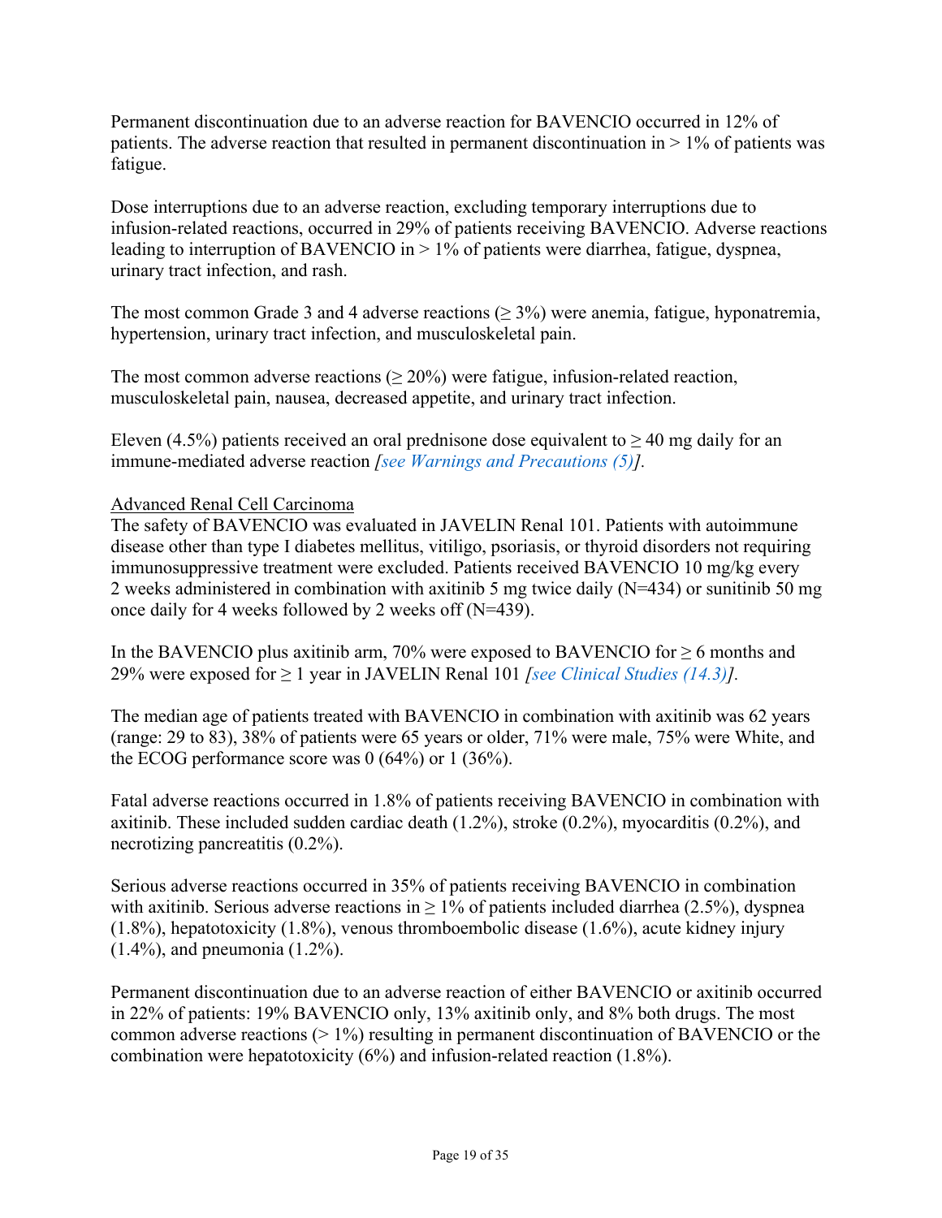Permanent discontinuation due to an adverse reaction for BAVENCIO occurred in 12% of patients. The adverse reaction that resulted in permanent discontinuation in  $> 1\%$  of patients was fatigue.

Dose interruptions due to an adverse reaction, excluding temporary interruptions due to infusion-related reactions, occurred in 29% of patients receiving BAVENCIO. Adverse reactions leading to interruption of BAVENCIO in > 1% of patients were diarrhea, fatigue, dyspnea, urinary tract infection, and rash.

The most common Grade 3 and 4 adverse reactions ( $\geq$  3%) were anemia, fatigue, hyponatremia, hypertension, urinary tract infection, and musculoskeletal pain.

The most common adverse reactions ( $\geq 20\%$ ) were fatigue, infusion-related reaction, musculoskeletal pain, nausea, decreased appetite, and urinary tract infection.

Eleven (4.5%) patients received an oral prednisone dose equivalent to  $\geq$  40 mg daily for an immune-mediated adverse reaction *[\[see Warnings and Precautions \(5\)\]](#page-5-3).*

### Advanced Renal Cell Carcinoma

The safety of BAVENCIO was evaluated in JAVELIN Renal 101. Patients with autoimmune disease other than type I diabetes mellitus, vitiligo, psoriasis, or thyroid disorders not requiring immunosuppressive treatment were excluded. Patients received BAVENCIO 10 mg/kg every 2 weeks administered in combination with axitinib 5 mg twice daily (N=434) or sunitinib 50 mg once daily for 4 weeks followed by 2 weeks off (N=439).

In the BAVENCIO plus axitinib arm, 70% were exposed to BAVENCIO for  $\geq 6$  months and 29% were exposed for ≥ 1 year in JAVELIN Renal 101 *[\[see Clinical Studies \(14.3\)\]](#page-30-0).*

The median age of patients treated with BAVENCIO in combination with axitinib was 62 years (range: 29 to 83), 38% of patients were 65 years or older, 71% were male, 75% were White, and the ECOG performance score was 0 (64%) or 1 (36%).

Fatal adverse reactions occurred in 1.8% of patients receiving BAVENCIO in combination with axitinib. These included sudden cardiac death (1.2%), stroke (0.2%), myocarditis (0.2%), and necrotizing pancreatitis (0.2%).

Serious adverse reactions occurred in 35% of patients receiving BAVENCIO in combination with axitinib. Serious adverse reactions in  $\geq 1\%$  of patients included diarrhea (2.5%), dyspnea (1.8%), hepatotoxicity (1.8%), venous thromboembolic disease (1.6%), acute kidney injury (1.4%), and pneumonia (1.2%).

Permanent discontinuation due to an adverse reaction of either BAVENCIO or axitinib occurred in 22% of patients: 19% BAVENCIO only, 13% axitinib only, and 8% both drugs. The most common adverse reactions (> 1%) resulting in permanent discontinuation of BAVENCIO or the combination were hepatotoxicity (6%) and infusion-related reaction (1.8%).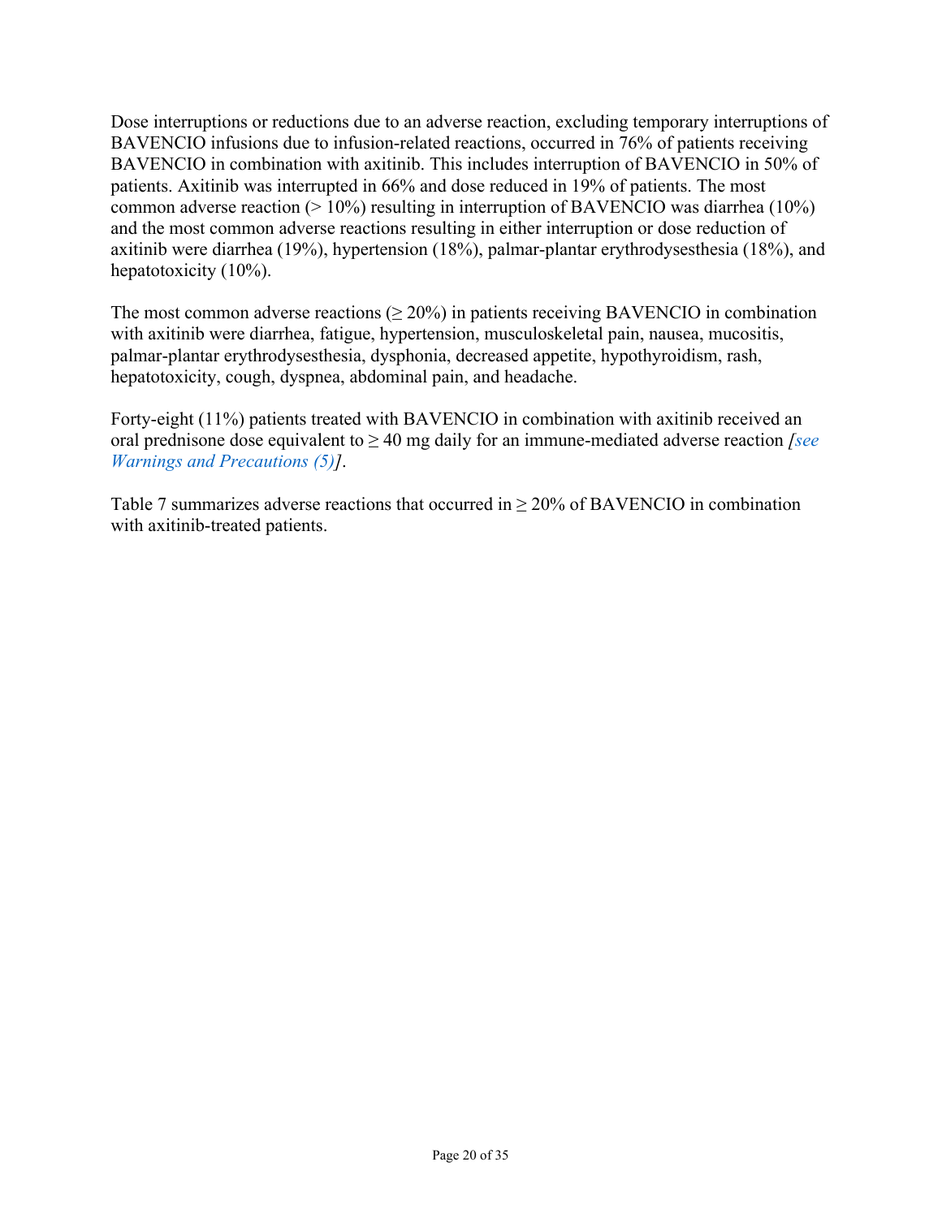Dose interruptions or reductions due to an adverse reaction, excluding temporary interruptions of BAVENCIO infusions due to infusion-related reactions, occurred in 76% of patients receiving BAVENCIO in combination with axitinib. This includes interruption of BAVENCIO in 50% of patients. Axitinib was interrupted in 66% and dose reduced in 19% of patients. The most common adverse reaction ( $> 10\%$ ) resulting in interruption of BAVENCIO was diarrhea (10%) and the most common adverse reactions resulting in either interruption or dose reduction of axitinib were diarrhea (19%), hypertension (18%), palmar-plantar erythrodysesthesia (18%), and hepatotoxicity (10%).

The most common adverse reactions  $(\geq 20\%)$  in patients receiving BAVENCIO in combination with axitinib were diarrhea, fatigue, hypertension, musculoskeletal pain, nausea, mucositis, palmar-plantar erythrodysesthesia, dysphonia, decreased appetite, hypothyroidism, rash, hepatotoxicity, cough, dyspnea, abdominal pain, and headache.

Forty-eight (11%) patients treated with BAVENCIO in combination with axitinib received an oral prednisone dose equivalent to ≥ 40 mg daily for an immune-mediated adverse reaction *[\[see](#page-5-3)  [Warnings and Precautions \(5\)\]](#page-5-3)*.

[Table](#page-20-0) 7 summarizes adverse reactions that occurred in  $\geq 20\%$  of BAVENCIO in combination with axitinib-treated patients.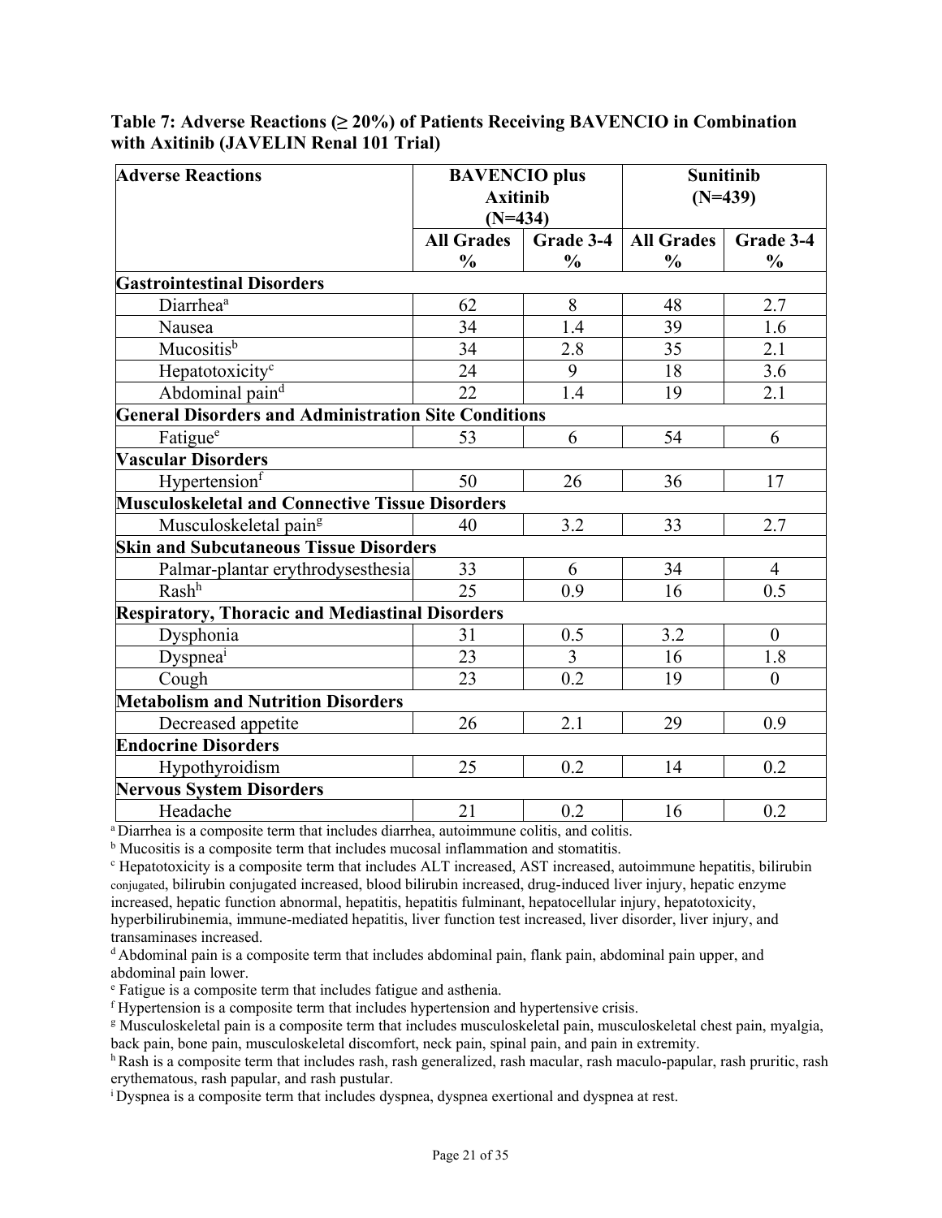| <b>Adverse Reactions</b>                                    | <b>BAVENCIO</b> plus<br><b>Axitinib</b><br>$(N=434)$ |                | <b>Sunitinib</b><br>$(N=439)$ |                |
|-------------------------------------------------------------|------------------------------------------------------|----------------|-------------------------------|----------------|
|                                                             | <b>All Grades</b>                                    | Grade 3-4      | <b>All Grades</b>             | Grade 3-4      |
|                                                             | $\frac{0}{0}$                                        | $\frac{0}{0}$  | $\frac{0}{0}$                 | $\frac{0}{0}$  |
| <b>Gastrointestinal Disorders</b>                           |                                                      |                |                               |                |
| Diarrhea <sup>a</sup>                                       | 62                                                   | 8              | 48                            | 2.7            |
| Nausea                                                      | 34                                                   | 1.4            | 39                            | 1.6            |
| Mucositis <sup>b</sup>                                      | 34                                                   | 2.8            | 35                            | 2.1            |
| Hepatotoxicity <sup>c</sup>                                 | 24                                                   | 9              | 18                            | 3.6            |
| Abdominal pain <sup>d</sup>                                 | 22                                                   | 1.4            | 19                            | 2.1            |
| <b>General Disorders and Administration Site Conditions</b> |                                                      |                |                               |                |
| Fatigue <sup>e</sup>                                        | 53                                                   | 6              | 54                            | 6              |
| <b>Vascular Disorders</b>                                   |                                                      |                |                               |                |
| Hypertensionf                                               | 50                                                   | 26             | 36                            | 17             |
| <b>Musculoskeletal and Connective Tissue Disorders</b>      |                                                      |                |                               |                |
| Musculoskeletal pain <sup>g</sup>                           | 40                                                   | 3.2            | 33                            | 2.7            |
| <b>Skin and Subcutaneous Tissue Disorders</b>               |                                                      |                |                               |                |
| Palmar-plantar erythrodysesthesia                           | 33                                                   | 6              | 34                            | $\overline{4}$ |
| Rash <sup>h</sup>                                           | 25                                                   | 0.9            | 16                            | 0.5            |
| <b>Respiratory, Thoracic and Mediastinal Disorders</b>      |                                                      |                |                               |                |
| Dysphonia                                                   | 31                                                   | 0.5            | 3.2                           | $\overline{0}$ |
| Dyspnea <sup>i</sup>                                        | 23                                                   | $\overline{3}$ | 16                            | 1.8            |
| Cough                                                       | 23                                                   | 0.2            | 19                            | $\theta$       |
| <b>Metabolism and Nutrition Disorders</b>                   |                                                      |                |                               |                |
| Decreased appetite                                          | 26                                                   | 2.1            | 29                            | 0.9            |
| <b>Endocrine Disorders</b>                                  |                                                      |                |                               |                |
| Hypothyroidism                                              | 25                                                   | 0.2            | 14                            | 0.2            |
| <b>Nervous System Disorders</b>                             |                                                      |                |                               |                |
| Headache                                                    | 21                                                   | 0.2            | 16                            | 0.2            |

#### <span id="page-20-0"></span>**Table 7: Adverse Reactions (≥ 20%) of Patients Receiving BAVENCIO in Combination with Axitinib (JAVELIN Renal 101 Trial)**

<sup>a</sup> Diarrhea is a composite term that includes diarrhea, autoimmune colitis, and colitis.

<sup>b</sup> Mucositis is a composite term that includes mucosal inflammation and stomatitis.

<sup>c</sup> Hepatotoxicity is a composite term that includes ALT increased, AST increased, autoimmune hepatitis, bilirubin conjugated, bilirubin conjugated increased, blood bilirubin increased, drug-induced liver injury, hepatic enzyme increased, hepatic function abnormal, hepatitis, hepatitis fulminant, hepatocellular injury, hepatotoxicity, hyperbilirubinemia, immune-mediated hepatitis, liver function test increased, liver disorder, liver injury, and transaminases increased.

<sup>d</sup> Abdominal pain is a composite term that includes abdominal pain, flank pain, abdominal pain upper, and abdominal pain lower.

<sup>e</sup> Fatigue is a composite term that includes fatigue and asthenia.

<sup>f</sup> Hypertension is a composite term that includes hypertension and hypertensive crisis.

<sup>g</sup> Musculoskeletal pain is a composite term that includes musculoskeletal pain, musculoskeletal chest pain, myalgia, back pain, bone pain, musculoskeletal discomfort, neck pain, spinal pain, and pain in extremity.

 $h$ Rash is a composite term that includes rash, rash generalized, rash macular, rash maculo-papular, rash pruritic, rash erythematous, rash papular, and rash pustular.

<sup>i</sup> Dyspnea is a composite term that includes dyspnea, dyspnea exertional and dyspnea at rest.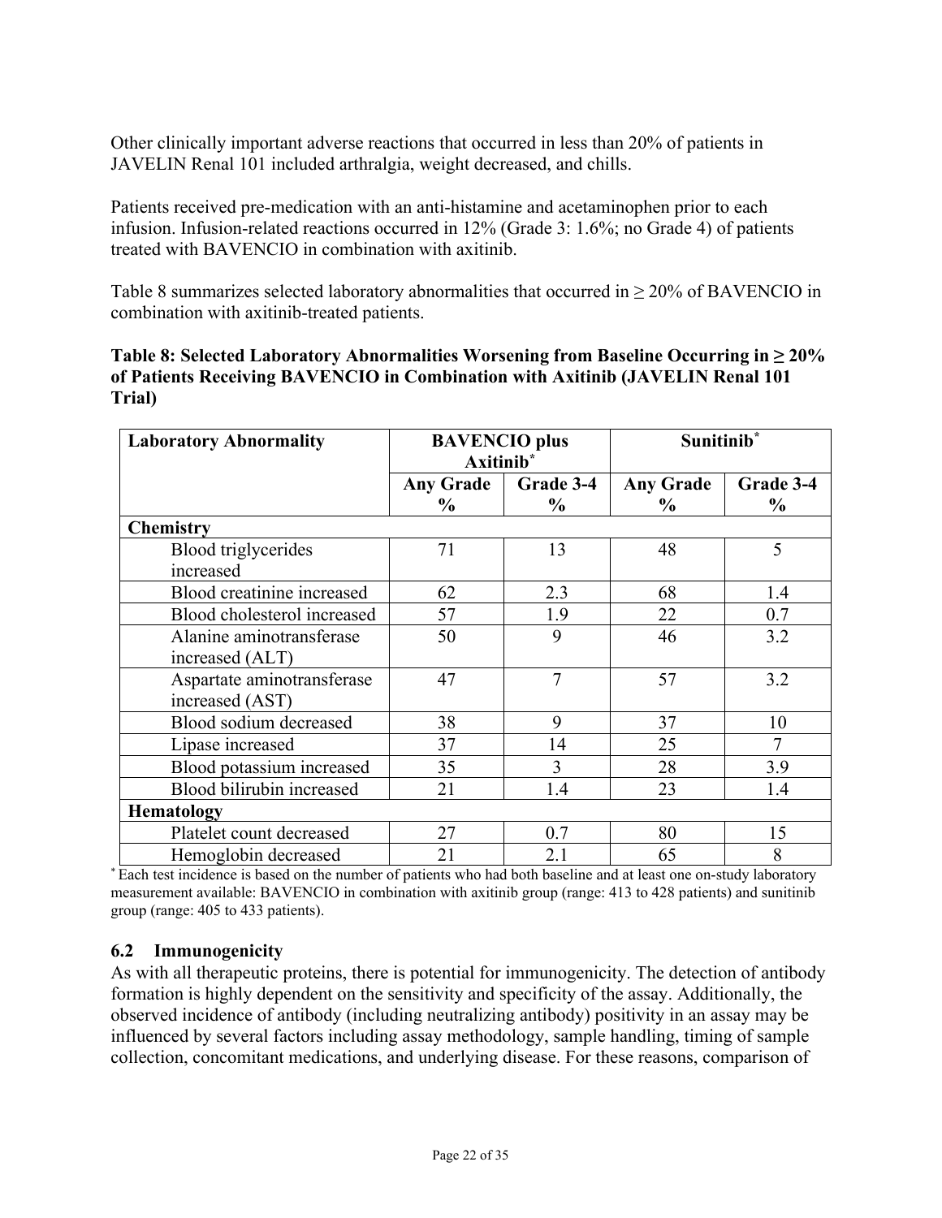Other clinically important adverse reactions that occurred in less than 20% of patients in JAVELIN Renal 101 included arthralgia, weight decreased, and chills.

Patients received pre-medication with an anti-histamine and acetaminophen prior to each infusion. Infusion-related reactions occurred in 12% (Grade 3: 1.6%; no Grade 4) of patients treated with BAVENCIO in combination with axitinib.

[Table](#page-21-1) 8 summarizes selected laboratory abnormalities that occurred in  $\geq$  20% of BAVENCIO in combination with axitinib-treated patients.

<span id="page-21-1"></span>

| Table 8: Selected Laboratory Abnormalities Worsening from Baseline Occurring in $\geq 20\%$ |
|---------------------------------------------------------------------------------------------|
| of Patients Receiving BAVENCIO in Combination with Axitinib (JAVELIN Renal 101)             |
| Trial)                                                                                      |

| <b>Laboratory Abnormality</b>                 | <b>BAVENCIO</b> plus<br>Axitinib <sup>*</sup> |                   | Sunitinib <sup>*</sup>   |                            |  |
|-----------------------------------------------|-----------------------------------------------|-------------------|--------------------------|----------------------------|--|
|                                               | <b>Any Grade</b><br>$\%$                      | Grade 3-4<br>$\%$ | <b>Any Grade</b><br>$\%$ | Grade 3-4<br>$\frac{6}{9}$ |  |
| <b>Chemistry</b>                              |                                               |                   |                          |                            |  |
| <b>Blood</b> triglycerides<br>increased       | 71                                            | 13                | 48                       | 5                          |  |
| Blood creatinine increased                    | 62                                            | 2.3               | 68                       | 1.4                        |  |
| Blood cholesterol increased                   | 57                                            | 1.9               | 22                       | 0.7                        |  |
| Alanine aminotransferase<br>increased (ALT)   | 50                                            | 9                 | 46                       | 3.2                        |  |
| Aspartate aminotransferase<br>increased (AST) | 47                                            | 7                 | 57                       | 3.2                        |  |
| Blood sodium decreased                        | 38                                            | 9                 | 37                       | 10                         |  |
| Lipase increased                              | 37                                            | 14                | 25                       |                            |  |
| Blood potassium increased                     | 35                                            | 3                 | 28                       | 3.9                        |  |
| Blood bilirubin increased                     | 21                                            | 1.4               | 23                       | 1.4                        |  |
| <b>Hematology</b>                             |                                               |                   |                          |                            |  |
| Platelet count decreased                      | 27                                            | 0.7               | 80                       | 15                         |  |
| Hemoglobin decreased                          | 21                                            | 2.1               | 65                       | 8                          |  |

\* Each test incidence is based on the number of patients who had both baseline and at least one on-study laboratory measurement available: BAVENCIO in combination with axitinib group (range: 413 to 428 patients) and sunitinib group (range: 405 to 433 patients).

### <span id="page-21-0"></span>**6.2 Immunogenicity**

As with all therapeutic proteins, there is potential for immunogenicity. The detection of antibody formation is highly dependent on the sensitivity and specificity of the assay. Additionally, the observed incidence of antibody (including neutralizing antibody) positivity in an assay may be influenced by several factors including assay methodology, sample handling, timing of sample collection, concomitant medications, and underlying disease. For these reasons, comparison of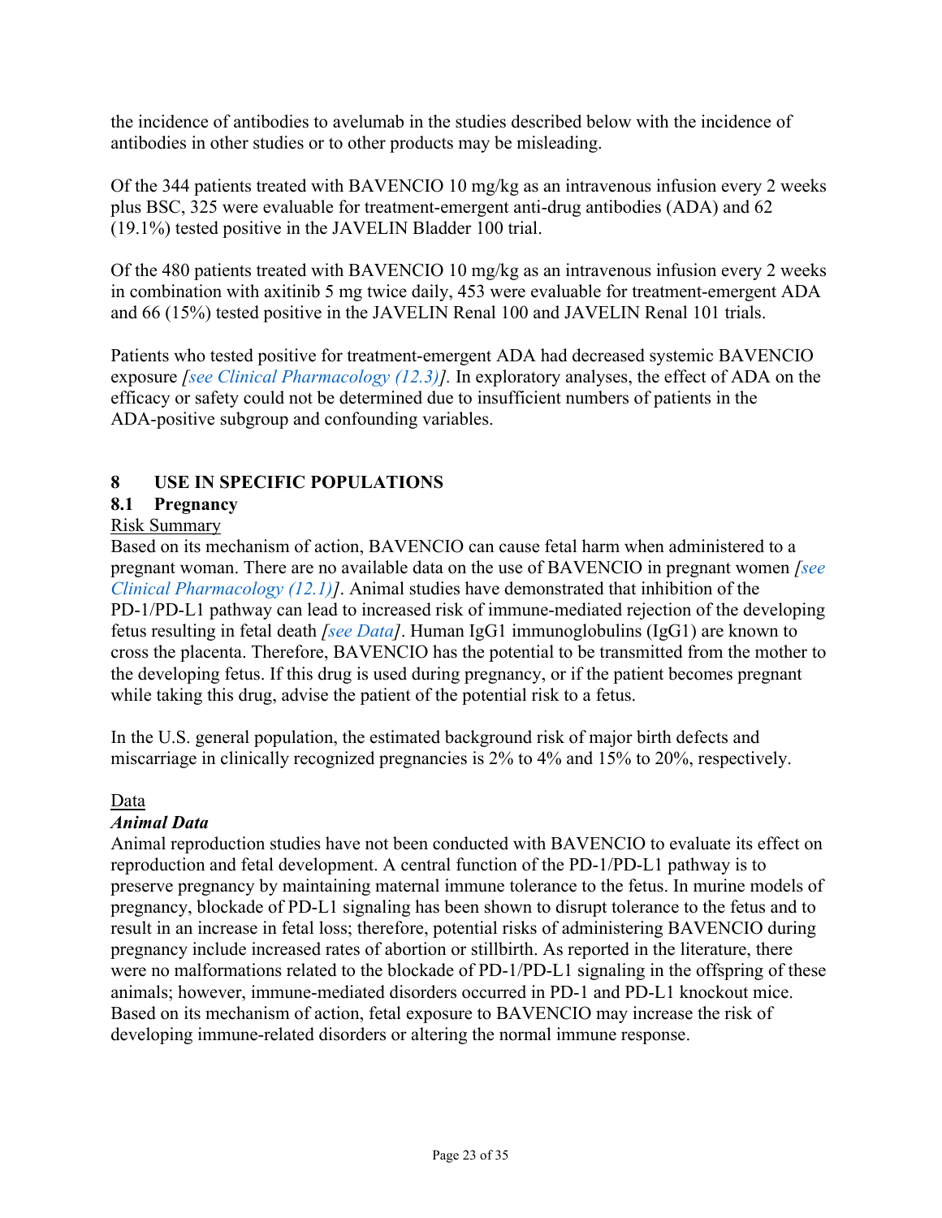the incidence of antibodies to avelumab in the studies described below with the incidence of antibodies in other studies or to other products may be misleading.

Of the 344 patients treated with BAVENCIO 10 mg/kg as an intravenous infusion every 2 weeks plus BSC, 325 were evaluable for treatment-emergent anti-drug antibodies (ADA) and 62 (19.1%) tested positive in the JAVELIN Bladder 100 trial.

Of the 480 patients treated with BAVENCIO 10 mg/kg as an intravenous infusion every 2 weeks in combination with axitinib 5 mg twice daily, 453 were evaluable for treatment-emergent ADA and 66 (15%) tested positive in the JAVELIN Renal 100 and JAVELIN Renal 101 trials.

Patients who tested positive for treatment-emergent ADA had decreased systemic BAVENCIO exposure *[\[see Clinical Pharmacology \(12.3\)\]](#page-24-4).* In exploratory analyses, the effect of ADA on the efficacy or safety could not be determined due to insufficient numbers of patients in the ADA-positive subgroup and confounding variables.

## <span id="page-22-1"></span>**8 USE IN SPECIFIC POPULATIONS**

# <span id="page-22-0"></span>**8.1 Pregnancy**

### Risk Summary

Based on its mechanism of action, BAVENCIO can cause fetal harm when administered to a pregnant woman. There are no available data on the use of BAVENCIO in pregnant women *[\[see](#page-24-2)  [Clinical Pharmacology \(12.1\)\]](#page-24-2)*. Animal studies have demonstrated that inhibition of the PD-1/PD-L1 pathway can lead to increased risk of immune-mediated rejection of the developing fetus resulting in fetal death *[\[see Data\]](#page-22-2)*. Human IgG1 immunoglobulins (IgG1) are known to cross the placenta. Therefore, BAVENCIO has the potential to be transmitted from the mother to the developing fetus. If this drug is used during pregnancy, or if the patient becomes pregnant while taking this drug, advise the patient of the potential risk to a fetus.

In the U.S. general population, the estimated background risk of major birth defects and miscarriage in clinically recognized pregnancies is 2% to 4% and 15% to 20%, respectively.

### <span id="page-22-2"></span>Data

### *Animal Data*

Animal reproduction studies have not been conducted with BAVENCIO to evaluate its effect on reproduction and fetal development. A central function of the PD-1/PD-L1 pathway is to preserve pregnancy by maintaining maternal immune tolerance to the fetus. In murine models of pregnancy, blockade of PD-L1 signaling has been shown to disrupt tolerance to the fetus and to result in an increase in fetal loss; therefore, potential risks of administering BAVENCIO during pregnancy include increased rates of abortion or stillbirth. As reported in the literature, there were no malformations related to the blockade of PD-1/PD-L1 signaling in the offspring of these animals; however, immune-mediated disorders occurred in PD-1 and PD-L1 knockout mice. Based on its mechanism of action, fetal exposure to BAVENCIO may increase the risk of developing immune-related disorders or altering the normal immune response.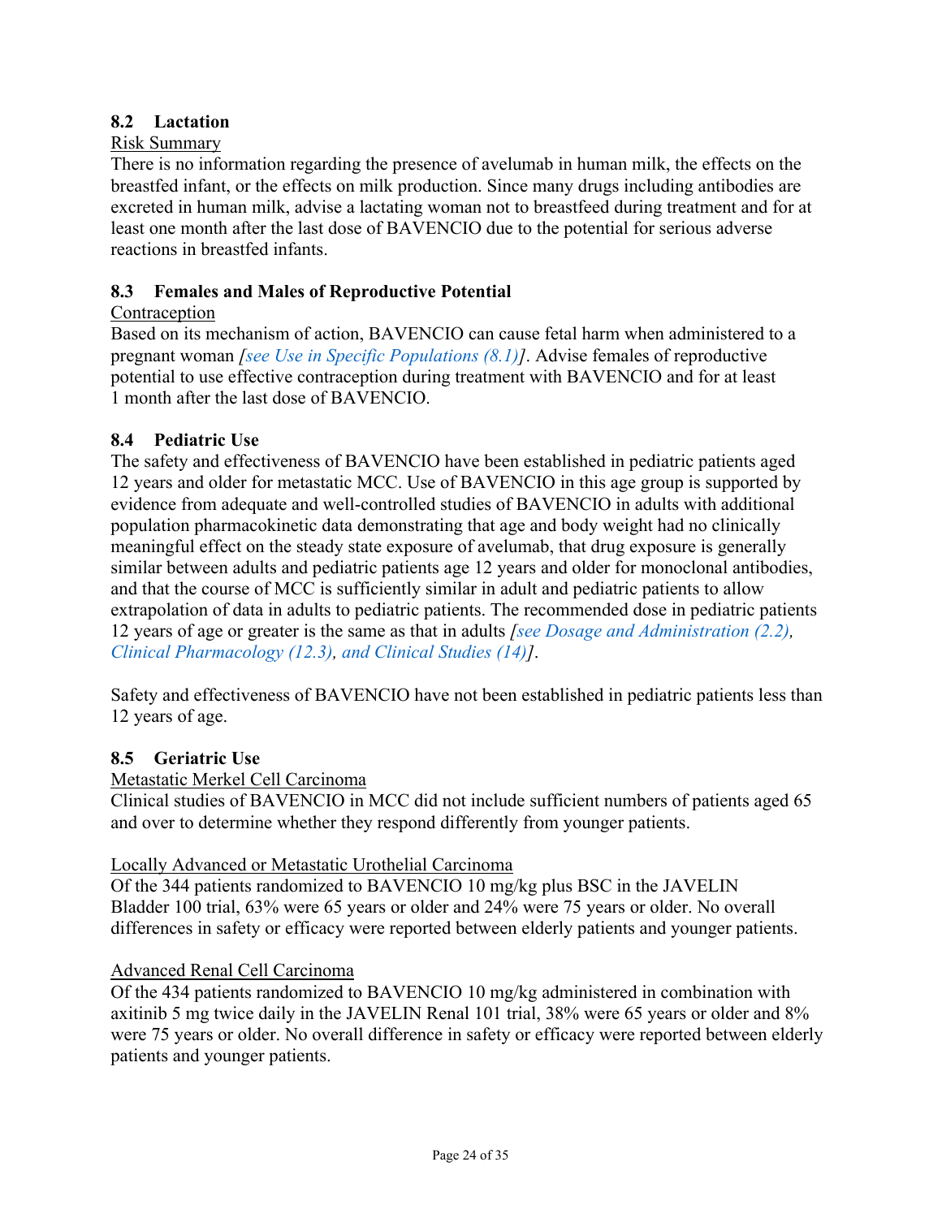## <span id="page-23-1"></span>**8.2 Lactation**

#### Risk Summary

There is no information regarding the presence of avelumab in human milk, the effects on the breastfed infant, or the effects on milk production. Since many drugs including antibodies are excreted in human milk, advise a lactating woman not to breastfeed during treatment and for at least one month after the last dose of BAVENCIO due to the potential for serious adverse reactions in breastfed infants.

#### <span id="page-23-0"></span>**8.3 Females and Males of Reproductive Potential**

#### Contraception

Based on its mechanism of action, BAVENCIO can cause fetal harm when administered to a pregnant woman *[\[see Use in Specific Populations \(8.1\)\]](#page-22-0)*. Advise females of reproductive potential to use effective contraception during treatment with BAVENCIO and for at least 1 month after the last dose of BAVENCIO.

#### <span id="page-23-2"></span>**8.4 Pediatric Use**

The safety and effectiveness of BAVENCIO have been established in pediatric patients aged 12 years and older for metastatic MCC. Use of BAVENCIO in this age group is supported by evidence from adequate and well-controlled studies of BAVENCIO in adults with additional population pharmacokinetic data demonstrating that age and body weight had no clinically meaningful effect on the steady state exposure of avelumab, that drug exposure is generally similar between adults and pediatric patients age 12 years and older for monoclonal antibodies, and that the course of MCC is sufficiently similar in adult and pediatric patients to allow extrapolation of data in adults to pediatric patients. The recommended dose in pediatric patients 12 years of age or greater is the same as that in adults *[\[see Dosage and Administration \(2.2\),](#page-1-4) [Clinical Pharmacology \(12.3\),](#page-24-4) [and Clinical Studies \(14\)\]](#page-26-1)*.

Safety and effectiveness of BAVENCIO have not been established in pediatric patients less than 12 years of age.

#### <span id="page-23-3"></span>**8.5 Geriatric Use**

Metastatic Merkel Cell Carcinoma

Clinical studies of BAVENCIO in MCC did not include sufficient numbers of patients aged 65 and over to determine whether they respond differently from younger patients.

#### Locally Advanced or Metastatic Urothelial Carcinoma

Of the 344 patients randomized to BAVENCIO 10 mg/kg plus BSC in the JAVELIN Bladder 100 trial, 63% were 65 years or older and 24% were 75 years or older. No overall differences in safety or efficacy were reported between elderly patients and younger patients.

#### Advanced Renal Cell Carcinoma

Of the 434 patients randomized to BAVENCIO 10 mg/kg administered in combination with axitinib 5 mg twice daily in the JAVELIN Renal 101 trial, 38% were 65 years or older and 8% were 75 years or older. No overall difference in safety or efficacy were reported between elderly patients and younger patients.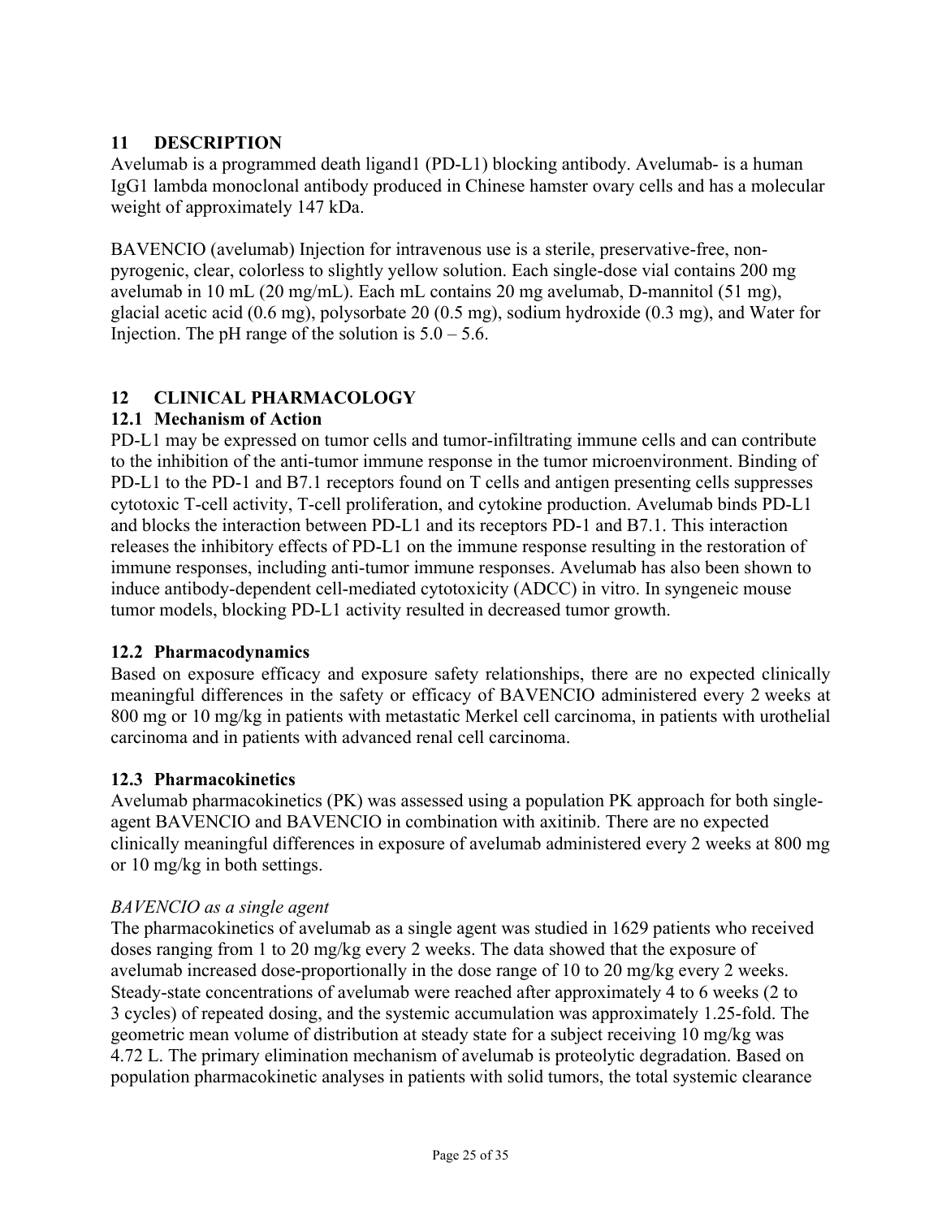## <span id="page-24-0"></span>**11 DESCRIPTION**

Avelumab is a programmed death ligand1 (PD-L1) blocking antibody. Avelumab- is a human IgG1 lambda monoclonal antibody produced in Chinese hamster ovary cells and has a molecular weight of approximately 147 kDa.

BAVENCIO (avelumab) Injection for intravenous use is a sterile, preservative-free, nonpyrogenic, clear, colorless to slightly yellow solution. Each single-dose vial contains 200 mg avelumab in 10 mL (20 mg/mL). Each mL contains 20 mg avelumab, D-mannitol (51 mg), glacial acetic acid (0.6 mg), polysorbate 20 (0.5 mg), sodium hydroxide (0.3 mg), and Water for Injection. The pH range of the solution is  $5.0 - 5.6$ .

## <span id="page-24-1"></span>**12 CLINICAL PHARMACOLOGY**

### <span id="page-24-2"></span>**12.1 Mechanism of Action**

PD-L1 may be expressed on tumor cells and tumor-infiltrating immune cells and can contribute to the inhibition of the anti-tumor immune response in the tumor microenvironment. Binding of PD-L1 to the PD-1 and B7.1 receptors found on T cells and antigen presenting cells suppresses cytotoxic T-cell activity, T-cell proliferation, and cytokine production. Avelumab binds PD-L1 and blocks the interaction between PD-L1 and its receptors PD-1 and B7.1. This interaction releases the inhibitory effects of PD-L1 on the immune response resulting in the restoration of immune responses, including anti-tumor immune responses. Avelumab has also been shown to induce antibody-dependent cell-mediated cytotoxicity (ADCC) in vitro. In syngeneic mouse tumor models, blocking PD-L1 activity resulted in decreased tumor growth.

### <span id="page-24-3"></span>**12.2 Pharmacodynamics**

Based on exposure efficacy and exposure safety relationships, there are no expected clinically meaningful differences in the safety or efficacy of BAVENCIO administered every 2 weeks at 800 mg or 10 mg/kg in patients with metastatic Merkel cell carcinoma, in patients with urothelial carcinoma and in patients with advanced renal cell carcinoma.

### <span id="page-24-4"></span>**12.3 Pharmacokinetics**

Avelumab pharmacokinetics (PK) was assessed using a population PK approach for both singleagent BAVENCIO and BAVENCIO in combination with axitinib. There are no expected clinically meaningful differences in exposure of avelumab administered every 2 weeks at 800 mg or 10 mg/kg in both settings.

### *BAVENCIO as a single agent*

The pharmacokinetics of avelumab as a single agent was studied in 1629 patients who received doses ranging from 1 to 20 mg/kg every 2 weeks. The data showed that the exposure of avelumab increased dose-proportionally in the dose range of 10 to 20 mg/kg every 2 weeks. Steady-state concentrations of avelumab were reached after approximately 4 to 6 weeks (2 to 3 cycles) of repeated dosing, and the systemic accumulation was approximately 1.25-fold. The geometric mean volume of distribution at steady state for a subject receiving 10 mg/kg was 4.72 L. The primary elimination mechanism of avelumab is proteolytic degradation. Based on population pharmacokinetic analyses in patients with solid tumors, the total systemic clearance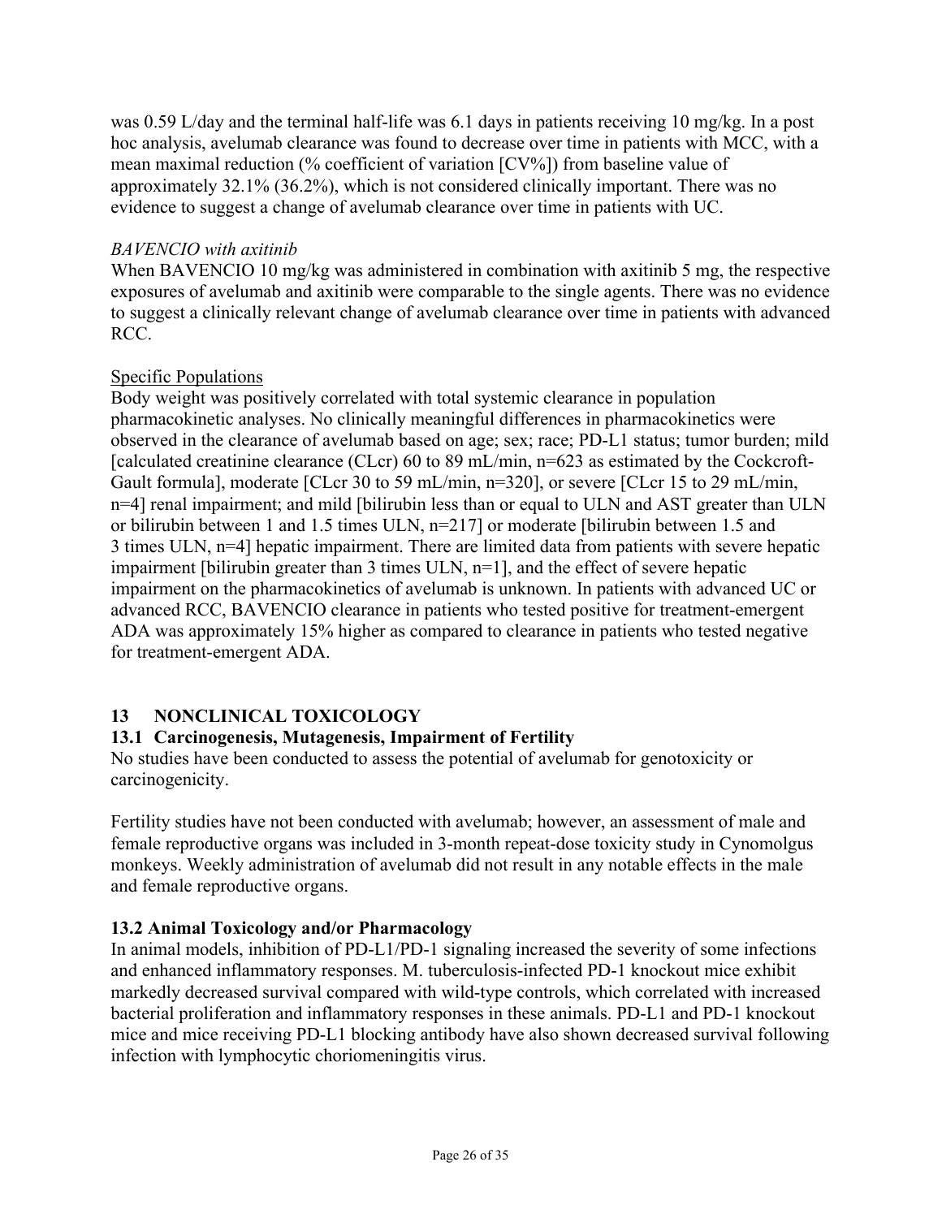was 0.59 L/day and the terminal half-life was 6.1 days in patients receiving 10 mg/kg. In a post hoc analysis, avelumab clearance was found to decrease over time in patients with MCC, with a mean maximal reduction (% coefficient of variation [CV%]) from baseline value of approximately 32.1% (36.2%), which is not considered clinically important. There was no evidence to suggest a change of avelumab clearance over time in patients with UC.

## *BAVENCIO with axitinib*

When BAVENCIO 10 mg/kg was administered in combination with axitinib 5 mg, the respective exposures of avelumab and axitinib were comparable to the single agents. There was no evidence to suggest a clinically relevant change of avelumab clearance over time in patients with advanced RCC.

## Specific Populations

Body weight was positively correlated with total systemic clearance in population pharmacokinetic analyses. No clinically meaningful differences in pharmacokinetics were observed in the clearance of avelumab based on age; sex; race; PD-L1 status; tumor burden; mild [calculated creatinine clearance (CLcr) 60 to 89 mL/min, n=623 as estimated by the Cockcroft-Gault formula], moderate [CLcr 30 to 59 mL/min, n=320], or severe [CLcr 15 to 29 mL/min, n=4] renal impairment; and mild [bilirubin less than or equal to ULN and AST greater than ULN or bilirubin between 1 and 1.5 times ULN, n=217] or moderate [bilirubin between 1.5 and 3 times ULN, n=4] hepatic impairment. There are limited data from patients with severe hepatic impairment [bilirubin greater than  $3$  times ULN,  $n=1$ ], and the effect of severe hepatic impairment on the pharmacokinetics of avelumab is unknown. In patients with advanced UC or advanced RCC, BAVENCIO clearance in patients who tested positive for treatment-emergent ADA was approximately 15% higher as compared to clearance in patients who tested negative for treatment-emergent ADA.

## <span id="page-25-0"></span>**13 NONCLINICAL TOXICOLOGY**

## <span id="page-25-1"></span>**13.1 Carcinogenesis, Mutagenesis, Impairment of Fertility**

No studies have been conducted to assess the potential of avelumab for genotoxicity or carcinogenicity.

Fertility studies have not been conducted with avelumab; however, an assessment of male and female reproductive organs was included in 3-month repeat-dose toxicity study in Cynomolgus monkeys. Weekly administration of avelumab did not result in any notable effects in the male and female reproductive organs.

## <span id="page-25-2"></span>**13.2 Animal Toxicology and/or Pharmacology**

In animal models, inhibition of PD-L1/PD-1 signaling increased the severity of some infections and enhanced inflammatory responses. M. tuberculosis-infected PD-1 knockout mice exhibit markedly decreased survival compared with wild-type controls, which correlated with increased bacterial proliferation and inflammatory responses in these animals. PD-L1 and PD-1 knockout mice and mice receiving PD-L1 blocking antibody have also shown decreased survival following infection with lymphocytic choriomeningitis virus.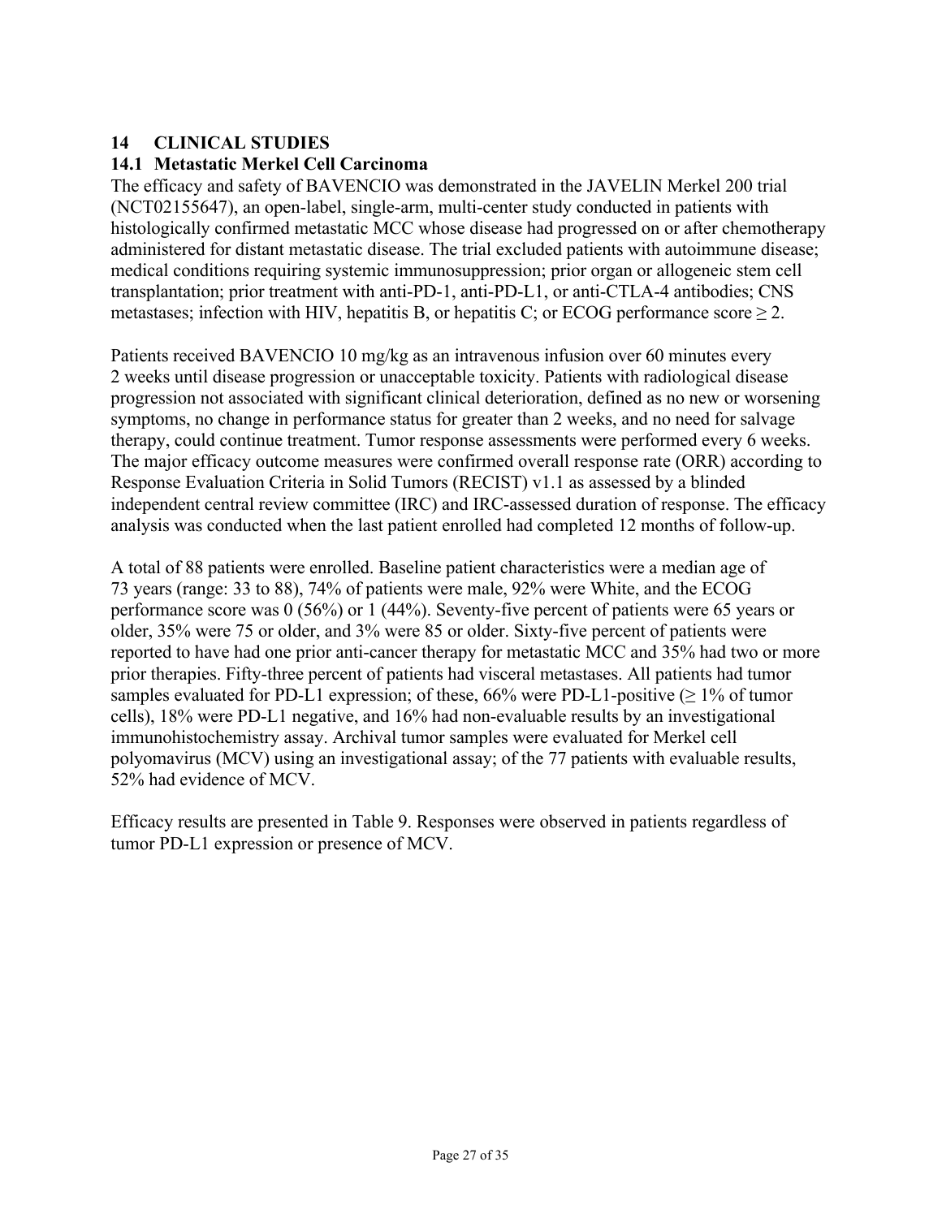## <span id="page-26-1"></span>**14 CLINICAL STUDIES**

#### <span id="page-26-0"></span>**14.1 Metastatic Merkel Cell Carcinoma**

The efficacy and safety of BAVENCIO was demonstrated in the JAVELIN Merkel 200 trial (NCT02155647), an open-label, single-arm, multi-center study conducted in patients with histologically confirmed metastatic MCC whose disease had progressed on or after chemotherapy administered for distant metastatic disease. The trial excluded patients with autoimmune disease; medical conditions requiring systemic immunosuppression; prior organ or allogeneic stem cell transplantation; prior treatment with anti-PD-1, anti-PD-L1, or anti-CTLA-4 antibodies; CNS metastases; infection with HIV, hepatitis B, or hepatitis C; or ECOG performance score  $\geq 2$ .

Patients received BAVENCIO 10 mg/kg as an intravenous infusion over 60 minutes every 2 weeks until disease progression or unacceptable toxicity. Patients with radiological disease progression not associated with significant clinical deterioration, defined as no new or worsening symptoms, no change in performance status for greater than 2 weeks, and no need for salvage therapy, could continue treatment. Tumor response assessments were performed every 6 weeks. The major efficacy outcome measures were confirmed overall response rate (ORR) according to Response Evaluation Criteria in Solid Tumors (RECIST) v1.1 as assessed by a blinded independent central review committee (IRC) and IRC-assessed duration of response. The efficacy analysis was conducted when the last patient enrolled had completed 12 months of follow-up.

A total of 88 patients were enrolled. Baseline patient characteristics were a median age of 73 years (range: 33 to 88), 74% of patients were male, 92% were White, and the ECOG performance score was 0 (56%) or 1 (44%). Seventy-five percent of patients were 65 years or older, 35% were 75 or older, and 3% were 85 or older. Sixty-five percent of patients were reported to have had one prior anti-cancer therapy for metastatic MCC and 35% had two or more prior therapies. Fifty-three percent of patients had visceral metastases. All patients had tumor samples evaluated for PD-L1 expression; of these,  $66\%$  were PD-L1-positive ( $\geq 1\%$  of tumor cells), 18% were PD-L1 negative, and 16% had non-evaluable results by an investigational immunohistochemistry assay. Archival tumor samples were evaluated for Merkel cell polyomavirus (MCV) using an investigational assay; of the 77 patients with evaluable results, 52% had evidence of MCV.

Efficacy results are presented in [Table](#page-27-1) 9. Responses were observed in patients regardless of tumor PD-L1 expression or presence of MCV.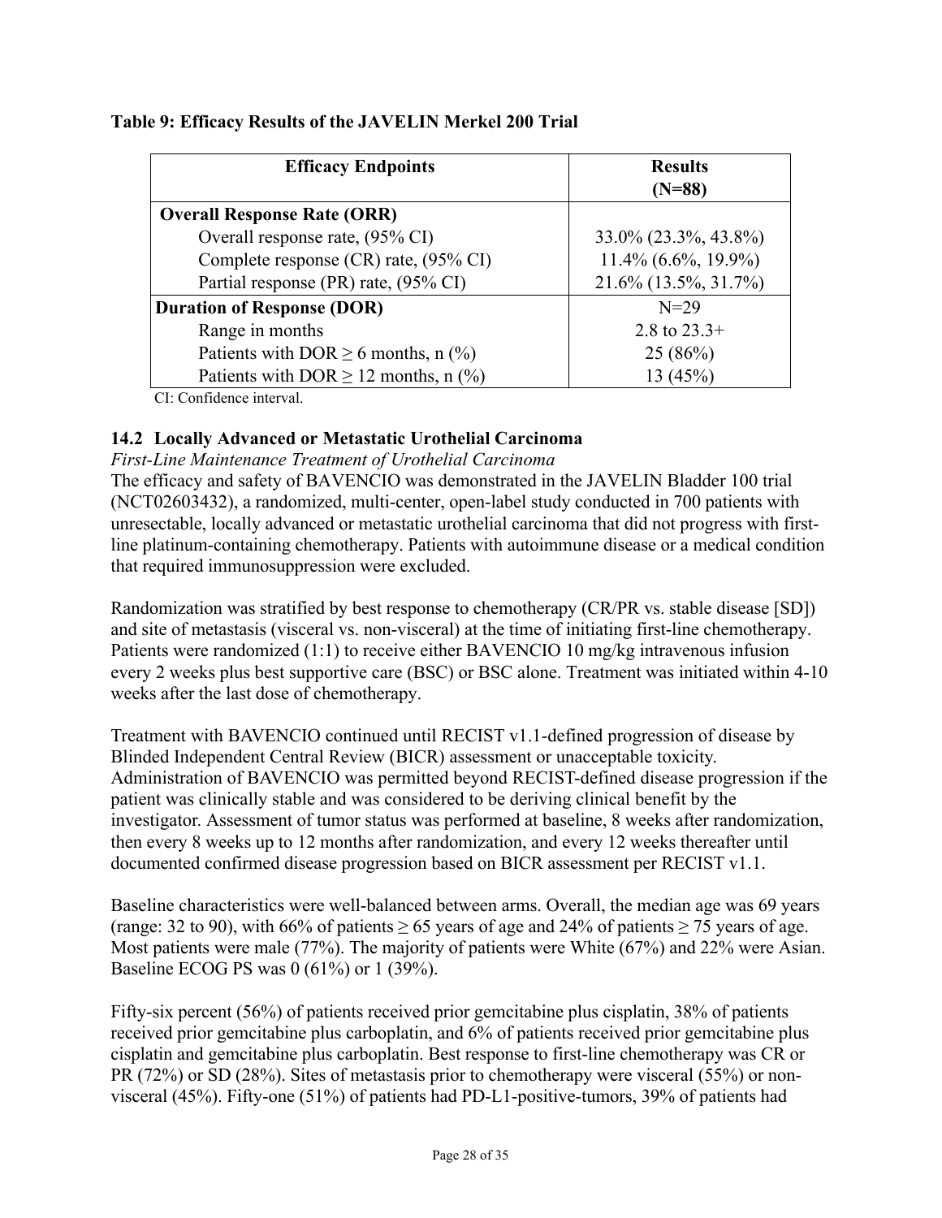| <b>Efficacy Endpoints</b>                 | <b>Results</b><br>$(N=88)$ |
|-------------------------------------------|----------------------------|
| <b>Overall Response Rate (ORR)</b>        |                            |
| Overall response rate, (95% CI)           | 33.0% (23.3%, 43.8%)       |
| Complete response (CR) rate, (95% CI)     | $11.4\%$ (6.6%, 19.9%)     |
| Partial response (PR) rate, (95% CI)      | 21.6% (13.5%, 31.7%)       |
| <b>Duration of Response (DOR)</b>         | $N = 29$                   |
| Range in months                           | 2.8 to $23.3+$             |
| Patients with DOR $\geq$ 6 months, n (%)  | 25(86%)                    |
| Patients with DOR $\geq$ 12 months, n (%) | (45%)                      |

### <span id="page-27-1"></span>**Table 9: Efficacy Results of the JAVELIN Merkel 200 Trial**

CI: Confidence interval.

## <span id="page-27-0"></span>**14.2 Locally Advanced or Metastatic Urothelial Carcinoma**

#### *First-Line Maintenance Treatment of Urothelial Carcinoma*

The efficacy and safety of BAVENCIO was demonstrated in the JAVELIN Bladder 100 trial (NCT02603432), a randomized, multi-center, open-label study conducted in 700 patients with unresectable, locally advanced or metastatic urothelial carcinoma that did not progress with firstline platinum-containing chemotherapy. Patients with autoimmune disease or a medical condition that required immunosuppression were excluded.

Randomization was stratified by best response to chemotherapy (CR/PR vs. stable disease [SD]) and site of metastasis (visceral vs. non-visceral) at the time of initiating first-line chemotherapy. Patients were randomized (1:1) to receive either BAVENCIO 10 mg/kg intravenous infusion every 2 weeks plus best supportive care (BSC) or BSC alone. Treatment was initiated within 4-10 weeks after the last dose of chemotherapy.

Treatment with BAVENCIO continued until RECIST v1.1-defined progression of disease by Blinded Independent Central Review (BICR) assessment or unacceptable toxicity. Administration of BAVENCIO was permitted beyond RECIST-defined disease progression if the patient was clinically stable and was considered to be deriving clinical benefit by the investigator. Assessment of tumor status was performed at baseline, 8 weeks after randomization, then every 8 weeks up to 12 months after randomization, and every 12 weeks thereafter until documented confirmed disease progression based on BICR assessment per RECIST v1.1.

Baseline characteristics were well-balanced between arms. Overall, the median age was 69 years (range: 32 to 90), with 66% of patients  $\geq$  65 years of age and 24% of patients  $\geq$  75 years of age. Most patients were male (77%). The majority of patients were White (67%) and 22% were Asian. Baseline ECOG PS was 0 (61%) or 1 (39%).

Fifty-six percent (56%) of patients received prior gemcitabine plus cisplatin, 38% of patients received prior gemcitabine plus carboplatin, and 6% of patients received prior gemcitabine plus cisplatin and gemcitabine plus carboplatin. Best response to first-line chemotherapy was CR or PR (72%) or SD (28%). Sites of metastasis prior to chemotherapy were visceral (55%) or nonvisceral (45%). Fifty-one (51%) of patients had PD-L1-positive-tumors, 39% of patients had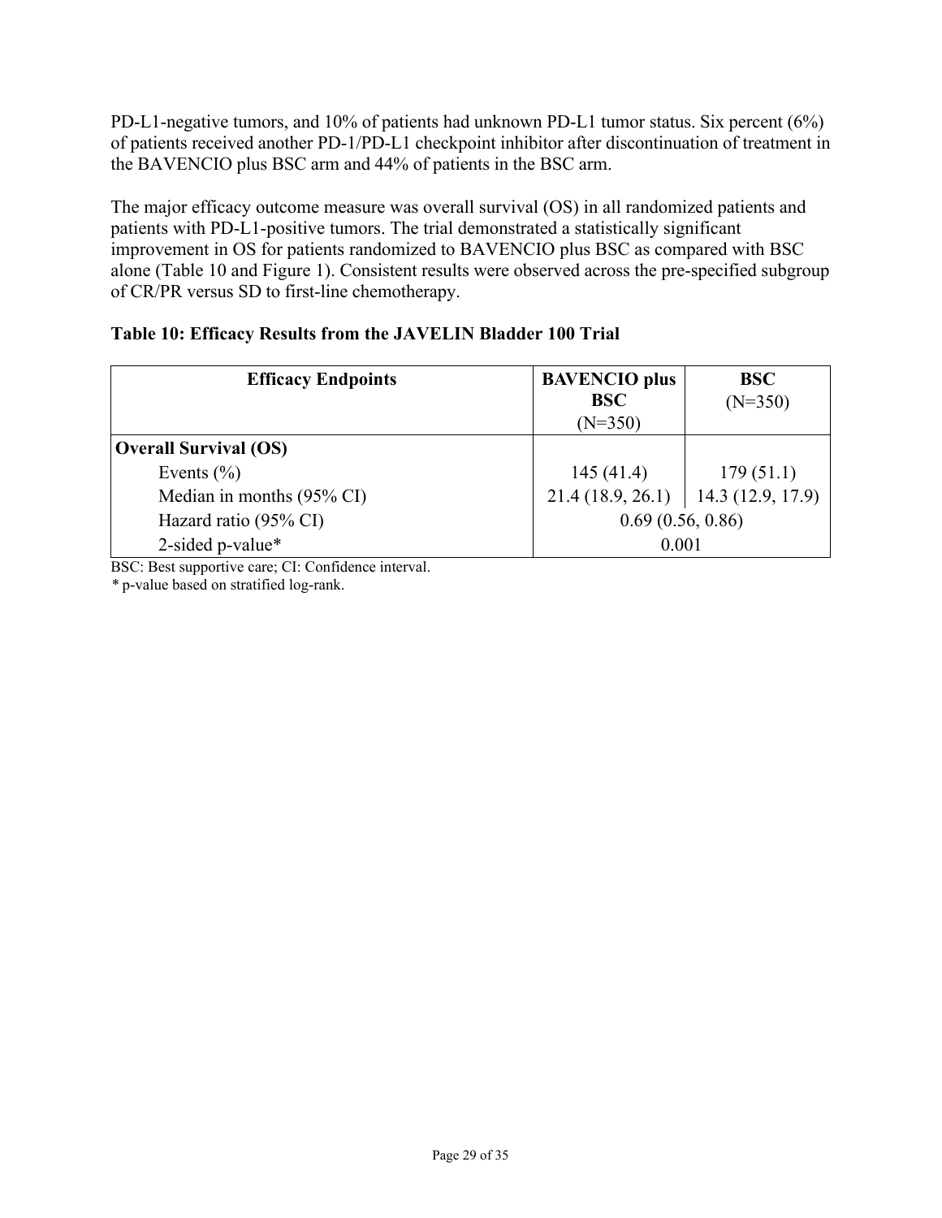PD-L1-negative tumors, and 10% of patients had unknown PD-L1 tumor status. Six percent (6%) of patients received another PD-1/PD-L1 checkpoint inhibitor after discontinuation of treatment in the BAVENCIO plus BSC arm and 44% of patients in the BSC arm.

The major efficacy outcome measure was overall survival (OS) in all randomized patients and patients with PD-L1-positive tumors. The trial demonstrated a statistically significant improvement in OS for patients randomized to BAVENCIO plus BSC as compared with BSC alone [\(Table](#page-28-0) 10 and [Figure](#page-29-0) 1). Consistent results were observed across the pre-specified subgroup of CR/PR versus SD to first-line chemotherapy.

| <b>Efficacy Endpoints</b>    | <b>BAVENCIO</b> plus<br><b>BSC</b><br>$(N=350)$ | <b>BSC</b><br>$(N=350)$ |
|------------------------------|-------------------------------------------------|-------------------------|
| <b>Overall Survival (OS)</b> |                                                 |                         |
| Events $(\% )$               | 145(41.4)                                       | 179(51.1)               |
| Median in months (95% CI)    | $21.4(18.9, 26.1)$   14.3 (12.9, 17.9)          |                         |
| Hazard ratio (95% CI)        | 0.69(0.56, 0.86)                                |                         |
| 2-sided p-value*             | 0.001                                           |                         |

## <span id="page-28-0"></span>**Table 10: Efficacy Results from the JAVELIN Bladder 100 Trial**

BSC: Best supportive care; CI: Confidence interval.

*\** p-value based on stratified log-rank.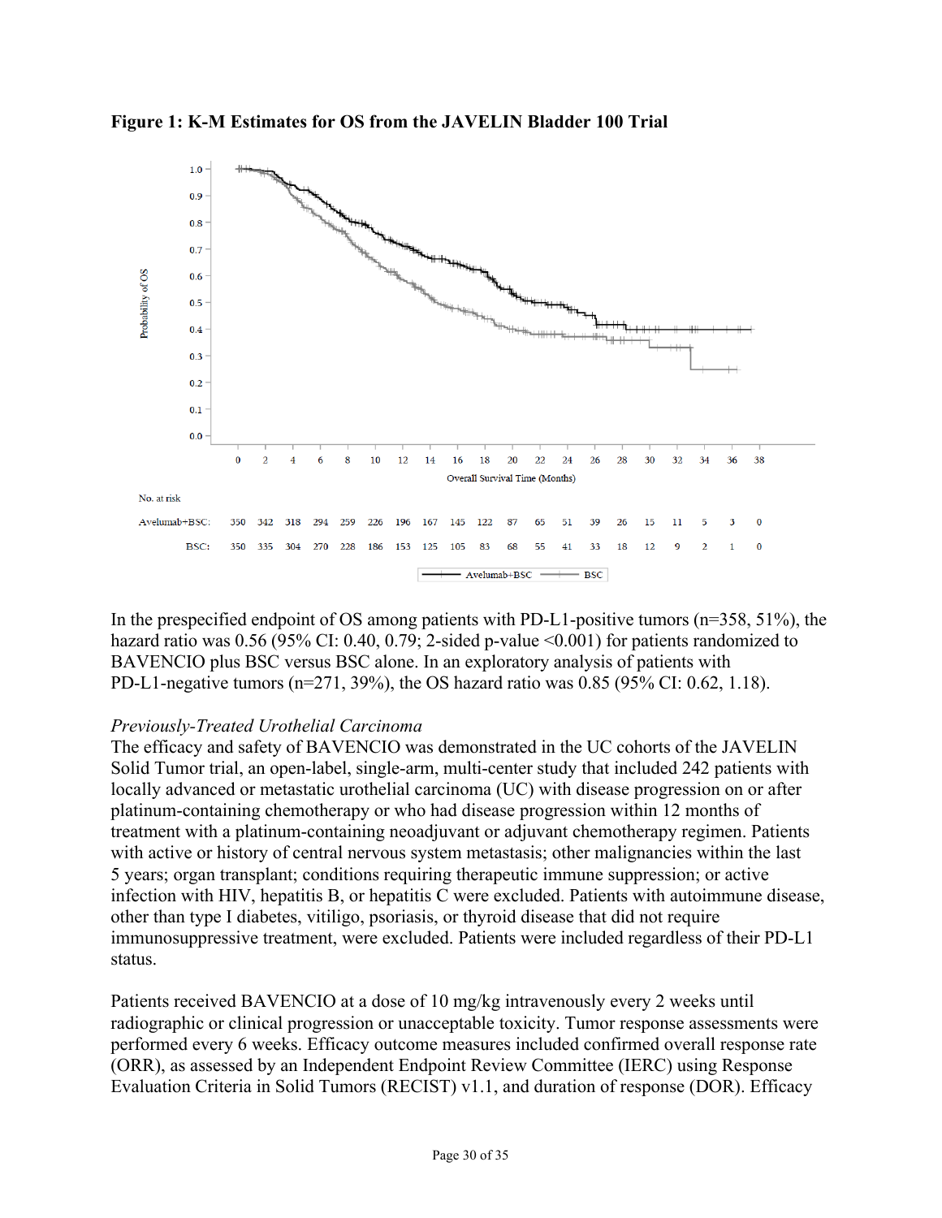

<span id="page-29-0"></span>**Figure 1: K-M Estimates for OS from the JAVELIN Bladder 100 Trial**

In the prespecified endpoint of OS among patients with PD-L1-positive tumors (n=358, 51%), the hazard ratio was 0.56 (95% CI: 0.40, 0.79; 2-sided p-value <0.001) for patients randomized to BAVENCIO plus BSC versus BSC alone. In an exploratory analysis of patients with PD-L1-negative tumors (n=271, 39%), the OS hazard ratio was 0.85 (95% CI: 0.62, 1.18).

## *Previously-Treated Urothelial Carcinoma*

The efficacy and safety of BAVENCIO was demonstrated in the UC cohorts of the JAVELIN Solid Tumor trial, an open-label, single-arm, multi-center study that included 242 patients with locally advanced or metastatic urothelial carcinoma (UC) with disease progression on or after platinum-containing chemotherapy or who had disease progression within 12 months of treatment with a platinum-containing neoadjuvant or adjuvant chemotherapy regimen. Patients with active or history of central nervous system metastasis; other malignancies within the last 5 years; organ transplant; conditions requiring therapeutic immune suppression; or active infection with HIV, hepatitis B, or hepatitis C were excluded. Patients with autoimmune disease, other than type I diabetes, vitiligo, psoriasis, or thyroid disease that did not require immunosuppressive treatment, were excluded. Patients were included regardless of their PD-L1 status.

Patients received BAVENCIO at a dose of 10 mg/kg intravenously every 2 weeks until radiographic or clinical progression or unacceptable toxicity. Tumor response assessments were performed every 6 weeks. Efficacy outcome measures included confirmed overall response rate (ORR), as assessed by an Independent Endpoint Review Committee (IERC) using Response Evaluation Criteria in Solid Tumors (RECIST) v1.1, and duration of response (DOR). Efficacy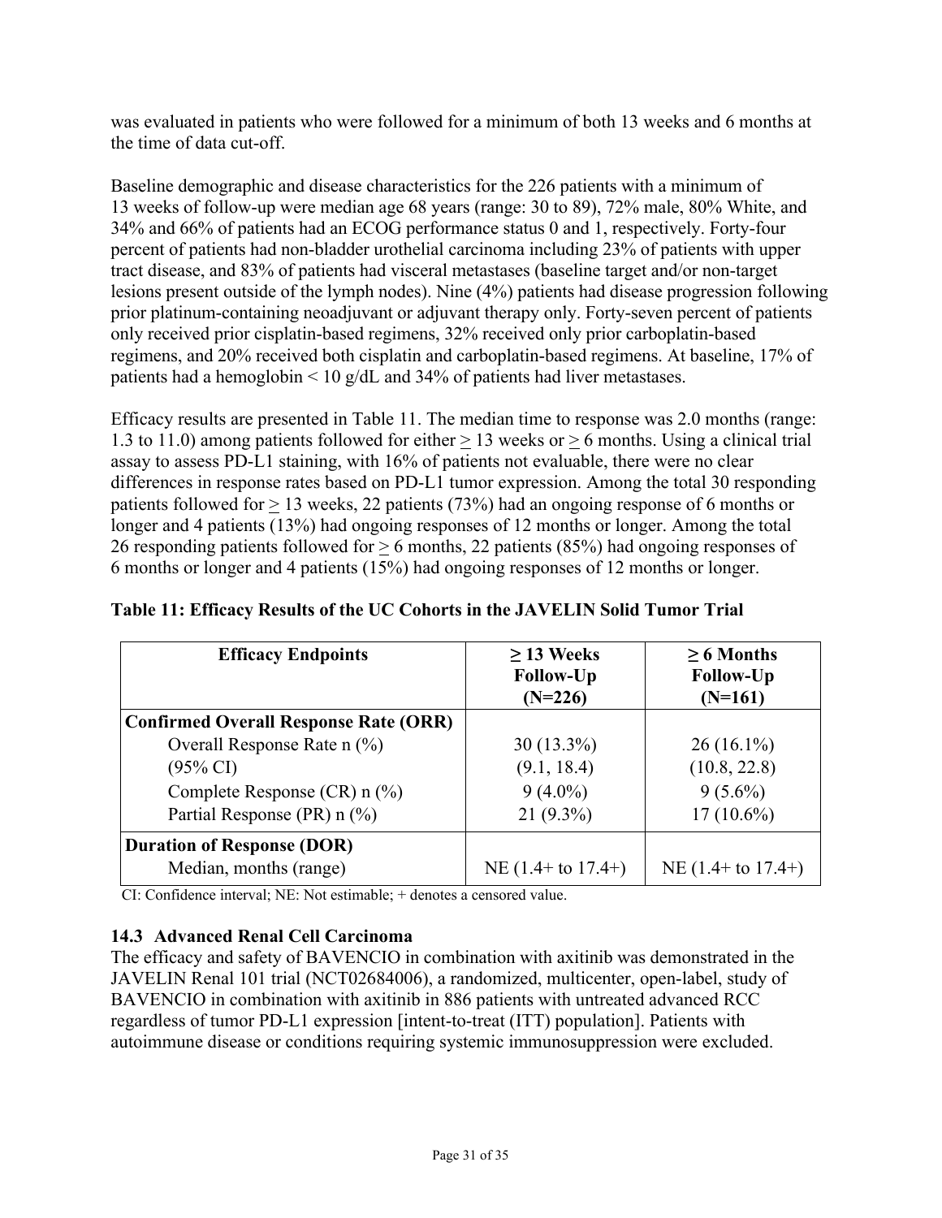was evaluated in patients who were followed for a minimum of both 13 weeks and 6 months at the time of data cut-off.

Baseline demographic and disease characteristics for the 226 patients with a minimum of 13 weeks of follow-up were median age 68 years (range: 30 to 89), 72% male, 80% White, and 34% and 66% of patients had an ECOG performance status 0 and 1, respectively. Forty-four percent of patients had non-bladder urothelial carcinoma including 23% of patients with upper tract disease, and 83% of patients had visceral metastases (baseline target and/or non-target lesions present outside of the lymph nodes). Nine (4%) patients had disease progression following prior platinum-containing neoadjuvant or adjuvant therapy only. Forty-seven percent of patients only received prior cisplatin-based regimens, 32% received only prior carboplatin-based regimens, and 20% received both cisplatin and carboplatin-based regimens. At baseline, 17% of patients had a hemoglobin  $\leq 10$  g/dL and 34% of patients had liver metastases.

Efficacy results are presented in [Table](#page-30-1) 11. The median time to response was 2.0 months (range: 1.3 to 11.0) among patients followed for either > 13 weeks or > 6 months. Using a clinical trial assay to assess PD-L1 staining, with 16% of patients not evaluable, there were no clear differences in response rates based on PD-L1 tumor expression. Among the total 30 responding patients followed for > 13 weeks, 22 patients (73%) had an ongoing response of 6 months or longer and 4 patients (13%) had ongoing responses of 12 months or longer. Among the total 26 responding patients followed for > 6 months, 22 patients (85%) had ongoing responses of 6 months or longer and 4 patients (15%) had ongoing responses of 12 months or longer.

| <b>Efficacy Endpoints</b>                    | $\geq$ 13 Weeks<br><b>Follow-Up</b><br>$(N=226)$ | $\geq 6$ Months<br><b>Follow-Up</b><br>$(N=161)$ |
|----------------------------------------------|--------------------------------------------------|--------------------------------------------------|
| <b>Confirmed Overall Response Rate (ORR)</b> |                                                  |                                                  |
| Overall Response Rate $n$ (%)                | 30 (13.3%)                                       | $26(16.1\%)$                                     |
| $(95\% \text{ CI})$                          | (9.1, 18.4)                                      | (10.8, 22.8)                                     |
| Complete Response $(CR)$ n $(\%)$            | $9(4.0\%)$                                       | $9(5.6\%)$                                       |
| Partial Response (PR) n (%)                  | $21(9.3\%)$                                      | $17(10.6\%)$                                     |
| <b>Duration of Response (DOR)</b>            |                                                  |                                                  |
| Median, months (range)                       | NE $(1.4 +$ to $17.4+)$                          | NE $(1.4 + to 17.4+)$                            |

## <span id="page-30-1"></span>**Table 11: Efficacy Results of the UC Cohorts in the JAVELIN Solid Tumor Trial**

CI: Confidence interval; NE: Not estimable; + denotes a censored value.

### <span id="page-30-0"></span>**14.3 Advanced Renal Cell Carcinoma**

The efficacy and safety of BAVENCIO in combination with axitinib was demonstrated in the JAVELIN Renal 101 trial (NCT02684006), a randomized, multicenter, open-label, study of BAVENCIO in combination with axitinib in 886 patients with untreated advanced RCC regardless of tumor PD-L1 expression [intent-to-treat (ITT) population]. Patients with autoimmune disease or conditions requiring systemic immunosuppression were excluded.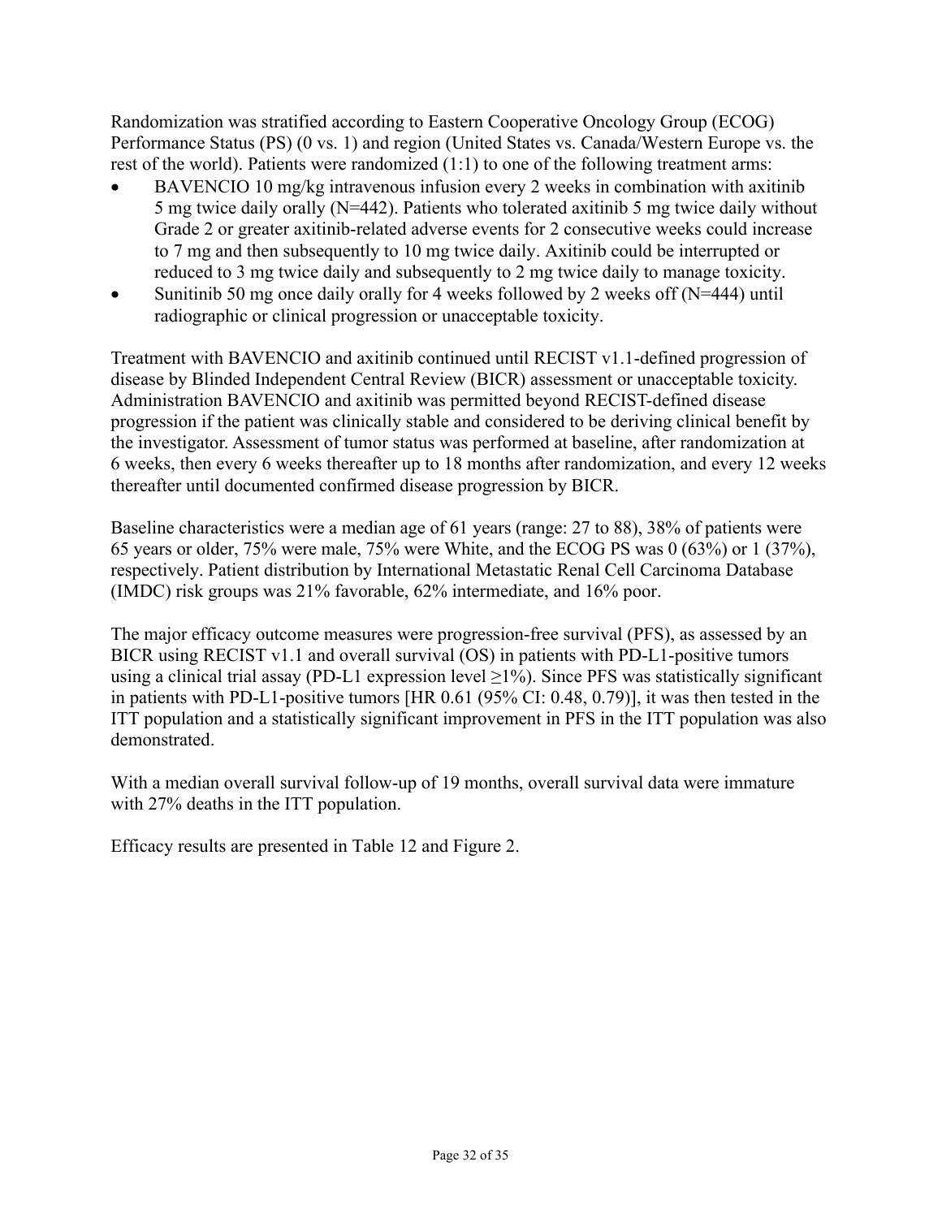Randomization was stratified according to Eastern Cooperative Oncology Group (ECOG) Performance Status (PS) (0 vs. 1) and region (United States vs. Canada/Western Europe vs. the rest of the world). Patients were randomized (1:1) to one of the following treatment arms:

- BAVENCIO 10 mg/kg intravenous infusion every 2 weeks in combination with axitinib 5 mg twice daily orally (N=442). Patients who tolerated axitinib 5 mg twice daily without Grade 2 or greater axitinib-related adverse events for 2 consecutive weeks could increase to 7 mg and then subsequently to 10 mg twice daily. Axitinib could be interrupted or reduced to 3 mg twice daily and subsequently to 2 mg twice daily to manage toxicity.
- Sunitinib 50 mg once daily orally for 4 weeks followed by 2 weeks off (N=444) until radiographic or clinical progression or unacceptable toxicity.

Treatment with BAVENCIO and axitinib continued until RECIST v1.1-defined progression of disease by Blinded Independent Central Review (BICR) assessment or unacceptable toxicity. Administration BAVENCIO and axitinib was permitted beyond RECIST-defined disease progression if the patient was clinically stable and considered to be deriving clinical benefit by the investigator. Assessment of tumor status was performed at baseline, after randomization at 6 weeks, then every 6 weeks thereafter up to 18 months after randomization, and every 12 weeks thereafter until documented confirmed disease progression by BICR.

Baseline characteristics were a median age of 61 years (range: 27 to 88), 38% of patients were 65 years or older, 75% were male, 75% were White, and the ECOG PS was 0 (63%) or 1 (37%), respectively. Patient distribution by International Metastatic Renal Cell Carcinoma Database (IMDC) risk groups was 21% favorable, 62% intermediate, and 16% poor.

The major efficacy outcome measures were progression-free survival (PFS), as assessed by an BICR using RECIST v1.1 and overall survival (OS) in patients with PD-L1-positive tumors using a clinical trial assay (PD-L1 expression level  $\geq$ 1%). Since PFS was statistically significant in patients with PD-L1-positive tumors [HR 0.61 (95% CI: 0.48, 0.79)], it was then tested in the ITT population and a statistically significant improvement in PFS in the ITT population was also demonstrated.

With a median overall survival follow-up of 19 months, overall survival data were immature with 27% deaths in the ITT population.

Efficacy results are presented in [Table](#page-32-0) 12 and [Figure](#page-32-1) 2.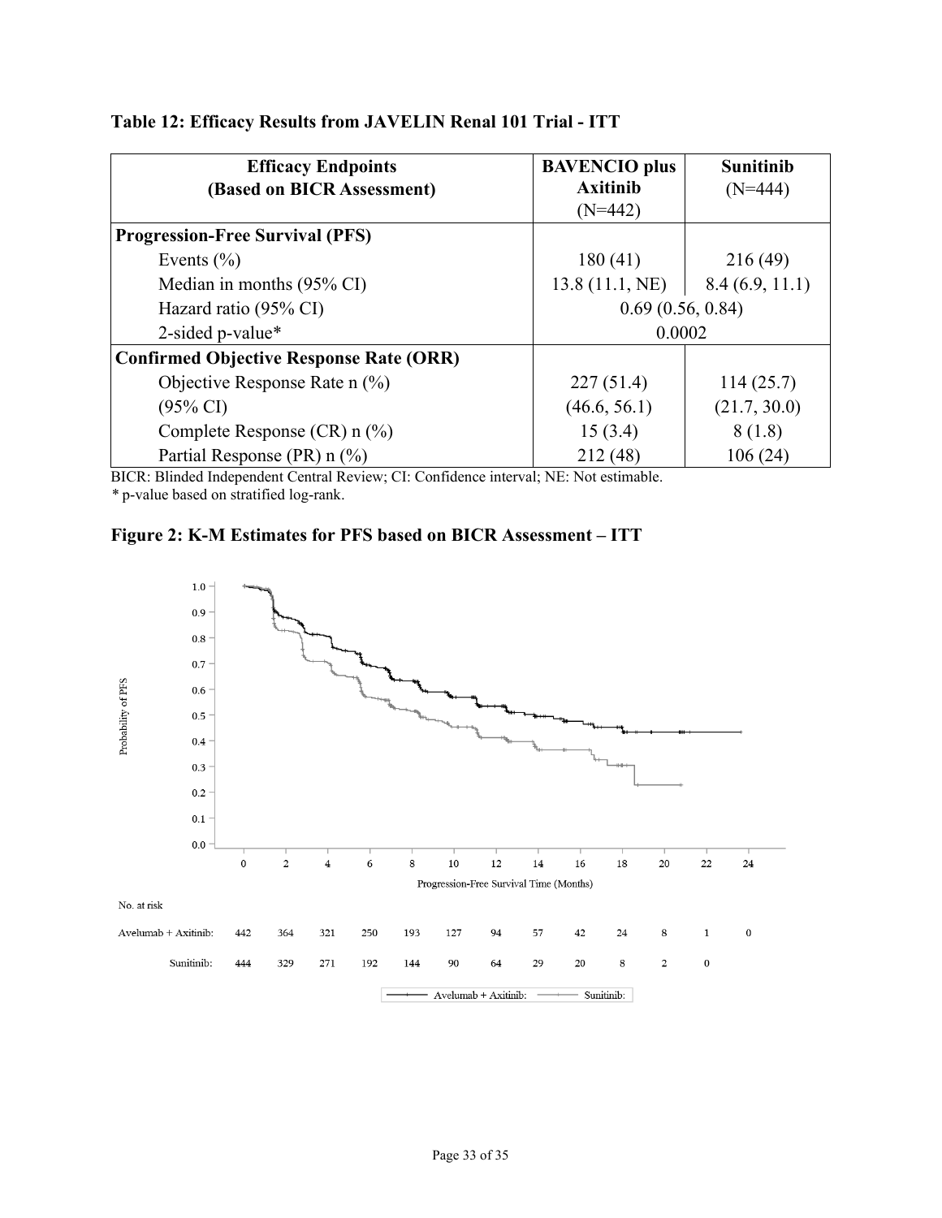| <b>Efficacy Endpoints</b>                      | <b>BAVENCIO</b> plus | <b>Sunitinib</b> |
|------------------------------------------------|----------------------|------------------|
| (Based on BICR Assessment)                     | <b>Axitinib</b>      | $(N=444)$        |
|                                                | $(N=442)$            |                  |
| <b>Progression-Free Survival (PFS)</b>         |                      |                  |
| Events $(\% )$                                 | 180(41)              | 216 (49)         |
| Median in months $(95\% \text{ CI})$           | 13.8(11.1, NE)       | 8.4(6.9, 11.1)   |
| Hazard ratio (95% CI)                          | 0.69(0.56, 0.84)     |                  |
| 2-sided p-value*                               | 0.0002               |                  |
| <b>Confirmed Objective Response Rate (ORR)</b> |                      |                  |
| Objective Response Rate $n$ (%)                | 227(51.4)            | 114(25.7)        |
| $(95\% \text{ CI})$                            | (46.6, 56.1)         | (21.7, 30.0)     |
| Complete Response $(CR)$ n $(\%)$              | 15(3.4)              | 8(1.8)           |
| Partial Response (PR) n (%)                    | 212(48)              | 106(24)          |

## <span id="page-32-0"></span>**Table 12: Efficacy Results from JAVELIN Renal 101 Trial - ITT**

BICR: Blinded Independent Central Review; CI: Confidence interval; NE: Not estimable. *\** p-value based on stratified log-rank.

<span id="page-32-1"></span>

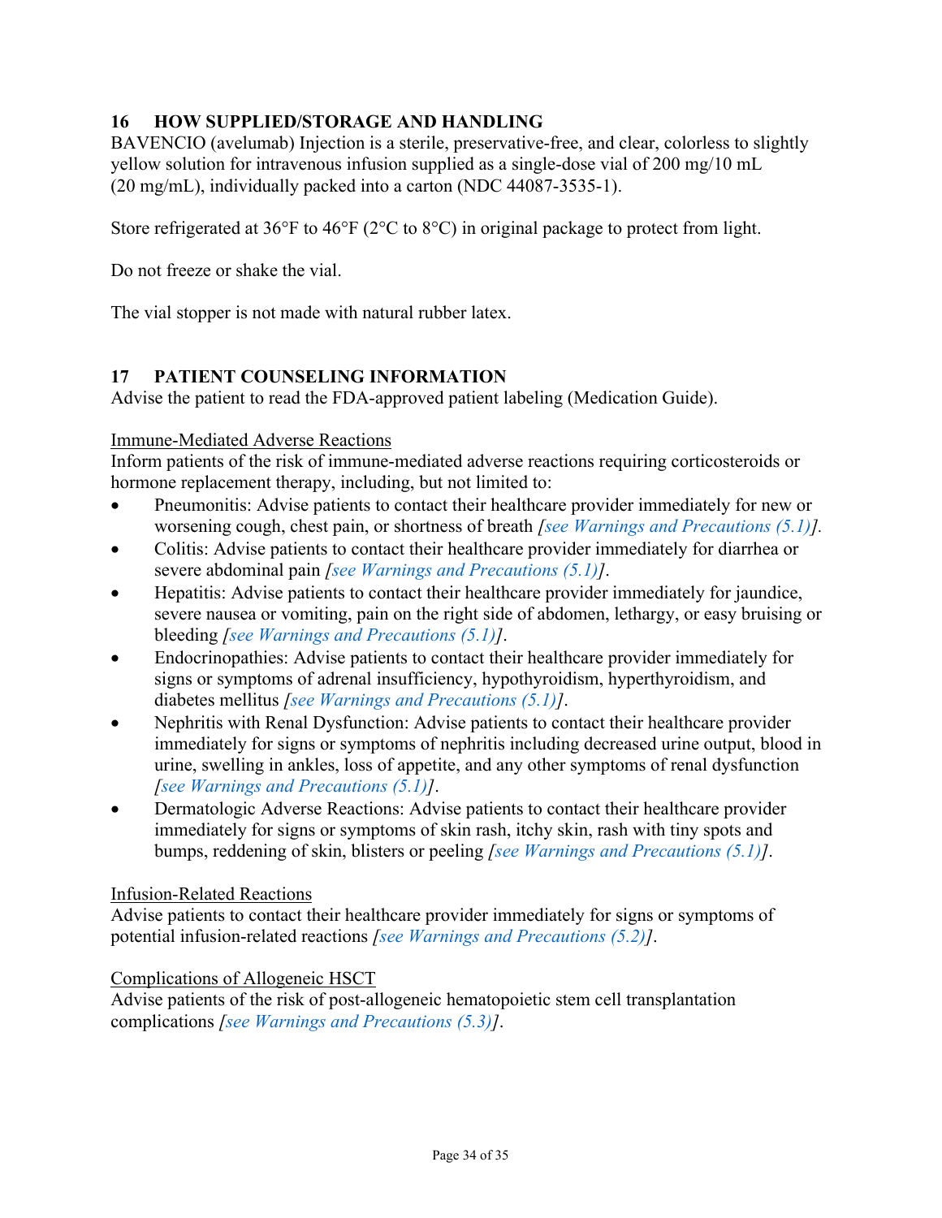## <span id="page-33-1"></span>**16 HOW SUPPLIED/STORAGE AND HANDLING**

BAVENCIO (avelumab) Injection is a sterile, preservative-free, and clear, colorless to slightly yellow solution for intravenous infusion supplied as a single-dose vial of 200 mg/10 mL (20 mg/mL), individually packed into a carton (NDC 44087-3535-1).

Store refrigerated at 36°F to 46°F (2°C to 8°C) in original package to protect from light.

Do not freeze or shake the vial.

The vial stopper is not made with natural rubber latex.

### <span id="page-33-0"></span>**17 PATIENT COUNSELING INFORMATION**

Advise the patient to read the FDA-approved patient labeling (Medication Guide).

#### Immune-Mediated Adverse Reactions

Inform patients of the risk of immune-mediated adverse reactions requiring corticosteroids or hormone replacement therapy, including, but not limited to:

- Pneumonitis: Advise patients to contact their healthcare provider immediately for new or worsening cough, chest pain, or shortness of breath *[\[see Warnings and Precautions \(5.1\)\]](#page-5-0).*
- Colitis: Advise patients to contact their healthcare provider immediately for diarrhea or severe abdominal pain *[\[see Warnings and Precautions \(5.1\)\]](#page-5-0)*.
- Hepatitis: Advise patients to contact their healthcare provider immediately for jaundice, severe nausea or vomiting, pain on the right side of abdomen, lethargy, or easy bruising or bleeding *[\[see Warnings and Precautions \(5.1\)\]](#page-5-0)*.
- Endocrinopathies: Advise patients to contact their healthcare provider immediately for signs or symptoms of adrenal insufficiency, hypothyroidism, hyperthyroidism, and diabetes mellitus *[\[see Warnings and Precautions \(5.1\)\]](#page-5-0)*.
- Nephritis with Renal Dysfunction: Advise patients to contact their healthcare provider immediately for signs or symptoms of nephritis including decreased urine output, blood in urine, swelling in ankles, loss of appetite, and any other symptoms of renal dysfunction *[\[see Warnings and Precautions \(5.1\)\]](#page-5-0)*.
- Dermatologic Adverse Reactions: Advise patients to contact their healthcare provider immediately for signs or symptoms of skin rash, itchy skin, rash with tiny spots and bumps, reddening of skin, blisters or peeling *[\[see Warnings and Precautions \(5.1\)\]](#page-5-0)*.

#### Infusion-Related Reactions

Advise patients to contact their healthcare provider immediately for signs or symptoms of potential infusion-related reactions *[\[see Warnings and Precautions \(5.2\)\]](#page-10-1)*.

#### Complications of Allogeneic HSCT

Advise patients of the risk of post-allogeneic hematopoietic stem cell transplantation complications *[\[see Warnings and Precautions \(5.3\)\]](#page-10-0)*.